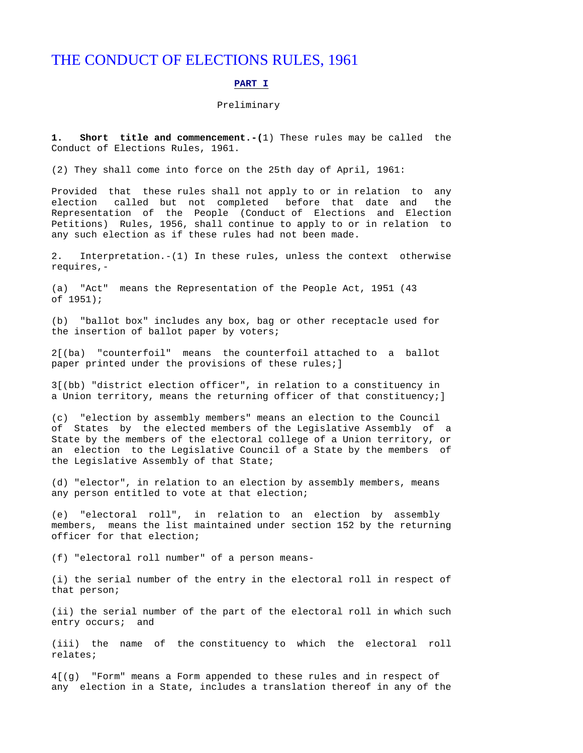# THE CONDUCT OF ELECTIONS RULES, 1961

# **PART I**

# Preliminary

**1. Short title and commencement.-(**1) These rules may be called the Conduct of Elections Rules, 1961.

(2) They shall come into force on the 25th day of April, 1961:

Provided that these rules shall not apply to or in relation to any election called but not completed before that date and the Representation of the People (Conduct of Elections and Election Petitions) Rules, 1956, shall continue to apply to or in relation to any such election as if these rules had not been made.

2. Interpretation.-(1) In these rules, unless the context otherwise requires,-

(a) "Act" means the Representation of the People Act, 1951 (43 of 1951);

(b) "ballot box" includes any box, bag or other receptacle used for the insertion of ballot paper by voters;

2[(ba) "counterfoil" means the counterfoil attached to a ballot paper printed under the provisions of these rules;]

3[(bb) "district election officer", in relation to a constituency in a Union territory, means the returning officer of that constituency;]

(c) "election by assembly members" means an election to the Council of States by the elected members of the Legislative Assembly of a State by the members of the electoral college of a Union territory, or an election to the Legislative Council of a State by the members of the Legislative Assembly of that State;

(d) "elector", in relation to an election by assembly members, means any person entitled to vote at that election;

(e) "electoral roll", in relation to an election by assembly members, means the list maintained under section 152 by the returning officer for that election;

(f) "electoral roll number" of a person means-

(i) the serial number of the entry in the electoral roll in respect of that person;

(ii) the serial number of the part of the electoral roll in which such entry occurs; and

(iii) the name of the constituency to which the electoral roll relates;

4[(g) "Form" means a Form appended to these rules and in respect of any election in a State, includes a translation thereof in any of the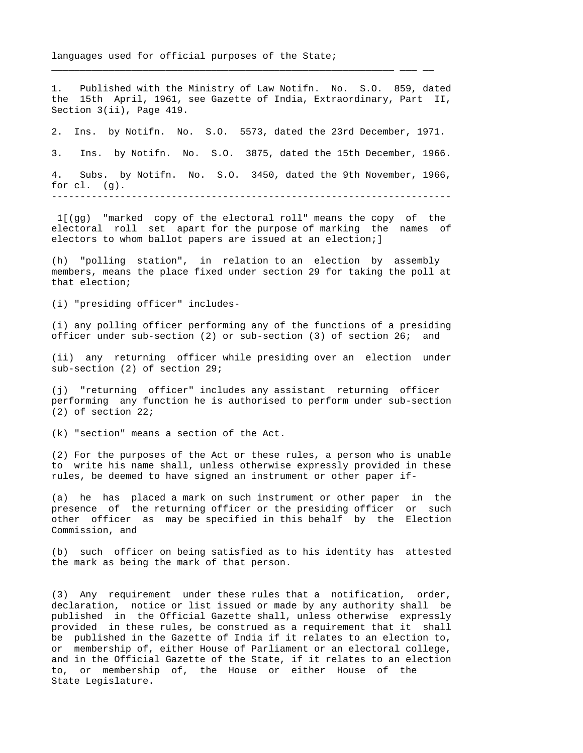languages used for official purposes of the State;

1. Published with the Ministry of Law Notifn. No. S.O. 859, dated the 15th April, 1961, see Gazette of India, Extraordinary, Part II, Section 3(ii), Page 419.

\_\_\_\_\_\_\_\_\_\_\_\_\_\_\_\_\_\_\_\_\_\_\_\_\_\_\_\_\_\_\_\_\_\_\_\_\_\_\_\_\_\_\_\_\_\_\_\_\_\_\_\_\_\_\_\_\_\_\_\_ \_\_\_ \_\_

2. Ins. by Notifn. No. S.O. 5573, dated the 23rd December, 1971.

3. Ins. by Notifn. No. S.O. 3875, dated the 15th December, 1966. 4. Subs. by Notifn. No. S.O. 3450, dated the 9th November, 1966, for cl. (g).

----------------------------------------------------------------------

 1[(gg) "marked copy of the electoral roll" means the copy of the electoral roll set apart for the purpose of marking the names of electors to whom ballot papers are issued at an election;]

(h) "polling station", in relation to an election by assembly members, means the place fixed under section 29 for taking the poll at that election;

(i) "presiding officer" includes-

(i) any polling officer performing any of the functions of a presiding officer under sub-section (2) or sub-section (3) of section 26; and

(ii) any returning officer while presiding over an election under sub-section (2) of section 29;

(j) "returning officer" includes any assistant returning officer performing any function he is authorised to perform under sub-section (2) of section 22;

(k) "section" means a section of the Act.

(2) For the purposes of the Act or these rules, a person who is unable to write his name shall, unless otherwise expressly provided in these rules, be deemed to have signed an instrument or other paper if-

(a) he has placed a mark on such instrument or other paper in the presence of the returning officer or the presiding officer or such other officer as may be specified in this behalf by the Election Commission, and

(b) such officer on being satisfied as to his identity has attested the mark as being the mark of that person.

(3) Any requirement under these rules that a notification, order, declaration, notice or list issued or made by any authority shall be published in the Official Gazette shall, unless otherwise expressly provided in these rules, be construed as a requirement that it shall be published in the Gazette of India if it relates to an election to, or membership of, either House of Parliament or an electoral college, and in the Official Gazette of the State, if it relates to an election to, or membership of, the House or either House of the State Legislature.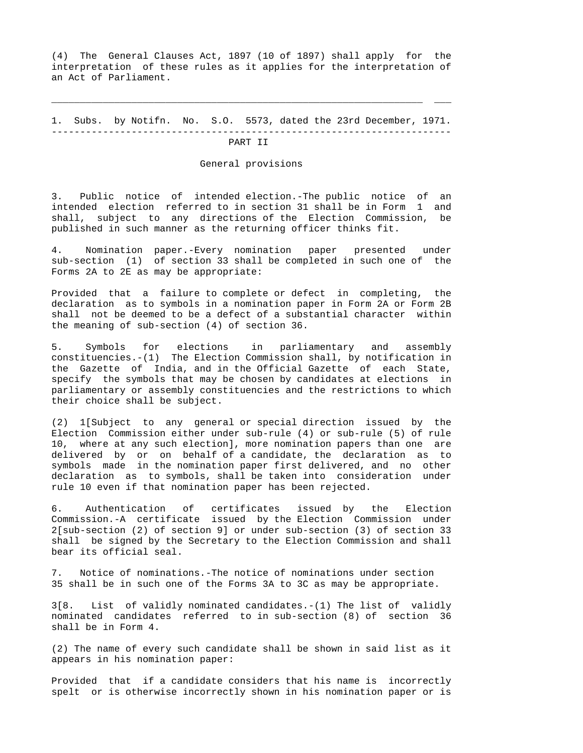(4) The General Clauses Act, 1897 (10 of 1897) shall apply for the interpretation of these rules as it applies for the interpretation of an Act of Parliament.

1. Subs. by Notifn. No. S.O. 5573, dated the 23rd December, 1971. ----------------------------------------------------------------------

\_\_\_\_\_\_\_\_\_\_\_\_\_\_\_\_\_\_\_\_\_\_\_\_\_\_\_\_\_\_\_\_\_\_\_\_\_\_\_\_\_\_\_\_\_\_\_\_\_\_\_\_\_\_\_\_\_\_\_\_\_\_\_\_\_ \_\_\_

### PART II

#### General provisions

3. Public notice of intended election.-The public notice of an intended election referred to in section 31 shall be in Form 1 and shall, subject to any directions of the Election Commission, be published in such manner as the returning officer thinks fit.

4. Nomination paper.-Every nomination paper presented under sub-section (1) of section 33 shall be completed in such one of the Forms 2A to 2E as may be appropriate:

Provided that a failure to complete or defect in completing, the declaration as to symbols in a nomination paper in Form 2A or Form 2B shall not be deemed to be a defect of a substantial character within the meaning of sub-section (4) of section 36.

5. Symbols for elections in parliamentary and assembly constituencies.-(1) The Election Commission shall, by notification in the Gazette of India, and in the Official Gazette of each State, specify the symbols that may be chosen by candidates at elections in parliamentary or assembly constituencies and the restrictions to which their choice shall be subject.

(2) 1[Subject to any general or special direction issued by the Election Commission either under sub-rule (4) or sub-rule (5) of rule 10, where at any such election], more nomination papers than one are delivered by or on behalf of a candidate, the declaration as to symbols made in the nomination paper first delivered, and no other declaration as to symbols, shall be taken into consideration under rule 10 even if that nomination paper has been rejected.

6. Authentication of certificates issued by the Election Commission.-A certificate issued by the Election Commission under 2[sub-section (2) of section 9] or under sub-section (3) of section 33 shall be signed by the Secretary to the Election Commission and shall bear its official seal.

7. Notice of nominations.-The notice of nominations under section 35 shall be in such one of the Forms 3A to 3C as may be appropriate.

3[8. List of validly nominated candidates.-(1) The list of validly nominated candidates referred to in sub-section (8) of section 36 shall be in Form 4.

(2) The name of every such candidate shall be shown in said list as it appears in his nomination paper:

Provided that if a candidate considers that his name is incorrectly spelt or is otherwise incorrectly shown in his nomination paper or is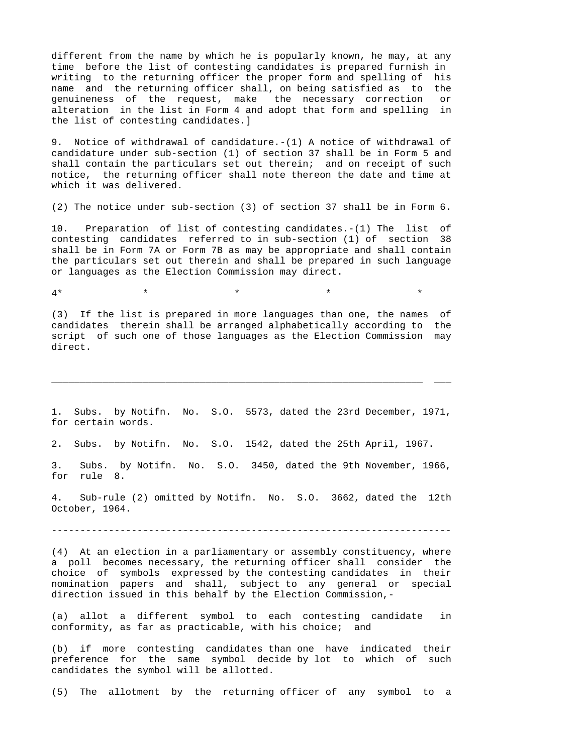different from the name by which he is popularly known, he may, at any time before the list of contesting candidates is prepared furnish in writing to the returning officer the proper form and spelling of his name and the returning officer shall, on being satisfied as to the genuineness of the request, make the necessary correction or alteration in the list in Form 4 and adopt that form and spelling in the list of contesting candidates.]

9. Notice of withdrawal of candidature.-(1) A notice of withdrawal of candidature under sub-section (1) of section 37 shall be in Form 5 and shall contain the particulars set out therein; and on receipt of such notice, the returning officer shall note thereon the date and time at which it was delivered.

(2) The notice under sub-section (3) of section 37 shall be in Form 6.

10. Preparation of list of contesting candidates.-(1) The list of contesting candidates referred to in sub-section (1) of section 38 shall be in Form 7A or Form 7B as may be appropriate and shall contain the particulars set out therein and shall be prepared in such language or languages as the Election Commission may direct.

 $4*$  \* \* \* \* \* \* \*

(3) If the list is prepared in more languages than one, the names of candidates therein shall be arranged alphabetically according to the script of such one of those languages as the Election Commission may direct.

1. Subs. by Notifn. No. S.O. 5573, dated the 23rd December, 1971, for certain words.

\_\_\_\_\_\_\_\_\_\_\_\_\_\_\_\_\_\_\_\_\_\_\_\_\_\_\_\_\_\_\_\_\_\_\_\_\_\_\_\_\_\_\_\_\_\_\_\_\_\_\_\_\_\_\_\_\_\_\_\_\_\_\_\_\_ \_\_\_

2. Subs. by Notifn. No. S.O. 1542, dated the 25th April, 1967.

3. Subs. by Notifn. No. S.O. 3450, dated the 9th November, 1966, for rule 8.

4. Sub-rule (2) omitted by Notifn. No. S.O. 3662, dated the 12th October, 1964.

----------------------------------------------------------------------

(4) At an election in a parliamentary or assembly constituency, where a poll becomes necessary, the returning officer shall consider the choice of symbols expressed by the contesting candidates in their nomination papers and shall, subject to any general or special direction issued in this behalf by the Election Commission,-

(a) allot a different symbol to each contesting candidate in conformity, as far as practicable, with his choice; and

(b) if more contesting candidates than one have indicated their preference for the same symbol decide by lot to which of such candidates the symbol will be allotted.

(5) The allotment by the returning officer of any symbol to a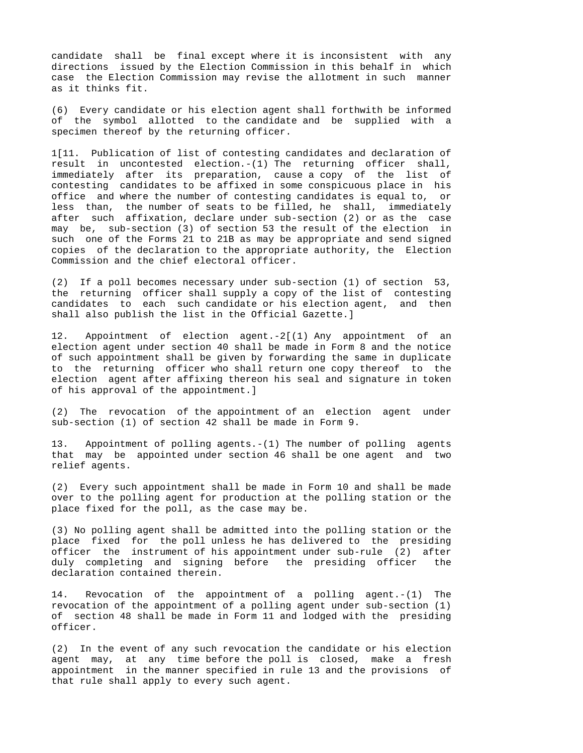candidate shall be final except where it is inconsistent with any directions issued by the Election Commission in this behalf in which case the Election Commission may revise the allotment in such manner as it thinks fit.

(6) Every candidate or his election agent shall forthwith be informed of the symbol allotted to the candidate and be supplied with a specimen thereof by the returning officer.

1[11. Publication of list of contesting candidates and declaration of result in uncontested election.-(1) The returning officer shall, immediately after its preparation, cause a copy of the list of contesting candidates to be affixed in some conspicuous place in his office and where the number of contesting candidates is equal to, or less than, the number of seats to be filled, he shall, immediately after such affixation, declare under sub-section (2) or as the case may be, sub-section (3) of section 53 the result of the election in such one of the Forms 21 to 21B as may be appropriate and send signed copies of the declaration to the appropriate authority, the Election Commission and the chief electoral officer.

(2) If a poll becomes necessary under sub-section (1) of section 53, the returning officer shall supply a copy of the list of contesting candidates to each such candidate or his election agent, and then shall also publish the list in the Official Gazette.]

12. Appointment of election agent.-2[(1) Any appointment of an election agent under section 40 shall be made in Form 8 and the notice of such appointment shall be given by forwarding the same in duplicate to the returning officer who shall return one copy thereof to the election agent after affixing thereon his seal and signature in token of his approval of the appointment.]

(2) The revocation of the appointment of an election agent under sub-section (1) of section 42 shall be made in Form 9.

13. Appointment of polling agents.-(1) The number of polling agents that may be appointed under section 46 shall be one agent and two relief agents.

(2) Every such appointment shall be made in Form 10 and shall be made over to the polling agent for production at the polling station or the place fixed for the poll, as the case may be.

(3) No polling agent shall be admitted into the polling station or the place fixed for the poll unless he has delivered to the presiding officer the instrument of his appointment under sub-rule (2) after duly completing and signing before the presiding officer the declaration contained therein.

14. Revocation of the appointment of a polling agent.-(1) The revocation of the appointment of a polling agent under sub-section (1) of section 48 shall be made in Form 11 and lodged with the presiding officer.

(2) In the event of any such revocation the candidate or his election agent may, at any time before the poll is closed, make a fresh appointment in the manner specified in rule 13 and the provisions of that rule shall apply to every such agent.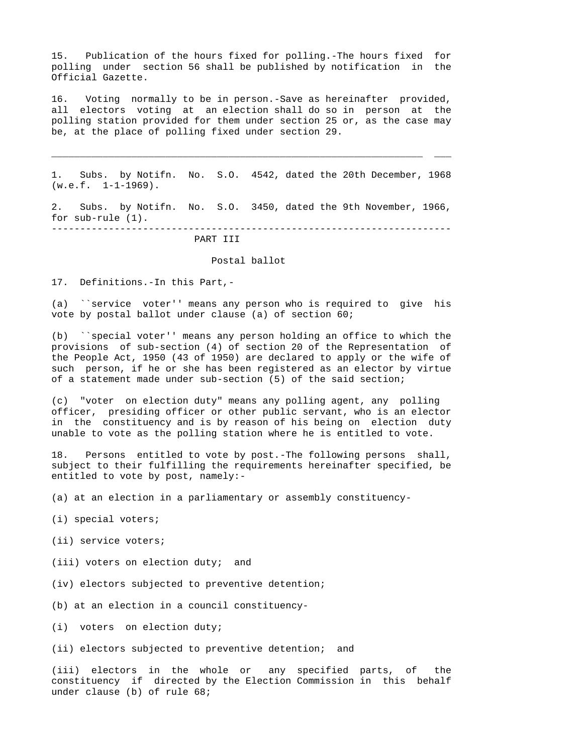15. Publication of the hours fixed for polling.-The hours fixed for polling under section 56 shall be published by notification in the Official Gazette.

16. Voting normally to be in person.-Save as hereinafter provided, all electors voting at an election shall do so in person at the polling station provided for them under section 25 or, as the case may be, at the place of polling fixed under section 29.

1. Subs. by Notifn. No. S.O. 4542, dated the 20th December, 1968  $(w.e.f. 1-1-1969)$ .

\_\_\_\_\_\_\_\_\_\_\_\_\_\_\_\_\_\_\_\_\_\_\_\_\_\_\_\_\_\_\_\_\_\_\_\_\_\_\_\_\_\_\_\_\_\_\_\_\_\_\_\_\_\_\_\_\_\_\_\_\_\_\_\_\_ \_\_\_

2. Subs. by Notifn. No. S.O. 3450, dated the 9th November, 1966, for sub-rule (1). ----------------------------------------------------------------------

### PART III

### Postal ballot

17. Definitions.-In this Part,-

(a) ``service voter'' means any person who is required to give his vote by postal ballot under clause (a) of section 60;

(b) ``special voter'' means any person holding an office to which the provisions of sub-section (4) of section 20 of the Representation of the People Act, 1950 (43 of 1950) are declared to apply or the wife of such person, if he or she has been registered as an elector by virtue of a statement made under sub-section (5) of the said section;

(c) "voter on election duty" means any polling agent, any polling officer, presiding officer or other public servant, who is an elector in the constituency and is by reason of his being on election duty unable to vote as the polling station where he is entitled to vote.

18. Persons entitled to vote by post.-The following persons shall, subject to their fulfilling the requirements hereinafter specified, be entitled to vote by post, namely:-

(a) at an election in a parliamentary or assembly constituency-

- (i) special voters;
- (ii) service voters;
- (iii) voters on election duty; and
- (iv) electors subjected to preventive detention;
- (b) at an election in a council constituency-

(i) voters on election duty;

(ii) electors subjected to preventive detention; and

(iii) electors in the whole or any specified parts, of the constituency if directed by the Election Commission in this behalf under clause (b) of rule 68;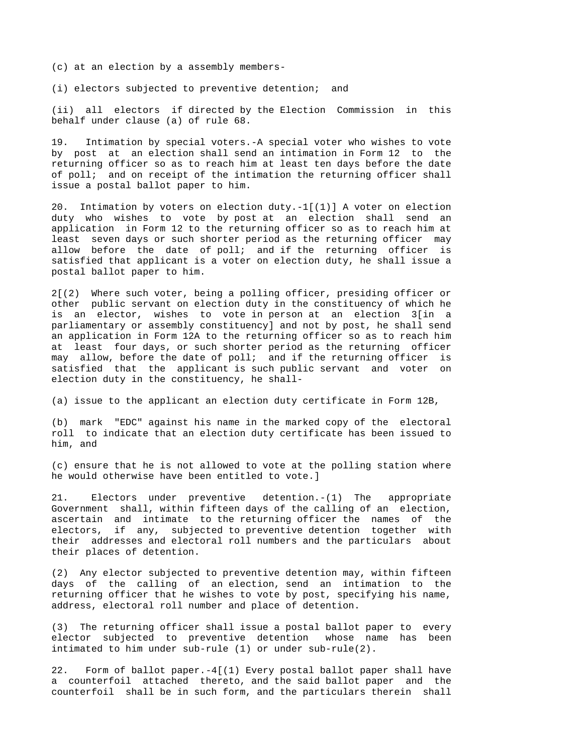(c) at an election by a assembly members-

(i) electors subjected to preventive detention; and

(ii) all electors if directed by the Election Commission in this behalf under clause (a) of rule 68.

19. Intimation by special voters.-A special voter who wishes to vote by post at an election shall send an intimation in Form 12 to the returning officer so as to reach him at least ten days before the date of poll; and on receipt of the intimation the returning officer shall issue a postal ballot paper to him.

20. Intimation by voters on election duty.-1[(1)] A voter on election duty who wishes to vote by post at an election shall send an application in Form 12 to the returning officer so as to reach him at least seven days or such shorter period as the returning officer may allow before the date of poll; and if the returning officer is satisfied that applicant is a voter on election duty, he shall issue a postal ballot paper to him.

2[(2) Where such voter, being a polling officer, presiding officer or other public servant on election duty in the constituency of which he is an elector, wishes to vote in person at an election 3[in a parliamentary or assembly constituency] and not by post, he shall send an application in Form 12A to the returning officer so as to reach him at least four days, or such shorter period as the returning officer may allow, before the date of poll; and if the returning officer is satisfied that the applicant is such public servant and voter on election duty in the constituency, he shall-

(a) issue to the applicant an election duty certificate in Form 12B,

(b) mark "EDC" against his name in the marked copy of the electoral roll to indicate that an election duty certificate has been issued to him, and

(c) ensure that he is not allowed to vote at the polling station where he would otherwise have been entitled to vote.]

21. Electors under preventive detention.-(1) The appropriate Government shall, within fifteen days of the calling of an election, ascertain and intimate to the returning officer the names of the electors, if any, subjected to preventive detention together with their addresses and electoral roll numbers and the particulars about their places of detention.

(2) Any elector subjected to preventive detention may, within fifteen days of the calling of an election, send an intimation to the returning officer that he wishes to vote by post, specifying his name, address, electoral roll number and place of detention.

(3) The returning officer shall issue a postal ballot paper to every elector subjected to preventive detention whose name has been intimated to him under sub-rule (1) or under sub-rule(2).

22. Form of ballot paper.-4[(1) Every postal ballot paper shall have a counterfoil attached thereto, and the said ballot paper and the counterfoil shall be in such form, and the particulars therein shall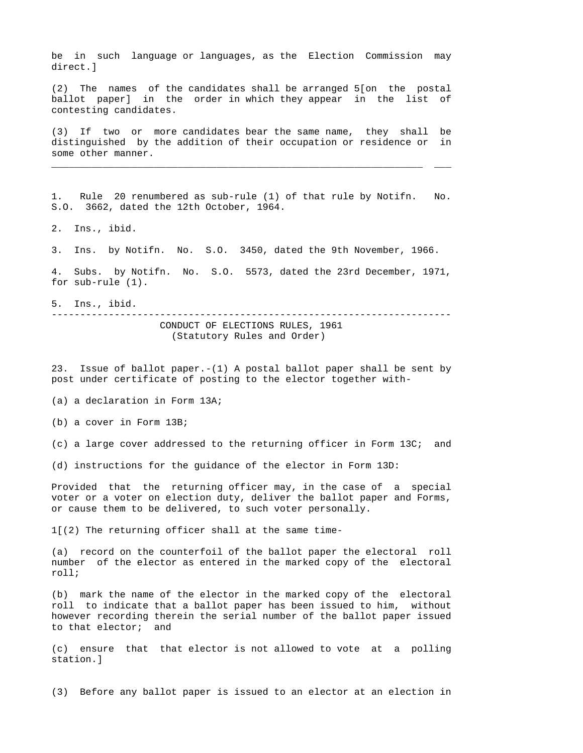be in such language or languages, as the Election Commission may direct.]

(2) The names of the candidates shall be arranged 5[on the postal ballot paper] in the order in which they appear in the list of contesting candidates.

(3) If two or more candidates bear the same name, they shall be distinguished by the addition of their occupation or residence or in some other manner.

\_\_\_\_\_\_\_\_\_\_\_\_\_\_\_\_\_\_\_\_\_\_\_\_\_\_\_\_\_\_\_\_\_\_\_\_\_\_\_\_\_\_\_\_\_\_\_\_\_\_\_\_\_\_\_\_\_\_\_\_\_\_\_\_\_ \_\_\_

1. Rule 20 renumbered as sub-rule (1) of that rule by Notifn. No. S.O. 3662, dated the 12th October, 1964.

2. Ins., ibid.

3. Ins. by Notifn. No. S.O. 3450, dated the 9th November, 1966.

4. Subs. by Notifn. No. S.O. 5573, dated the 23rd December, 1971, for sub-rule (1).

5. Ins., ibid.

---------------------------------------------------------------------- CONDUCT OF ELECTIONS RULES, 1961 (Statutory Rules and Order)

23. Issue of ballot paper.-(1) A postal ballot paper shall be sent by post under certificate of posting to the elector together with-

(a) a declaration in Form 13A;

(b) a cover in Form 13B;

(c) a large cover addressed to the returning officer in Form 13C; and

(d) instructions for the guidance of the elector in Form 13D:

Provided that the returning officer may, in the case of a special voter or a voter on election duty, deliver the ballot paper and Forms, or cause them to be delivered, to such voter personally.

1[(2) The returning officer shall at the same time-

(a) record on the counterfoil of the ballot paper the electoral roll number of the elector as entered in the marked copy of the electoral roll;

(b) mark the name of the elector in the marked copy of the electoral roll to indicate that a ballot paper has been issued to him, without however recording therein the serial number of the ballot paper issued to that elector; and

(c) ensure that that elector is not allowed to vote at a polling station.]

(3) Before any ballot paper is issued to an elector at an election in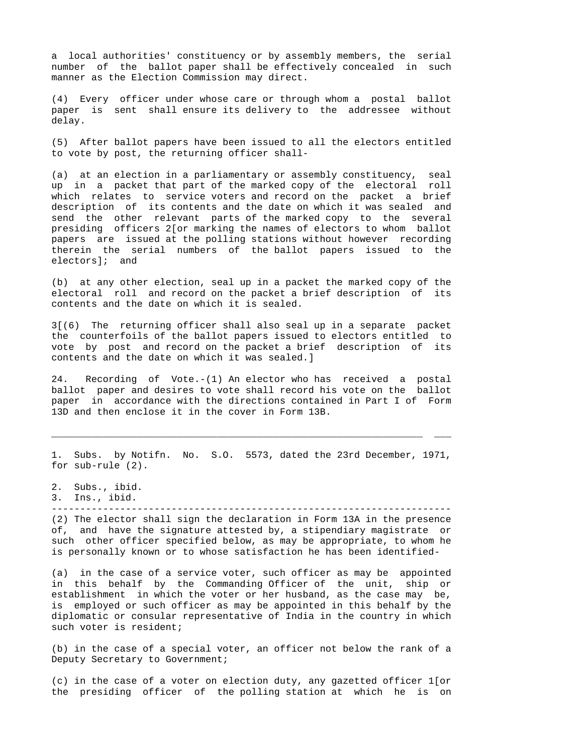a local authorities' constituency or by assembly members, the serial number of the ballot paper shall be effectively concealed in such manner as the Election Commission may direct.

(4) Every officer under whose care or through whom a postal ballot paper is sent shall ensure its delivery to the addressee without delay.

(5) After ballot papers have been issued to all the electors entitled to vote by post, the returning officer shall-

(a) at an election in a parliamentary or assembly constituency, seal up in a packet that part of the marked copy of the electoral roll which relates to service voters and record on the packet a brief description of its contents and the date on which it was sealed and send the other relevant parts of the marked copy to the several presiding officers 2[or marking the names of electors to whom ballot papers are issued at the polling stations without however recording therein the serial numbers of the ballot papers issued to the electors]; and

(b) at any other election, seal up in a packet the marked copy of the electoral roll and record on the packet a brief description of its contents and the date on which it is sealed.

3[(6) The returning officer shall also seal up in a separate packet the counterfoils of the ballot papers issued to electors entitled to vote by post and record on the packet a brief description of its contents and the date on which it was sealed.]

24. Recording of Vote.-(1) An elector who has received a postal ballot paper and desires to vote shall record his vote on the ballot paper in accordance with the directions contained in Part I of Form 13D and then enclose it in the cover in Form 13B.

1. Subs. by Notifn. No. S.O. 5573, dated the 23rd December, 1971, for sub-rule (2).

\_\_\_\_\_\_\_\_\_\_\_\_\_\_\_\_\_\_\_\_\_\_\_\_\_\_\_\_\_\_\_\_\_\_\_\_\_\_\_\_\_\_\_\_\_\_\_\_\_\_\_\_\_\_\_\_\_\_\_\_\_\_\_\_\_ \_\_\_

- 2. Subs., ibid.
- 3. Ins., ibid.

----------------------------------------------------------------------

(2) The elector shall sign the declaration in Form 13A in the presence of, and have the signature attested by, a stipendiary magistrate or such other officer specified below, as may be appropriate, to whom he is personally known or to whose satisfaction he has been identified-

(a) in the case of a service voter, such officer as may be appointed in this behalf by the Commanding Officer of the unit, ship or establishment in which the voter or her husband, as the case may be, is employed or such officer as may be appointed in this behalf by the diplomatic or consular representative of India in the country in which such voter is resident;

(b) in the case of a special voter, an officer not below the rank of a Deputy Secretary to Government;

(c) in the case of a voter on election duty, any gazetted officer 1[or the presiding officer of the polling station at which he is on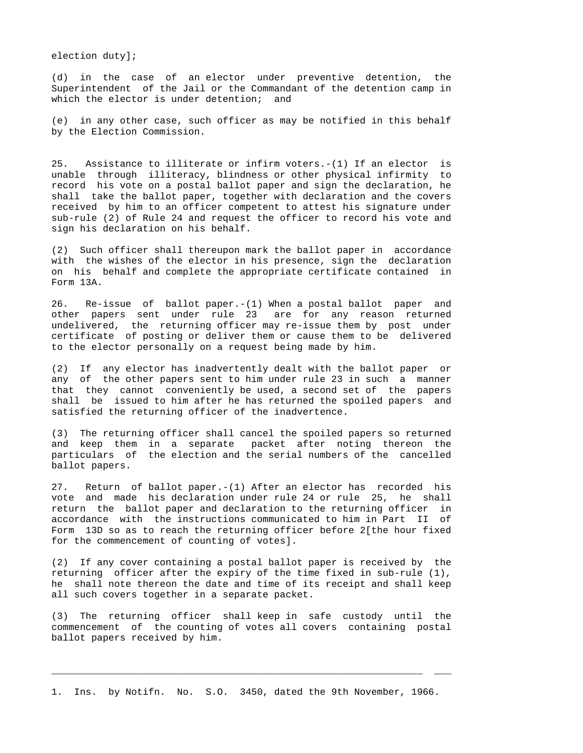election duty];

(d) in the case of an elector under preventive detention, the Superintendent of the Jail or the Commandant of the detention camp in which the elector is under detention; and

(e) in any other case, such officer as may be notified in this behalf by the Election Commission.

25. Assistance to illiterate or infirm voters.-(1) If an elector is unable through illiteracy, blindness or other physical infirmity to record his vote on a postal ballot paper and sign the declaration, he shall take the ballot paper, together with declaration and the covers received by him to an officer competent to attest his signature under sub-rule (2) of Rule 24 and request the officer to record his vote and sign his declaration on his behalf.

(2) Such officer shall thereupon mark the ballot paper in accordance with the wishes of the elector in his presence, sign the declaration on his behalf and complete the appropriate certificate contained in Form 13A.

26. Re-issue of ballot paper.-(1) When a postal ballot paper and other papers sent under rule 23 are for any reason returned undelivered, the returning officer may re-issue them by post under certificate of posting or deliver them or cause them to be delivered to the elector personally on a request being made by him.

(2) If any elector has inadvertently dealt with the ballot paper or any of the other papers sent to him under rule 23 in such a manner that they cannot conveniently be used, a second set of the papers shall be issued to him after he has returned the spoiled papers and satisfied the returning officer of the inadvertence.

(3) The returning officer shall cancel the spoiled papers so returned and keep them in a separate packet after noting thereon the particulars of the election and the serial numbers of the cancelled ballot papers.

27. Return of ballot paper.-(1) After an elector has recorded his vote and made his declaration under rule 24 or rule 25, he shall return the ballot paper and declaration to the returning officer in accordance with the instructions communicated to him in Part II of Form 13D so as to reach the returning officer before 2[the hour fixed for the commencement of counting of votes].

(2) If any cover containing a postal ballot paper is received by the returning officer after the expiry of the time fixed in sub-rule (1), he shall note thereon the date and time of its receipt and shall keep all such covers together in a separate packet.

(3) The returning officer shall keep in safe custody until the commencement of the counting of votes all covers containing postal ballot papers received by him.

\_\_\_\_\_\_\_\_\_\_\_\_\_\_\_\_\_\_\_\_\_\_\_\_\_\_\_\_\_\_\_\_\_\_\_\_\_\_\_\_\_\_\_\_\_\_\_\_\_\_\_\_\_\_\_\_\_\_\_\_\_\_\_\_\_ \_\_\_

1. Ins. by Notifn. No. S.O. 3450, dated the 9th November, 1966.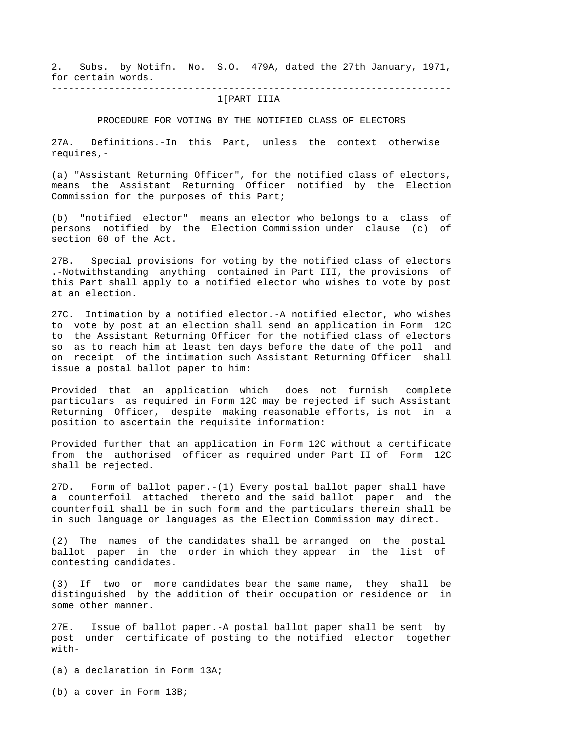2. Subs. by Notifn. No. S.O. 479A, dated the 27th January, 1971, for certain words. ----------------------------------------------------------------------

# 1[PART IIIA

PROCEDURE FOR VOTING BY THE NOTIFIED CLASS OF ELECTORS

27A. Definitions.-In this Part, unless the context otherwise requires,-

(a) "Assistant Returning Officer", for the notified class of electors, means the Assistant Returning Officer notified by the Election Commission for the purposes of this Part;

(b) "notified elector" means an elector who belongs to a class of persons notified by the Election Commission under clause (c) of section 60 of the Act.

27B. Special provisions for voting by the notified class of electors .-Notwithstanding anything contained in Part III, the provisions of this Part shall apply to a notified elector who wishes to vote by post at an election.

27C. Intimation by a notified elector.-A notified elector, who wishes to vote by post at an election shall send an application in Form 12C to the Assistant Returning Officer for the notified class of electors so as to reach him at least ten days before the date of the poll and on receipt of the intimation such Assistant Returning Officer shall issue a postal ballot paper to him:

Provided that an application which does not furnish complete particulars as required in Form 12C may be rejected if such Assistant Returning Officer, despite making reasonable efforts, is not in a position to ascertain the requisite information:

Provided further that an application in Form 12C without a certificate from the authorised officer as required under Part II of Form 12C shall be rejected.

27D. Form of ballot paper.-(1) Every postal ballot paper shall have a counterfoil attached thereto and the said ballot paper and the counterfoil shall be in such form and the particulars therein shall be in such language or languages as the Election Commission may direct.

(2) The names of the candidates shall be arranged on the postal ballot paper in the order in which they appear in the list of contesting candidates.

(3) If two or more candidates bear the same name, they shall be distinguished by the addition of their occupation or residence or in some other manner.

27E. Issue of ballot paper.-A postal ballot paper shall be sent by post under certificate of posting to the notified elector together with-

(a) a declaration in Form 13A;

(b) a cover in Form 13B;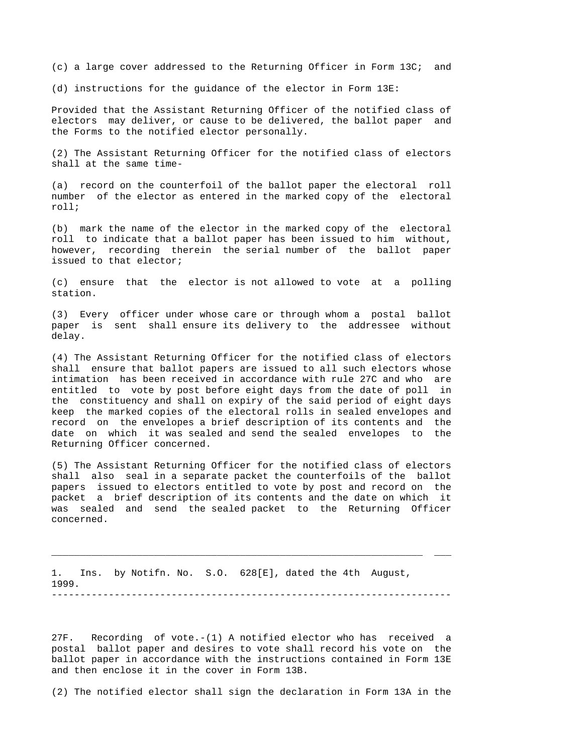(c) a large cover addressed to the Returning Officer in Form 13C; and

(d) instructions for the guidance of the elector in Form 13E:

Provided that the Assistant Returning Officer of the notified class of electors may deliver, or cause to be delivered, the ballot paper and the Forms to the notified elector personally.

(2) The Assistant Returning Officer for the notified class of electors shall at the same time-

(a) record on the counterfoil of the ballot paper the electoral roll number of the elector as entered in the marked copy of the electoral roll;

(b) mark the name of the elector in the marked copy of the electoral roll to indicate that a ballot paper has been issued to him without, however, recording therein the serial number of the ballot paper issued to that elector;

(c) ensure that the elector is not allowed to vote at a polling station.

(3) Every officer under whose care or through whom a postal ballot paper is sent shall ensure its delivery to the addressee without delay.

(4) The Assistant Returning Officer for the notified class of electors shall ensure that ballot papers are issued to all such electors whose intimation has been received in accordance with rule 27C and who are entitled to vote by post before eight days from the date of poll in the constituency and shall on expiry of the said period of eight days keep the marked copies of the electoral rolls in sealed envelopes and record on the envelopes a brief description of its contents and the date on which it was sealed and send the sealed envelopes to the Returning Officer concerned.

(5) The Assistant Returning Officer for the notified class of electors shall also seal in a separate packet the counterfoils of the ballot papers issued to electors entitled to vote by post and record on the packet a brief description of its contents and the date on which it was sealed and send the sealed packet to the Returning Officer concerned.

1. Ins. by Notifn. No. S.O. 628[E], dated the 4th August, 1999. ----------------------------------------------------------------------

\_\_\_\_\_\_\_\_\_\_\_\_\_\_\_\_\_\_\_\_\_\_\_\_\_\_\_\_\_\_\_\_\_\_\_\_\_\_\_\_\_\_\_\_\_\_\_\_\_\_\_\_\_\_\_\_\_\_\_\_\_\_\_\_\_ \_\_\_

27F. Recording of vote.-(1) A notified elector who has received a postal ballot paper and desires to vote shall record his vote on the ballot paper in accordance with the instructions contained in Form 13E and then enclose it in the cover in Form 13B.

(2) The notified elector shall sign the declaration in Form 13A in the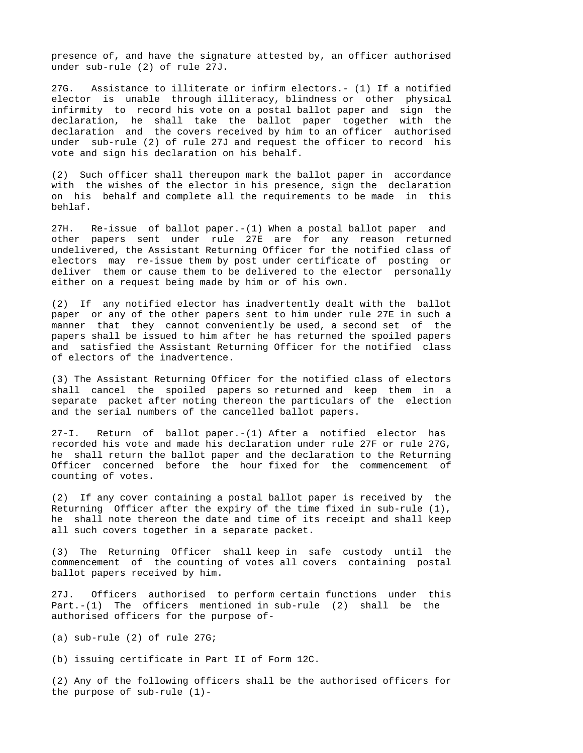presence of, and have the signature attested by, an officer authorised under sub-rule (2) of rule 27J.

27G. Assistance to illiterate or infirm electors.- (1) If a notified elector is unable through illiteracy, blindness or other physical infirmity to record his vote on a postal ballot paper and sign the declaration, he shall take the ballot paper together with the declaration and the covers received by him to an officer authorised under sub-rule (2) of rule 27J and request the officer to record his vote and sign his declaration on his behalf.

(2) Such officer shall thereupon mark the ballot paper in accordance with the wishes of the elector in his presence, sign the declaration on his behalf and complete all the requirements to be made in this behlaf.

27H. Re-issue of ballot paper.-(1) When a postal ballot paper and other papers sent under rule 27E are for any reason returned undelivered, the Assistant Returning Officer for the notified class of electors may re-issue them by post under certificate of posting or deliver them or cause them to be delivered to the elector personally either on a request being made by him or of his own.

(2) If any notified elector has inadvertently dealt with the ballot paper or any of the other papers sent to him under rule 27E in such a manner that they cannot conveniently be used, a second set of the papers shall be issued to him after he has returned the spoiled papers and satisfied the Assistant Returning Officer for the notified class of electors of the inadvertence.

(3) The Assistant Returning Officer for the notified class of electors shall cancel the spoiled papers so returned and keep them in a separate packet after noting thereon the particulars of the election and the serial numbers of the cancelled ballot papers.

27-I. Return of ballot paper.-(1) After a notified elector has recorded his vote and made his declaration under rule 27F or rule 27G, he shall return the ballot paper and the declaration to the Returning Officer concerned before the hour fixed for the commencement of counting of votes.

(2) If any cover containing a postal ballot paper is received by the Returning Officer after the expiry of the time fixed in sub-rule (1), he shall note thereon the date and time of its receipt and shall keep all such covers together in a separate packet.

(3) The Returning Officer shall keep in safe custody until the commencement of the counting of votes all covers containing postal ballot papers received by him.

27J. Officers authorised to perform certain functions under this Part.-(1) The officers mentioned in sub-rule (2) shall be the authorised officers for the purpose of-

(a) sub-rule (2) of rule 27G;

(b) issuing certificate in Part II of Form 12C.

(2) Any of the following officers shall be the authorised officers for the purpose of sub-rule (1)-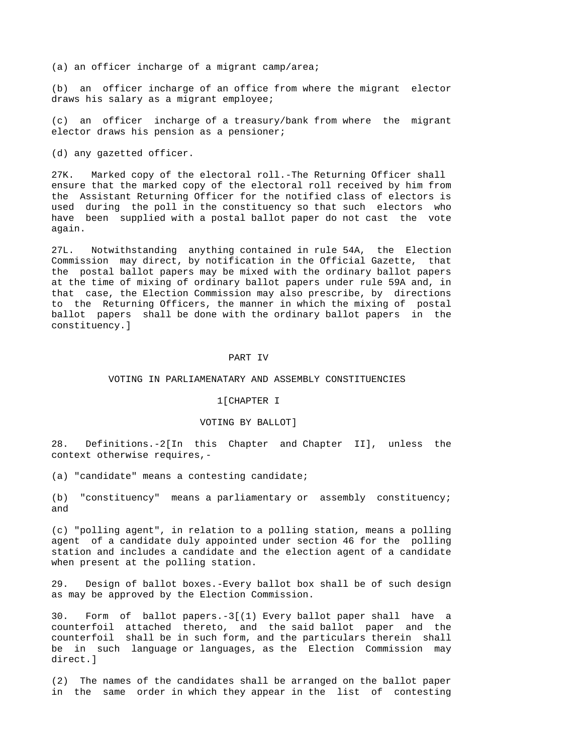(a) an officer incharge of a migrant camp/area;

(b) an officer incharge of an office from where the migrant elector draws his salary as a migrant employee;

(c) an officer incharge of a treasury/bank from where the migrant elector draws his pension as a pensioner;

(d) any gazetted officer.

27K. Marked copy of the electoral roll.-The Returning Officer shall ensure that the marked copy of the electoral roll received by him from the Assistant Returning Officer for the notified class of electors is used during the poll in the constituency so that such electors who have been supplied with a postal ballot paper do not cast the vote again.

27L. Notwithstanding anything contained in rule 54A, the Election Commission may direct, by notification in the Official Gazette, that the postal ballot papers may be mixed with the ordinary ballot papers at the time of mixing of ordinary ballot papers under rule 59A and, in that case, the Election Commission may also prescribe, by directions to the Returning Officers, the manner in which the mixing of postal ballot papers shall be done with the ordinary ballot papers in the constituency.]

#### PART IV

### VOTING IN PARLIAMENATARY AND ASSEMBLY CONSTITUENCIES

### 1[CHAPTER I

# VOTING BY BALLOT]

28. Definitions.-2[In this Chapter and Chapter II], unless the context otherwise requires,-

(a) "candidate" means a contesting candidate;

(b) "constituency" means a parliamentary or assembly constituency; and

(c) "polling agent", in relation to a polling station, means a polling agent of a candidate duly appointed under section 46 for the polling station and includes a candidate and the election agent of a candidate when present at the polling station.

29. Design of ballot boxes.-Every ballot box shall be of such design as may be approved by the Election Commission.

30. Form of ballot papers.-3[(1) Every ballot paper shall have a counterfoil attached thereto, and the said ballot paper and the counterfoil shall be in such form, and the particulars therein shall be in such language or languages, as the Election Commission may direct.]

(2) The names of the candidates shall be arranged on the ballot paper in the same order in which they appear in the list of contesting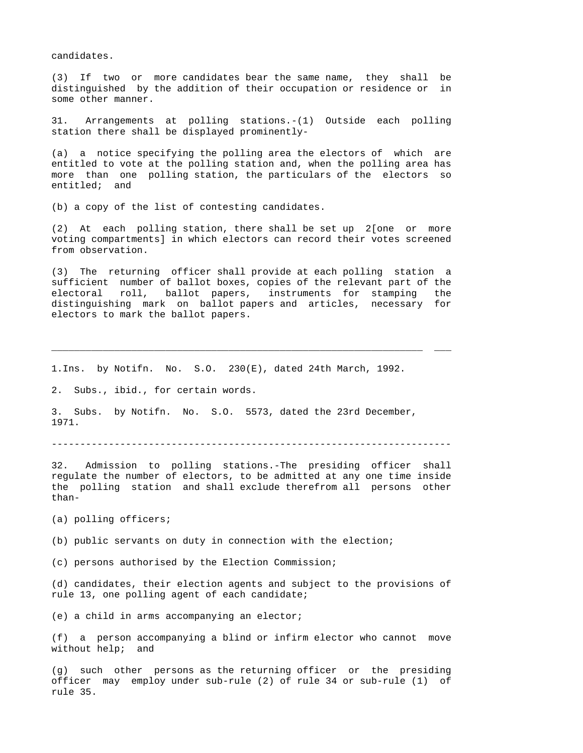candidates.

(3) If two or more candidates bear the same name, they shall be distinguished by the addition of their occupation or residence or in some other manner.

31. Arrangements at polling stations.-(1) Outside each polling station there shall be displayed prominently-

(a) a notice specifying the polling area the electors of which are entitled to vote at the polling station and, when the polling area has more than one polling station, the particulars of the electors so entitled; and

(b) a copy of the list of contesting candidates.

(2) At each polling station, there shall be set up 2[one or more voting compartments] in which electors can record their votes screened from observation.

(3) The returning officer shall provide at each polling station a sufficient number of ballot boxes, copies of the relevant part of the electoral roll, ballot papers, instruments for stamping the distinguishing mark on ballot papers and articles, necessary for electors to mark the ballot papers.

\_\_\_\_\_\_\_\_\_\_\_\_\_\_\_\_\_\_\_\_\_\_\_\_\_\_\_\_\_\_\_\_\_\_\_\_\_\_\_\_\_\_\_\_\_\_\_\_\_\_\_\_\_\_\_\_\_\_\_\_\_\_\_\_\_ \_\_\_

1.Ins. by Notifn. No. S.O. 230(E), dated 24th March, 1992.

2. Subs., ibid., for certain words.

3. Subs. by Notifn. No. S.O. 5573, dated the 23rd December, 1971.

----------------------------------------------------------------------

32. Admission to polling stations.-The presiding officer shall regulate the number of electors, to be admitted at any one time inside the polling station and shall exclude therefrom all persons other than-

(a) polling officers;

(b) public servants on duty in connection with the election;

(c) persons authorised by the Election Commission;

(d) candidates, their election agents and subject to the provisions of rule 13, one polling agent of each candidate;

(e) a child in arms accompanying an elector;

(f) a person accompanying a blind or infirm elector who cannot move without help; and

(g) such other persons as the returning officer or the presiding officer may employ under sub-rule (2) of rule 34 or sub-rule (1) of rule 35.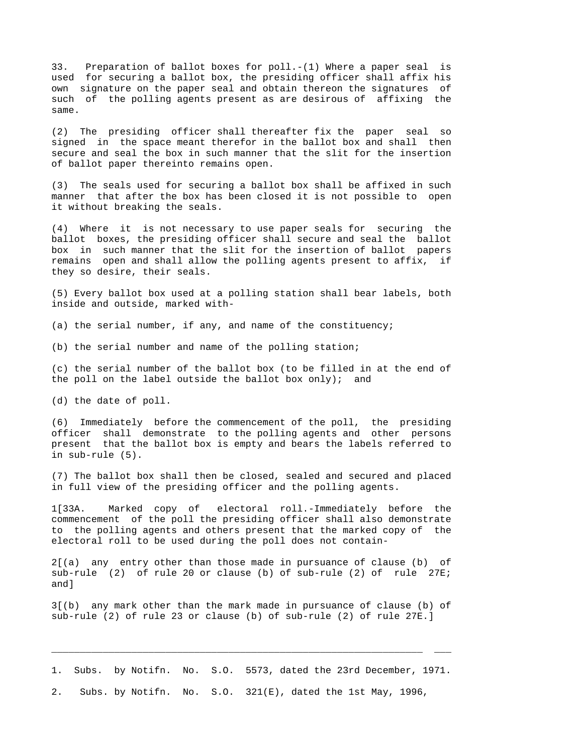33. Preparation of ballot boxes for poll.-(1) Where a paper seal is used for securing a ballot box, the presiding officer shall affix his own signature on the paper seal and obtain thereon the signatures of such of the polling agents present as are desirous of affixing the same.

(2) The presiding officer shall thereafter fix the paper seal so signed in the space meant therefor in the ballot box and shall then secure and seal the box in such manner that the slit for the insertion of ballot paper thereinto remains open.

(3) The seals used for securing a ballot box shall be affixed in such manner that after the box has been closed it is not possible to open it without breaking the seals.

(4) Where it is not necessary to use paper seals for securing the ballot boxes, the presiding officer shall secure and seal the ballot box in such manner that the slit for the insertion of ballot papers remains open and shall allow the polling agents present to affix, if they so desire, their seals.

(5) Every ballot box used at a polling station shall bear labels, both inside and outside, marked with-

(a) the serial number, if any, and name of the constituency;

(b) the serial number and name of the polling station;

(c) the serial number of the ballot box (to be filled in at the end of the poll on the label outside the ballot box only); and

(d) the date of poll.

(6) Immediately before the commencement of the poll, the presiding officer shall demonstrate to the polling agents and other persons present that the ballot box is empty and bears the labels referred to in sub-rule (5).

(7) The ballot box shall then be closed, sealed and secured and placed in full view of the presiding officer and the polling agents.

1[33A. Marked copy of electoral roll.-Immediately before the commencement of the poll the presiding officer shall also demonstrate to the polling agents and others present that the marked copy of the electoral roll to be used during the poll does not contain-

2[(a) any entry other than those made in pursuance of clause (b) of sub-rule (2) of rule 20 or clause (b) of sub-rule (2) of rule 27E; and]

3[(b) any mark other than the mark made in pursuance of clause (b) of sub-rule (2) of rule 23 or clause (b) of sub-rule (2) of rule 27E.]

1. Subs. by Notifn. No. S.O. 5573, dated the 23rd December, 1971.

\_\_\_\_\_\_\_\_\_\_\_\_\_\_\_\_\_\_\_\_\_\_\_\_\_\_\_\_\_\_\_\_\_\_\_\_\_\_\_\_\_\_\_\_\_\_\_\_\_\_\_\_\_\_\_\_\_\_\_\_\_\_\_\_\_ \_\_\_

2. Subs. by Notifn. No. S.O. 321(E), dated the 1st May, 1996,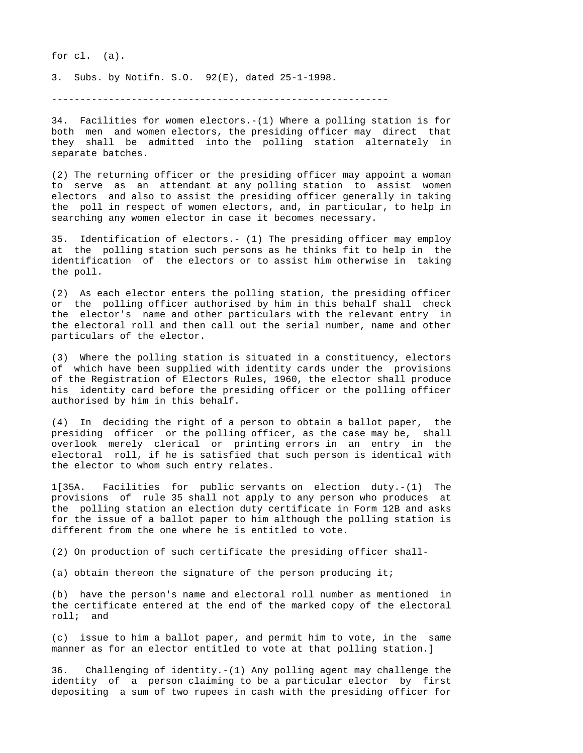for cl. (a).

3. Subs. by Notifn. S.O. 92(E), dated 25-1-1998.

-----------------------------------------------------------

34. Facilities for women electors.-(1) Where a polling station is for both men and women electors, the presiding officer may direct that they shall be admitted into the polling station alternately in separate batches.

(2) The returning officer or the presiding officer may appoint a woman to serve as an attendant at any polling station to assist women electors and also to assist the presiding officer generally in taking the poll in respect of women electors, and, in particular, to help in searching any women elector in case it becomes necessary.

35. Identification of electors.- (1) The presiding officer may employ at the polling station such persons as he thinks fit to help in the identification of the electors or to assist him otherwise in taking the poll.

(2) As each elector enters the polling station, the presiding officer or the polling officer authorised by him in this behalf shall check the elector's name and other particulars with the relevant entry in the electoral roll and then call out the serial number, name and other particulars of the elector.

(3) Where the polling station is situated in a constituency, electors of which have been supplied with identity cards under the provisions of the Registration of Electors Rules, 1960, the elector shall produce his identity card before the presiding officer or the polling officer authorised by him in this behalf.

(4) In deciding the right of a person to obtain a ballot paper, the presiding officer or the polling officer, as the case may be, shall overlook merely clerical or printing errors in an entry in the electoral roll, if he is satisfied that such person is identical with the elector to whom such entry relates.

1[35A. Facilities for public servants on election duty.-(1) The provisions of rule 35 shall not apply to any person who produces at the polling station an election duty certificate in Form 12B and asks for the issue of a ballot paper to him although the polling station is different from the one where he is entitled to vote.

(2) On production of such certificate the presiding officer shall-

(a) obtain thereon the signature of the person producing it;

(b) have the person's name and electoral roll number as mentioned in the certificate entered at the end of the marked copy of the electoral roll; and

(c) issue to him a ballot paper, and permit him to vote, in the same manner as for an elector entitled to vote at that polling station.]

36. Challenging of identity.-(1) Any polling agent may challenge the identity of a person claiming to be a particular elector by first depositing a sum of two rupees in cash with the presiding officer for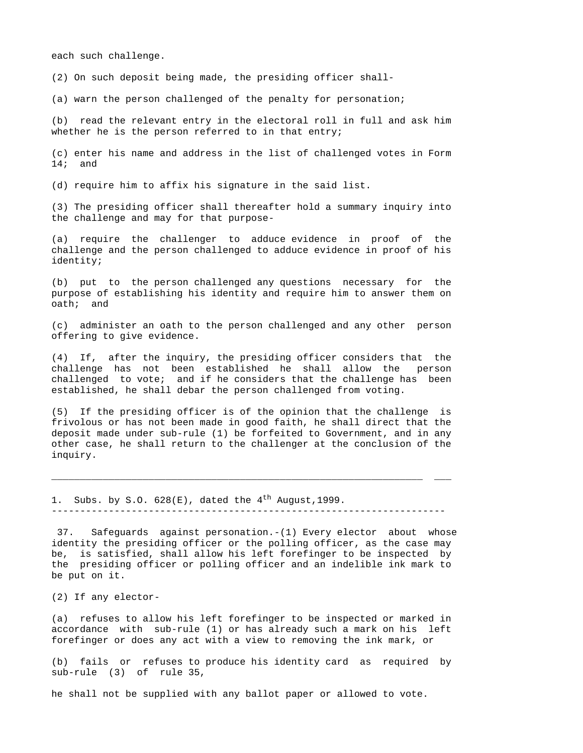each such challenge.

(2) On such deposit being made, the presiding officer shall-

(a) warn the person challenged of the penalty for personation;

(b) read the relevant entry in the electoral roll in full and ask him whether he is the person referred to in that entry;

(c) enter his name and address in the list of challenged votes in Form 14; and

(d) require him to affix his signature in the said list.

(3) The presiding officer shall thereafter hold a summary inquiry into the challenge and may for that purpose-

(a) require the challenger to adduce evidence in proof of the challenge and the person challenged to adduce evidence in proof of his identity;

(b) put to the person challenged any questions necessary for the purpose of establishing his identity and require him to answer them on oath; and

(c) administer an oath to the person challenged and any other person offering to give evidence.

(4) If, after the inquiry, the presiding officer considers that the challenge has not been established he shall allow the person challenged to vote; and if he considers that the challenge has been established, he shall debar the person challenged from voting.

(5) If the presiding officer is of the opinion that the challenge is frivolous or has not been made in good faith, he shall direct that the deposit made under sub-rule (1) be forfeited to Government, and in any other case, he shall return to the challenger at the conclusion of the inquiry.

\_\_\_\_\_\_\_\_\_\_\_\_\_\_\_\_\_\_\_\_\_\_\_\_\_\_\_\_\_\_\_\_\_\_\_\_\_\_\_\_\_\_\_\_\_\_\_\_\_\_\_\_\_\_\_\_\_\_\_\_\_\_\_\_\_ \_\_\_

1. Subs. by S.O.  $628(E)$ , dated the 4<sup>th</sup> August, 1999.

---------------------------------------------------------------------

 37. Safeguards against personation.-(1) Every elector about whose identity the presiding officer or the polling officer, as the case may be, is satisfied, shall allow his left forefinger to be inspected by the presiding officer or polling officer and an indelible ink mark to be put on it.

(2) If any elector-

(a) refuses to allow his left forefinger to be inspected or marked in accordance with sub-rule (1) or has already such a mark on his left forefinger or does any act with a view to removing the ink mark, or

(b) fails or refuses to produce his identity card as required by sub-rule (3) of rule 35,

he shall not be supplied with any ballot paper or allowed to vote.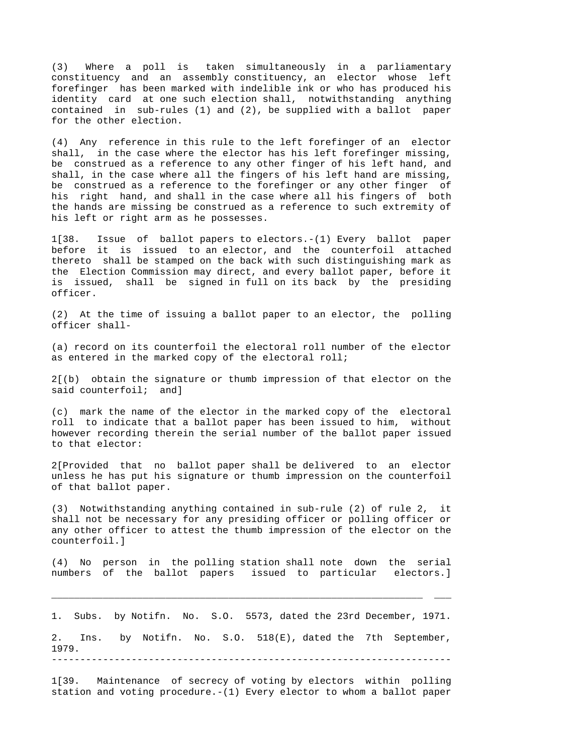(3) Where a poll is taken simultaneously in a parliamentary constituency and an assembly constituency, an elector whose left forefinger has been marked with indelible ink or who has produced his identity card at one such election shall, notwithstanding anything contained in sub-rules (1) and (2), be supplied with a ballot paper for the other election.

(4) Any reference in this rule to the left forefinger of an elector shall, in the case where the elector has his left forefinger missing, be construed as a reference to any other finger of his left hand, and shall, in the case where all the fingers of his left hand are missing, be construed as a reference to the forefinger or any other finger of his right hand, and shall in the case where all his fingers of both the hands are missing be construed as a reference to such extremity of his left or right arm as he possesses.

1[38. Issue of ballot papers to electors.-(1) Every ballot paper before it is issued to an elector, and the counterfoil attached thereto shall be stamped on the back with such distinguishing mark as the Election Commission may direct, and every ballot paper, before it is issued, shall be signed in full on its back by the presiding officer.

(2) At the time of issuing a ballot paper to an elector, the polling officer shall-

(a) record on its counterfoil the electoral roll number of the elector as entered in the marked copy of the electoral roll;

2[(b) obtain the signature or thumb impression of that elector on the said counterfoil; and]

(c) mark the name of the elector in the marked copy of the electoral roll to indicate that a ballot paper has been issued to him, without however recording therein the serial number of the ballot paper issued to that elector:

2[Provided that no ballot paper shall be delivered to an elector unless he has put his signature or thumb impression on the counterfoil of that ballot paper.

(3) Notwithstanding anything contained in sub-rule (2) of rule 2, it shall not be necessary for any presiding officer or polling officer or any other officer to attest the thumb impression of the elector on the counterfoil.]

(4) No person in the polling station shall note down the serial numbers of the ballot papers issued to particular electors.]

1. Subs. by Notifn. No. S.O. 5573, dated the 23rd December, 1971.

\_\_\_\_\_\_\_\_\_\_\_\_\_\_\_\_\_\_\_\_\_\_\_\_\_\_\_\_\_\_\_\_\_\_\_\_\_\_\_\_\_\_\_\_\_\_\_\_\_\_\_\_\_\_\_\_\_\_\_\_\_\_\_\_\_ \_\_\_

2. Ins. by Notifn. No. S.O. 518(E), dated the 7th September, 1979. ----------------------------------------------------------------------

1[39. Maintenance of secrecy of voting by electors within polling station and voting procedure.-(1) Every elector to whom a ballot paper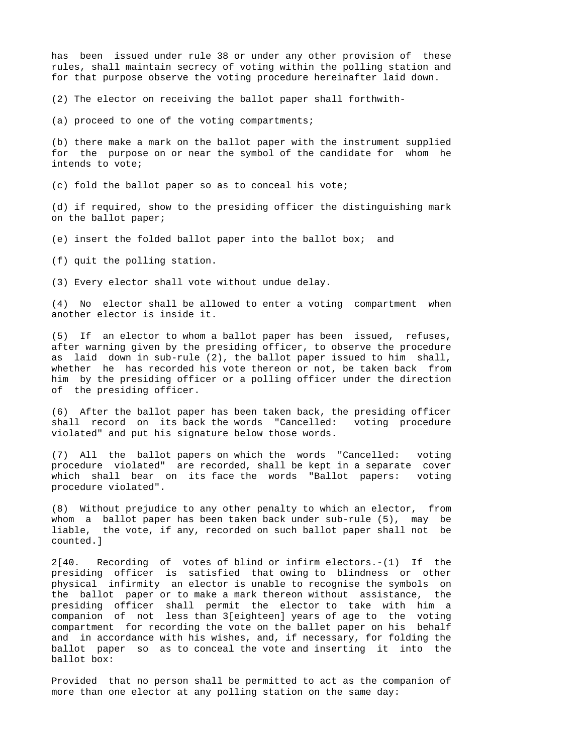has been issued under rule 38 or under any other provision of these rules, shall maintain secrecy of voting within the polling station and for that purpose observe the voting procedure hereinafter laid down.

(2) The elector on receiving the ballot paper shall forthwith-

(a) proceed to one of the voting compartments;

(b) there make a mark on the ballot paper with the instrument supplied for the purpose on or near the symbol of the candidate for whom he intends to vote;

(c) fold the ballot paper so as to conceal his vote;

(d) if required, show to the presiding officer the distinguishing mark on the ballot paper;

(e) insert the folded ballot paper into the ballot box; and

(f) quit the polling station.

(3) Every elector shall vote without undue delay.

(4) No elector shall be allowed to enter a voting compartment when another elector is inside it.

(5) If an elector to whom a ballot paper has been issued, refuses, after warning given by the presiding officer, to observe the procedure as laid down in sub-rule (2), the ballot paper issued to him shall, whether he has recorded his vote thereon or not, be taken back from him by the presiding officer or a polling officer under the direction of the presiding officer.

(6) After the ballot paper has been taken back, the presiding officer shall record on its back the words "Cancelled: voting procedure violated" and put his signature below those words.

(7) All the ballot papers on which the words "Cancelled: voting procedure violated" are recorded, shall be kept in a separate cover which shall bear on its face the words "Ballot papers: voting procedure violated".

(8) Without prejudice to any other penalty to which an elector, from whom a ballot paper has been taken back under sub-rule (5), may be liable, the vote, if any, recorded on such ballot paper shall not be counted.]

2[40. Recording of votes of blind or infirm electors.-(1) If the presiding officer is satisfied that owing to blindness or other physical infirmity an elector is unable to recognise the symbols on the ballot paper or to make a mark thereon without assistance, the presiding officer shall permit the elector to take with him a companion of not less than 3[eighteen] years of age to the voting compartment for recording the vote on the ballet paper on his behalf and in accordance with his wishes, and, if necessary, for folding the ballot paper so as to conceal the vote and inserting it into the ballot box:

Provided that no person shall be permitted to act as the companion of more than one elector at any polling station on the same day: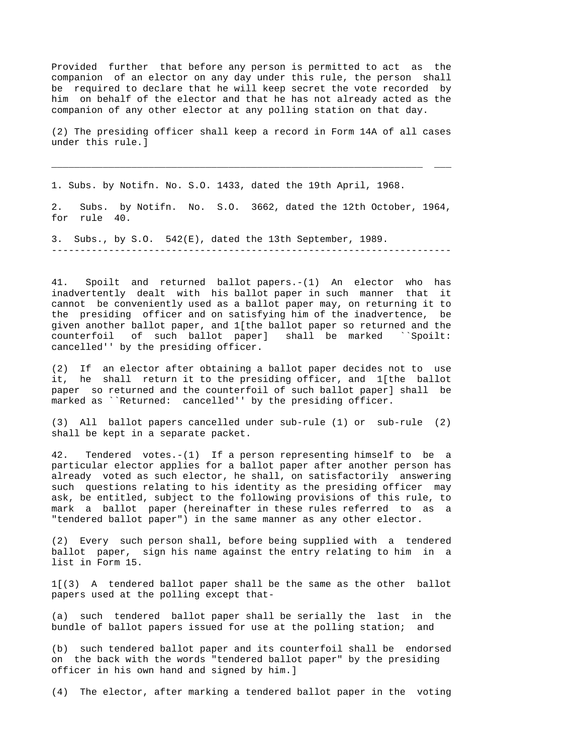Provided further that before any person is permitted to act as the companion of an elector on any day under this rule, the person shall be required to declare that he will keep secret the vote recorded by him on behalf of the elector and that he has not already acted as the companion of any other elector at any polling station on that day.

(2) The presiding officer shall keep a record in Form 14A of all cases under this rule.]

\_\_\_\_\_\_\_\_\_\_\_\_\_\_\_\_\_\_\_\_\_\_\_\_\_\_\_\_\_\_\_\_\_\_\_\_\_\_\_\_\_\_\_\_\_\_\_\_\_\_\_\_\_\_\_\_\_\_\_\_\_\_\_\_\_ \_\_\_

1. Subs. by Notifn. No. S.O. 1433, dated the 19th April, 1968.

2. Subs. by Notifn. No. S.O. 3662, dated the 12th October, 1964, for rule 40.

----------------------------------------------------------------------

3. Subs., by S.O. 542(E), dated the 13th September, 1989.

41. Spoilt and returned ballot papers.-(1) An elector who has inadvertently dealt with his ballot paper in such manner that it cannot be conveniently used as a ballot paper may, on returning it to the presiding officer and on satisfying him of the inadvertence, be given another ballot paper, and 1[the ballot paper so returned and the counterfoil of such ballot paper] shall be marked ``Spoilt: cancelled'' by the presiding officer.

(2) If an elector after obtaining a ballot paper decides not to use it, he shall return it to the presiding officer, and 1[the ballot paper so returned and the counterfoil of such ballot paper] shall be marked as ``Returned: cancelled'' by the presiding officer.

(3) All ballot papers cancelled under sub-rule (1) or sub-rule (2) shall be kept in a separate packet.

42. Tendered votes.-(1) If a person representing himself to be a particular elector applies for a ballot paper after another person has already voted as such elector, he shall, on satisfactorily answering such questions relating to his identity as the presiding officer may ask, be entitled, subject to the following provisions of this rule, to mark a ballot paper (hereinafter in these rules referred to as a "tendered ballot paper") in the same manner as any other elector.

(2) Every such person shall, before being supplied with a tendered ballot paper, sign his name against the entry relating to him in a list in Form 15.

1[(3) A tendered ballot paper shall be the same as the other ballot papers used at the polling except that-

(a) such tendered ballot paper shall be serially the last in the bundle of ballot papers issued for use at the polling station; and

(b) such tendered ballot paper and its counterfoil shall be endorsed on the back with the words "tendered ballot paper" by the presiding officer in his own hand and signed by him.]

(4) The elector, after marking a tendered ballot paper in the voting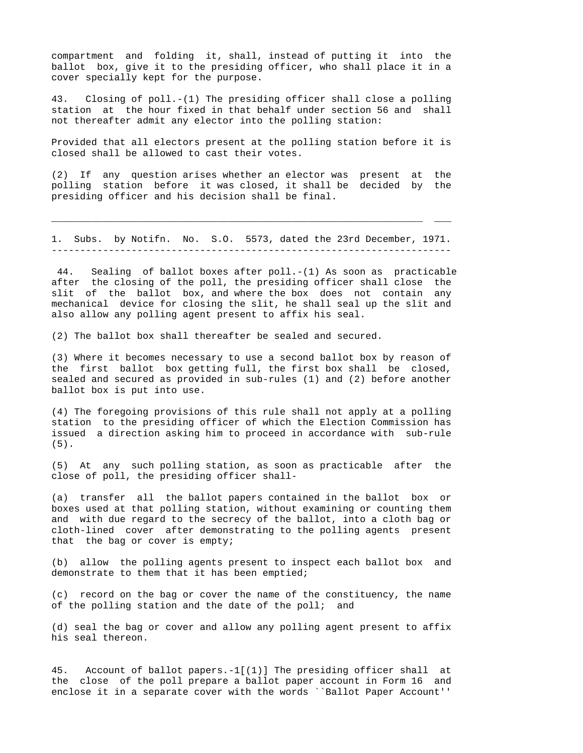compartment and folding it, shall, instead of putting it into the ballot box, give it to the presiding officer, who shall place it in a cover specially kept for the purpose.

43. Closing of poll.-(1) The presiding officer shall close a polling station at the hour fixed in that behalf under section 56 and shall not thereafter admit any elector into the polling station:

Provided that all electors present at the polling station before it is closed shall be allowed to cast their votes.

(2) If any question arises whether an elector was present at the polling station before it was closed, it shall be decided by the presiding officer and his decision shall be final.

1. Subs. by Notifn. No. S.O. 5573, dated the 23rd December, 1971. ----------------------------------------------------------------------

\_\_\_\_\_\_\_\_\_\_\_\_\_\_\_\_\_\_\_\_\_\_\_\_\_\_\_\_\_\_\_\_\_\_\_\_\_\_\_\_\_\_\_\_\_\_\_\_\_\_\_\_\_\_\_\_\_\_\_\_\_\_\_\_\_ \_\_\_

 44. Sealing of ballot boxes after poll.-(1) As soon as practicable after the closing of the poll, the presiding officer shall close the slit of the ballot box, and where the box does not contain any mechanical device for closing the slit, he shall seal up the slit and also allow any polling agent present to affix his seal.

(2) The ballot box shall thereafter be sealed and secured.

(3) Where it becomes necessary to use a second ballot box by reason of the first ballot box getting full, the first box shall be closed, sealed and secured as provided in sub-rules (1) and (2) before another ballot box is put into use.

(4) The foregoing provisions of this rule shall not apply at a polling station to the presiding officer of which the Election Commission has issued a direction asking him to proceed in accordance with sub-rule (5).

(5) At any such polling station, as soon as practicable after the close of poll, the presiding officer shall-

(a) transfer all the ballot papers contained in the ballot box or boxes used at that polling station, without examining or counting them and with due regard to the secrecy of the ballot, into a cloth bag or cloth-lined cover after demonstrating to the polling agents present that the bag or cover is empty;

(b) allow the polling agents present to inspect each ballot box and demonstrate to them that it has been emptied;

(c) record on the bag or cover the name of the constituency, the name of the polling station and the date of the poll; and

(d) seal the bag or cover and allow any polling agent present to affix his seal thereon.

45. Account of ballot papers.-1[(1)] The presiding officer shall at the close of the poll prepare a ballot paper account in Form 16 and enclose it in a separate cover with the words ``Ballot Paper Account''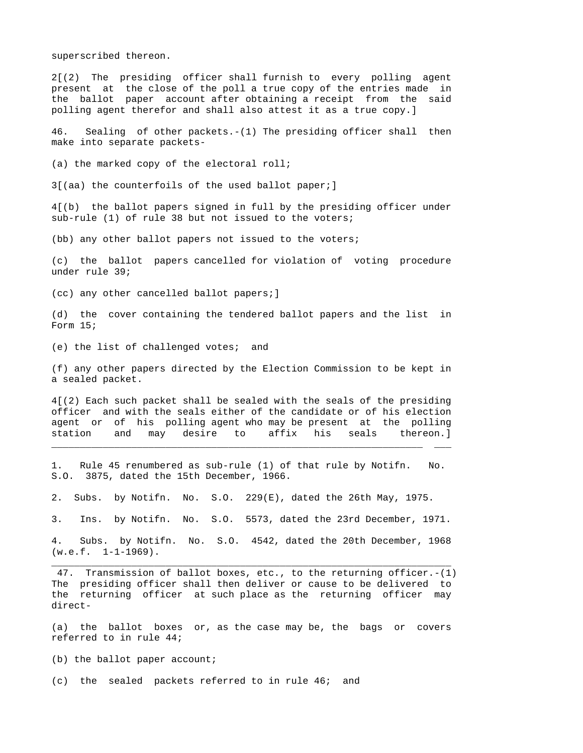superscribed thereon.

2[(2) The presiding officer shall furnish to every polling agent present at the close of the poll a true copy of the entries made in the ballot paper account after obtaining a receipt from the said polling agent therefor and shall also attest it as a true copy.]

46. Sealing of other packets.-(1) The presiding officer shall then make into separate packets-

(a) the marked copy of the electoral roll;

3[(aa) the counterfoils of the used ballot paper;]

4[(b) the ballot papers signed in full by the presiding officer under sub-rule (1) of rule 38 but not issued to the voters;

(bb) any other ballot papers not issued to the voters;

(c) the ballot papers cancelled for violation of voting procedure under rule 39;

(cc) any other cancelled ballot papers;]

(d) the cover containing the tendered ballot papers and the list in Form 15;

(e) the list of challenged votes; and

(f) any other papers directed by the Election Commission to be kept in a sealed packet.

4[(2) Each such packet shall be sealed with the seals of the presiding officer and with the seals either of the candidate or of his election agent or of his polling agent who may be present at the polling station and may desire to affix his seals thereon.]

\_\_\_\_\_\_\_\_\_\_\_\_\_\_\_\_\_\_\_\_\_\_\_\_\_\_\_\_\_\_\_\_\_\_\_\_\_\_\_\_\_\_\_\_\_\_\_\_\_\_\_\_\_\_\_\_\_\_\_\_\_\_\_\_\_ \_\_\_

1. Rule 45 renumbered as sub-rule (1) of that rule by Notifn. No. S.O. 3875, dated the 15th December, 1966.

2. Subs. by Notifn. No. S.O. 229(E), dated the 26th May, 1975.

3. Ins. by Notifn. No. S.O. 5573, dated the 23rd December, 1971.

4. Subs. by Notifn. No. S.O. 4542, dated the 20th December, 1968  $(w.e.f. 1-1-1969)$ . \_\_\_\_\_\_\_\_\_\_\_\_\_\_\_\_\_\_\_\_\_\_\_\_\_\_\_\_\_\_\_\_\_\_\_\_\_\_\_\_\_\_\_\_\_\_\_\_\_\_\_\_\_\_\_\_\_\_\_\_\_\_\_\_\_\_\_\_\_\_

 47. Transmission of ballot boxes, etc., to the returning officer.-(1) The presiding officer shall then deliver or cause to be delivered to the returning officer at such place as the returning officer may direct-

(a) the ballot boxes or, as the case may be, the bags or covers referred to in rule 44;

(b) the ballot paper account;

(c) the sealed packets referred to in rule 46; and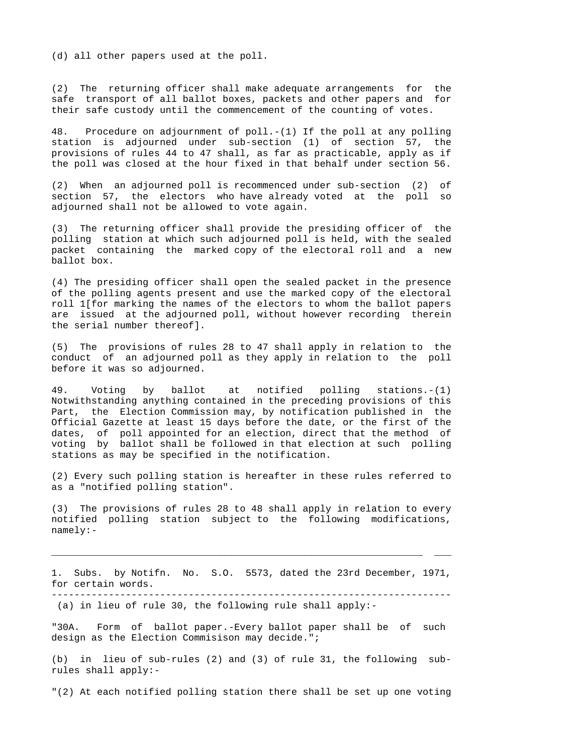(d) all other papers used at the poll.

(2) The returning officer shall make adequate arrangements for the safe transport of all ballot boxes, packets and other papers and for their safe custody until the commencement of the counting of votes.

48. Procedure on adjournment of poll.-(1) If the poll at any polling station is adjourned under sub-section (1) of section 57, the provisions of rules 44 to 47 shall, as far as practicable, apply as if the poll was closed at the hour fixed in that behalf under section 56.

(2) When an adjourned poll is recommenced under sub-section (2) of section 57, the electors who have already voted at the poll so adjourned shall not be allowed to vote again.

(3) The returning officer shall provide the presiding officer of the polling station at which such adjourned poll is held, with the sealed packet containing the marked copy of the electoral roll and a new ballot box.

(4) The presiding officer shall open the sealed packet in the presence of the polling agents present and use the marked copy of the electoral roll 1[for marking the names of the electors to whom the ballot papers are issued at the adjourned poll, without however recording therein the serial number thereof].

(5) The provisions of rules 28 to 47 shall apply in relation to the conduct of an adjourned poll as they apply in relation to the poll before it was so adjourned.

49. Voting by ballot at notified polling stations.-(1) Notwithstanding anything contained in the preceding provisions of this Part, the Election Commission may, by notification published in the Official Gazette at least 15 days before the date, or the first of the dates, of poll appointed for an election, direct that the method of voting by ballot shall be followed in that election at such polling stations as may be specified in the notification.

(2) Every such polling station is hereafter in these rules referred to as a "notified polling station".

(3) The provisions of rules 28 to 48 shall apply in relation to every notified polling station subject to the following modifications, namely:-

1. Subs. by Notifn. No. S.O. 5573, dated the 23rd December, 1971, for certain words. ----------------------------------------------------------------------

\_\_\_\_\_\_\_\_\_\_\_\_\_\_\_\_\_\_\_\_\_\_\_\_\_\_\_\_\_\_\_\_\_\_\_\_\_\_\_\_\_\_\_\_\_\_\_\_\_\_\_\_\_\_\_\_\_\_\_\_\_\_\_\_\_ \_\_\_

(a) in lieu of rule 30, the following rule shall apply:-

"30A. Form of ballot paper.-Every ballot paper shall be of such design as the Election Commisison may decide.";

(b) in lieu of sub-rules (2) and (3) of rule 31, the following subrules shall apply:-

"(2) At each notified polling station there shall be set up one voting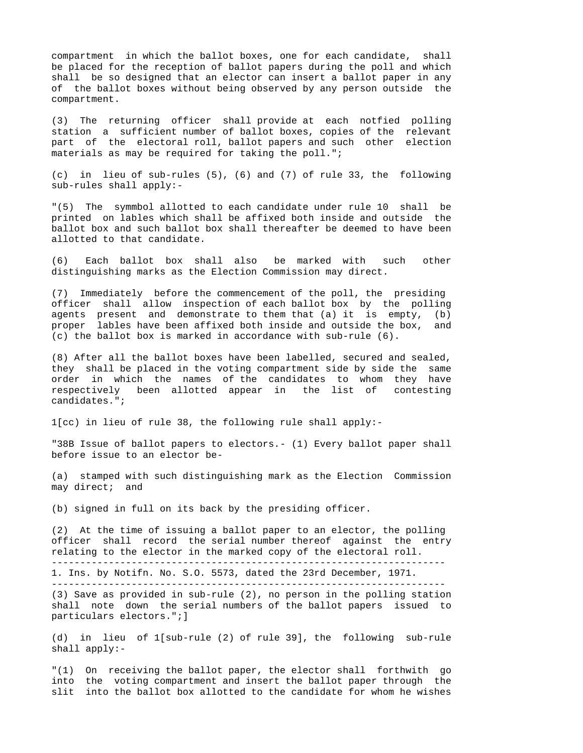compartment in which the ballot boxes, one for each candidate, shall be placed for the reception of ballot papers during the poll and which shall be so designed that an elector can insert a ballot paper in any of the ballot boxes without being observed by any person outside the compartment.

(3) The returning officer shall provide at each notfied polling station a sufficient number of ballot boxes, copies of the relevant part of the electoral roll, ballot papers and such other election materials as may be required for taking the poll.";

(c) in lieu of sub-rules (5), (6) and (7) of rule 33, the following sub-rules shall apply:-

"(5) The symmbol allotted to each candidate under rule 10 shall be printed on lables which shall be affixed both inside and outside the ballot box and such ballot box shall thereafter be deemed to have been allotted to that candidate.

(6) Each ballot box shall also be marked with such other distinguishing marks as the Election Commission may direct.

(7) Immediately before the commencement of the poll, the presiding officer shall allow inspection of each ballot box by the polling agents present and demonstrate to them that (a) it is empty, (b) proper lables have been affixed both inside and outside the box, and (c) the ballot box is marked in accordance with sub-rule (6).

(8) After all the ballot boxes have been labelled, secured and sealed, they shall be placed in the voting compartment side by side the same order in which the names of the candidates to whom they have respectively been allotted appear in the list of contesting candidates.";

1[cc) in lieu of rule 38, the following rule shall apply:-

"38B Issue of ballot papers to electors.- (1) Every ballot paper shall before issue to an elector be-

(a) stamped with such distinguishing mark as the Election Commission may direct; and

(b) signed in full on its back by the presiding officer.

(2) At the time of issuing a ballot paper to an elector, the polling officer shall record the serial number thereof against the entry relating to the elector in the marked copy of the electoral roll. ---------------------------------------------------------------------

1. Ins. by Notifn. No. S.O. 5573, dated the 23rd December, 1971.

---------------------------------------------------------------------

(3) Save as provided in sub-rule (2), no person in the polling station shall note down the serial numbers of the ballot papers issued to particulars electors.";]

(d) in lieu of 1[sub-rule (2) of rule 39], the following sub-rule shall apply:-

"(1) On receiving the ballot paper, the elector shall forthwith go into the voting compartment and insert the ballot paper through the slit into the ballot box allotted to the candidate for whom he wishes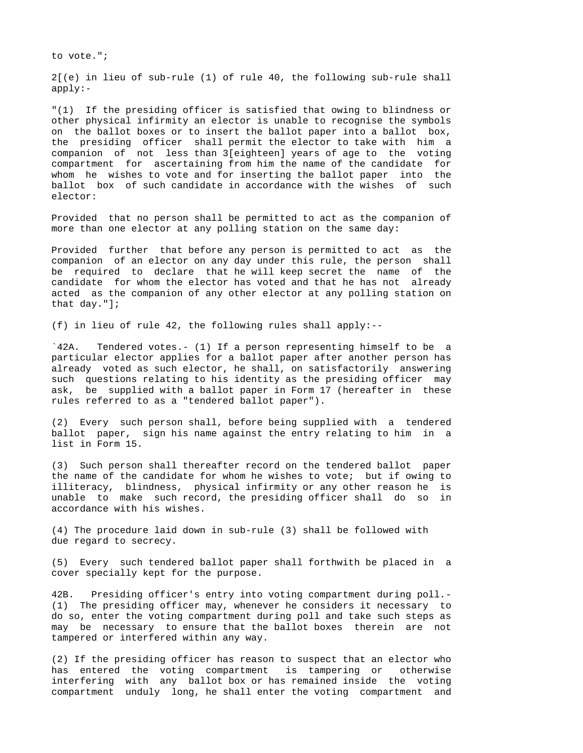to vote.";

2[(e) in lieu of sub-rule (1) of rule 40, the following sub-rule shall apply:-

"(1) If the presiding officer is satisfied that owing to blindness or other physical infirmity an elector is unable to recognise the symbols on the ballot boxes or to insert the ballot paper into a ballot box, the presiding officer shall permit the elector to take with him a companion of not less than 3[eighteen] years of age to the voting compartment for ascertaining from him the name of the candidate for whom he wishes to vote and for inserting the ballot paper into the ballot box of such candidate in accordance with the wishes of such elector:

Provided that no person shall be permitted to act as the companion of more than one elector at any polling station on the same day:

Provided further that before any person is permitted to act as the companion of an elector on any day under this rule, the person shall be required to declare that he will keep secret the name of the candidate for whom the elector has voted and that he has not already acted as the companion of any other elector at any polling station on that day."];

(f) in lieu of rule 42, the following rules shall apply:--

`42A. Tendered votes.- (1) If a person representing himself to be a particular elector applies for a ballot paper after another person has already voted as such elector, he shall, on satisfactorily answering such questions relating to his identity as the presiding officer may ask, be supplied with a ballot paper in Form 17 (hereafter in these rules referred to as a "tendered ballot paper").

(2) Every such person shall, before being supplied with a tendered ballot paper, sign his name against the entry relating to him in a list in Form 15.

(3) Such person shall thereafter record on the tendered ballot paper the name of the candidate for whom he wishes to vote; but if owing to illiteracy, blindness, physical infirmity or any other reason he is unable to make such record, the presiding officer shall do so in accordance with his wishes.

(4) The procedure laid down in sub-rule (3) shall be followed with due regard to secrecy.

(5) Every such tendered ballot paper shall forthwith be placed in a cover specially kept for the purpose.

42B. Presiding officer's entry into voting compartment during poll.- (1) The presiding officer may, whenever he considers it necessary to do so, enter the voting compartment during poll and take such steps as may be necessary to ensure that the ballot boxes therein are not tampered or interfered within any way.

(2) If the presiding officer has reason to suspect that an elector who has entered the voting compartment is tampering or otherwise interfering with any ballot box or has remained inside the voting compartment unduly long, he shall enter the voting compartment and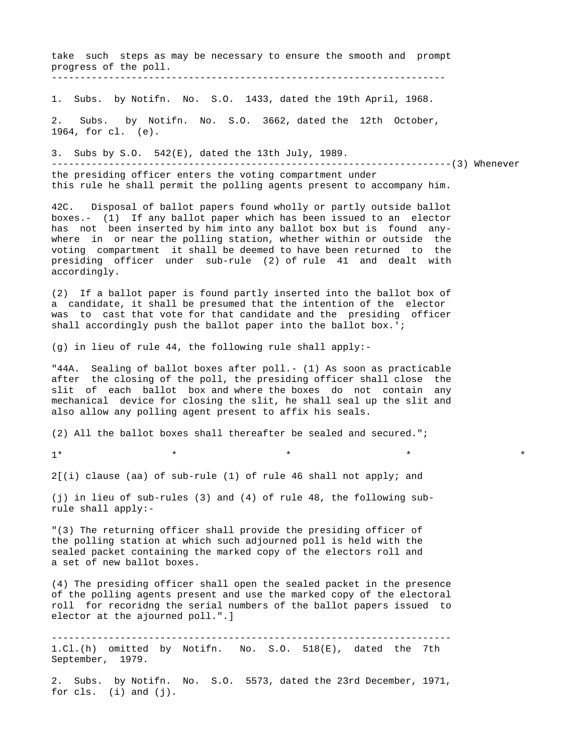take such steps as may be necessary to ensure the smooth and prompt progress of the poll. ---------------------------------------------------------------------

1. Subs. by Notifn. No. S.O. 1433, dated the 19th April, 1968.

2. Subs. by Notifn. No. S.O. 3662, dated the 12th October, 1964, for cl. (e).

3. Subs by S.O. 542(E), dated the 13th July, 1989.

----------------------------------------------------------------------(3) Whenever the presiding officer enters the voting compartment under

this rule he shall permit the polling agents present to accompany him.

42C. Disposal of ballot papers found wholly or partly outside ballot boxes.- (1) If any ballot paper which has been issued to an elector has not been inserted by him into any ballot box but is found anywhere in or near the polling station, whether within or outside the voting compartment it shall be deemed to have been returned to the presiding officer under sub-rule (2) of rule 41 and dealt with accordingly.

(2) If a ballot paper is found partly inserted into the ballot box of a candidate, it shall be presumed that the intention of the elector was to cast that vote for that candidate and the presiding officer shall accordingly push the ballot paper into the ballot box.';

(g) in lieu of rule 44, the following rule shall apply:-

"44A. Sealing of ballot boxes after poll.- (1) As soon as practicable after the closing of the poll, the presiding officer shall close the slit of each ballot box and where the boxes do not contain any mechanical device for closing the slit, he shall seal up the slit and also allow any polling agent present to affix his seals.

(2) All the ballot boxes shall thereafter be sealed and secured.";

1\* \* \* \* \*

2[(i) clause (aa) of sub-rule (1) of rule 46 shall not apply; and

(j) in lieu of sub-rules (3) and (4) of rule 48, the following subrule shall apply:-

"(3) The returning officer shall provide the presiding officer of the polling station at which such adjourned poll is held with the sealed packet containing the marked copy of the electors roll and a set of new ballot boxes.

(4) The presiding officer shall open the sealed packet in the presence of the polling agents present and use the marked copy of the electoral roll for recoridng the serial numbers of the ballot papers issued to elector at the ajourned poll.".]

---------------------------------------------------------------------- 1.Cl.(h) omitted by Notifn. No. S.O. 518(E), dated the 7th September, 1979.

2. Subs. by Notifn. No. S.O. 5573, dated the 23rd December, 1971, for cls. (i) and (j).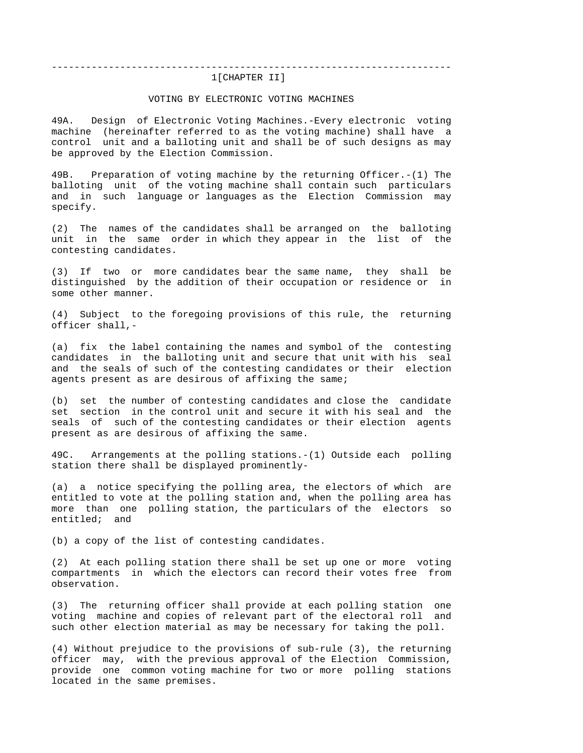# ---------------------------------------------------------------------- 1[CHAPTER II]

### VOTING BY ELECTRONIC VOTING MACHINES

49A. Design of Electronic Voting Machines.-Every electronic voting machine (hereinafter referred to as the voting machine) shall have a control unit and a balloting unit and shall be of such designs as may be approved by the Election Commission.

49B. Preparation of voting machine by the returning Officer.-(1) The balloting unit of the voting machine shall contain such particulars and in such language or languages as the Election Commission may specify.

(2) The names of the candidates shall be arranged on the balloting unit in the same order in which they appear in the list of the contesting candidates.

(3) If two or more candidates bear the same name, they shall be distinguished by the addition of their occupation or residence or in some other manner.

(4) Subject to the foregoing provisions of this rule, the returning officer shall,-

(a) fix the label containing the names and symbol of the contesting candidates in the balloting unit and secure that unit with his seal and the seals of such of the contesting candidates or their election agents present as are desirous of affixing the same;

(b) set the number of contesting candidates and close the candidate set section in the control unit and secure it with his seal and the seals of such of the contesting candidates or their election agents present as are desirous of affixing the same.

49C. Arrangements at the polling stations.-(1) Outside each polling station there shall be displayed prominently-

(a) a notice specifying the polling area, the electors of which are entitled to vote at the polling station and, when the polling area has more than one polling station, the particulars of the electors so entitled; and

(b) a copy of the list of contesting candidates.

(2) At each polling station there shall be set up one or more voting compartments in which the electors can record their votes free from observation.

(3) The returning officer shall provide at each polling station one voting machine and copies of relevant part of the electoral roll and such other election material as may be necessary for taking the poll.

(4) Without prejudice to the provisions of sub-rule (3), the returning officer may, with the previous approval of the Election Commission, provide one common voting machine for two or more polling stations located in the same premises.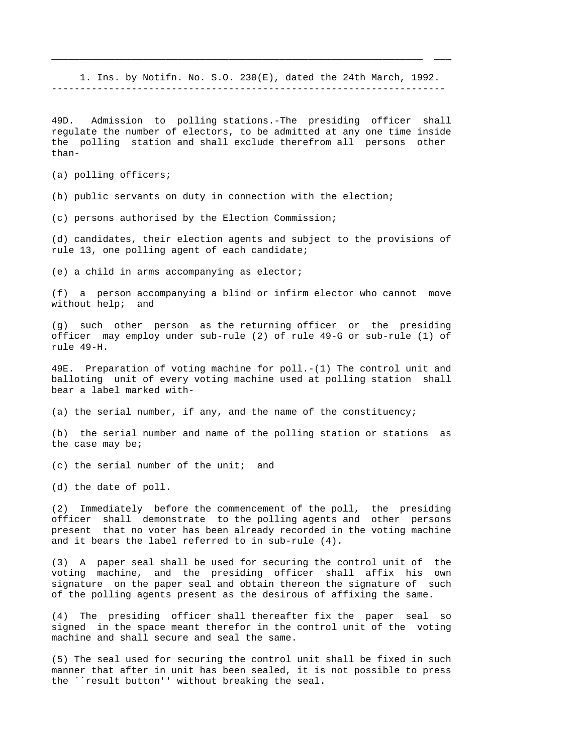1. Ins. by Notifn. No. S.O. 230(E), dated the 24th March, 1992. ---------------------------------------------------------------------

\_\_\_\_\_\_\_\_\_\_\_\_\_\_\_\_\_\_\_\_\_\_\_\_\_\_\_\_\_\_\_\_\_\_\_\_\_\_\_\_\_\_\_\_\_\_\_\_\_\_\_\_\_\_\_\_\_\_\_\_\_\_\_\_\_ \_\_\_

49D. Admission to polling stations.-The presiding officer shall regulate the number of electors, to be admitted at any one time inside the polling station and shall exclude therefrom all persons other than-

(a) polling officers;

(b) public servants on duty in connection with the election;

(c) persons authorised by the Election Commission;

(d) candidates, their election agents and subject to the provisions of rule 13, one polling agent of each candidate;

(e) a child in arms accompanying as elector;

(f) a person accompanying a blind or infirm elector who cannot move without help; and

(g) such other person as the returning officer or the presiding officer may employ under sub-rule (2) of rule 49-G or sub-rule (1) of rule 49-H.

49E. Preparation of voting machine for poll.-(1) The control unit and balloting unit of every voting machine used at polling station shall bear a label marked with-

(a) the serial number, if any, and the name of the constituency;

(b) the serial number and name of the polling station or stations as the case may be;

 $(c)$  the serial number of the unit; and

(d) the date of poll.

(2) Immediately before the commencement of the poll, the presiding officer shall demonstrate to the polling agents and other persons present that no voter has been already recorded in the voting machine and it bears the label referred to in sub-rule (4).

(3) A paper seal shall be used for securing the control unit of the voting machine, and the presiding officer shall affix his own signature on the paper seal and obtain thereon the signature of such of the polling agents present as the desirous of affixing the same.

(4) The presiding officer shall thereafter fix the paper seal so signed in the space meant therefor in the control unit of the voting machine and shall secure and seal the same.

(5) The seal used for securing the control unit shall be fixed in such manner that after in unit has been sealed, it is not possible to press the ``result button'' without breaking the seal.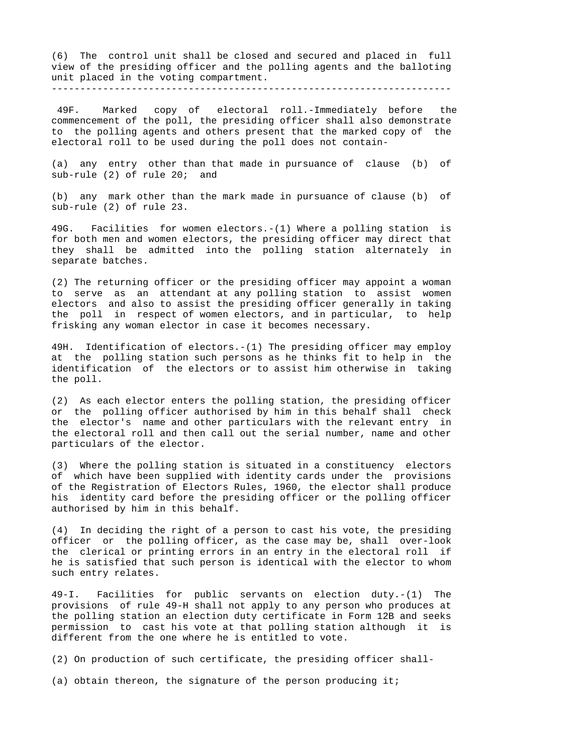(6) The control unit shall be closed and secured and placed in full view of the presiding officer and the polling agents and the balloting unit placed in the voting compartment. ----------------------------------------------------------------------

 49F. Marked copy of electoral roll.-Immediately before the commencement of the poll, the presiding officer shall also demonstrate to the polling agents and others present that the marked copy of the electoral roll to be used during the poll does not contain-

(a) any entry other than that made in pursuance of clause (b) of sub-rule (2) of rule 20; and

(b) any mark other than the mark made in pursuance of clause (b) of sub-rule (2) of rule 23.

49G. Facilities for women electors.-(1) Where a polling station is for both men and women electors, the presiding officer may direct that they shall be admitted into the polling station alternately in separate batches.

(2) The returning officer or the presiding officer may appoint a woman to serve as an attendant at any polling station to assist women electors and also to assist the presiding officer generally in taking the poll in respect of women electors, and in particular, to help frisking any woman elector in case it becomes necessary.

49H. Identification of electors.-(1) The presiding officer may employ at the polling station such persons as he thinks fit to help in the identification of the electors or to assist him otherwise in taking the poll.

(2) As each elector enters the polling station, the presiding officer or the polling officer authorised by him in this behalf shall check the elector's name and other particulars with the relevant entry in the electoral roll and then call out the serial number, name and other particulars of the elector.

(3) Where the polling station is situated in a constituency electors of which have been supplied with identity cards under the provisions of the Registration of Electors Rules, 1960, the elector shall produce his identity card before the presiding officer or the polling officer authorised by him in this behalf.

(4) In deciding the right of a person to cast his vote, the presiding officer or the polling officer, as the case may be, shall over-look the clerical or printing errors in an entry in the electoral roll if he is satisfied that such person is identical with the elector to whom such entry relates.

49-I. Facilities for public servants on election duty.-(1) The provisions of rule 49-H shall not apply to any person who produces at the polling station an election duty certificate in Form 12B and seeks permission to cast his vote at that polling station although it is different from the one where he is entitled to vote.

(2) On production of such certificate, the presiding officer shall-

(a) obtain thereon, the signature of the person producing it;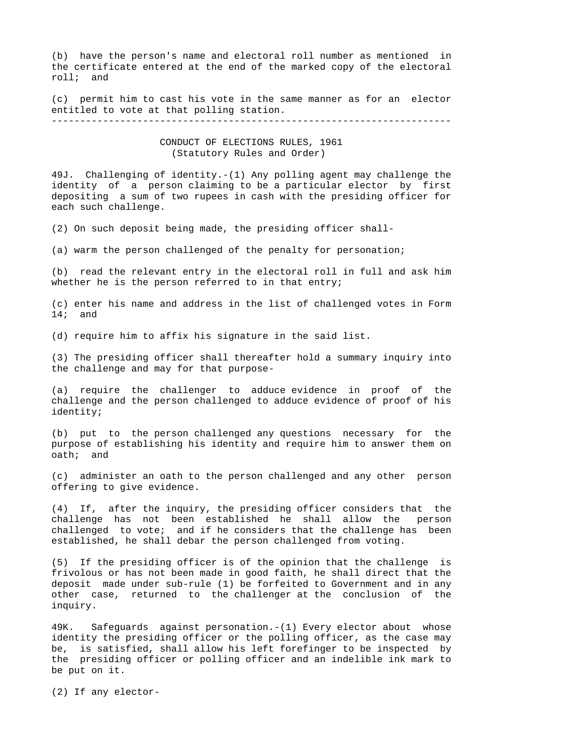(b) have the person's name and electoral roll number as mentioned in the certificate entered at the end of the marked copy of the electoral roll; and

(c) permit him to cast his vote in the same manner as for an elector entitled to vote at that polling station.

----------------------------------------------------------------------

# CONDUCT OF ELECTIONS RULES, 1961 (Statutory Rules and Order)

49J. Challenging of identity.-(1) Any polling agent may challenge the identity of a person claiming to be a particular elector by first depositing a sum of two rupees in cash with the presiding officer for each such challenge.

(2) On such deposit being made, the presiding officer shall-

(a) warm the person challenged of the penalty for personation;

(b) read the relevant entry in the electoral roll in full and ask him whether he is the person referred to in that entry;

(c) enter his name and address in the list of challenged votes in Form 14; and

(d) require him to affix his signature in the said list.

(3) The presiding officer shall thereafter hold a summary inquiry into the challenge and may for that purpose-

(a) require the challenger to adduce evidence in proof of the challenge and the person challenged to adduce evidence of proof of his identity;

(b) put to the person challenged any questions necessary for the purpose of establishing his identity and require him to answer them on oath; and

(c) administer an oath to the person challenged and any other person offering to give evidence.

(4) If, after the inquiry, the presiding officer considers that the challenge has not been established he shall allow the person challenged to vote; and if he considers that the challenge has been established, he shall debar the person challenged from voting.

(5) If the presiding officer is of the opinion that the challenge is frivolous or has not been made in good faith, he shall direct that the deposit made under sub-rule (1) be forfeited to Government and in any other case, returned to the challenger at the conclusion of the inquiry.

49K. Safeguards against personation.-(1) Every elector about whose identity the presiding officer or the polling officer, as the case may be, is satisfied, shall allow his left forefinger to be inspected by the presiding officer or polling officer and an indelible ink mark to be put on it.

(2) If any elector-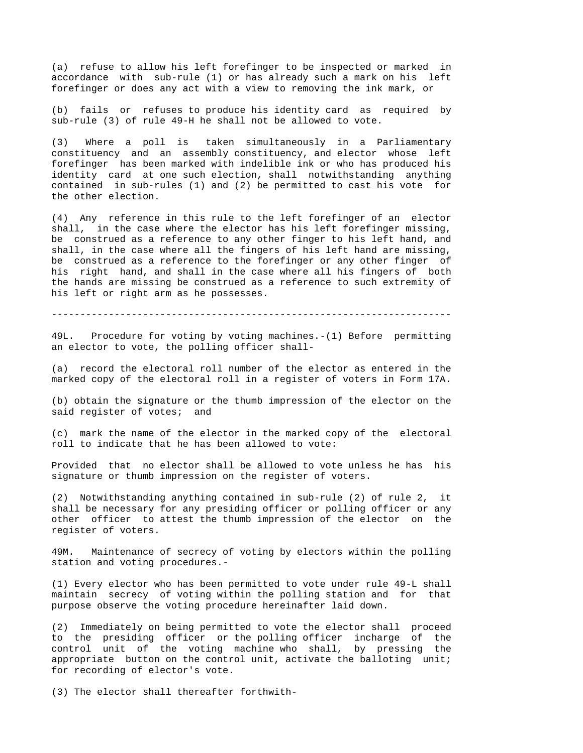(a) refuse to allow his left forefinger to be inspected or marked in accordance with sub-rule (1) or has already such a mark on his left forefinger or does any act with a view to removing the ink mark, or

(b) fails or refuses to produce his identity card as required by sub-rule (3) of rule 49-H he shall not be allowed to vote.

(3) Where a poll is taken simultaneously in a Parliamentary constituency and an assembly constituency, and elector whose left forefinger has been marked with indelible ink or who has produced his identity card at one such election, shall notwithstanding anything contained in sub-rules (1) and (2) be permitted to cast his vote for the other election.

(4) Any reference in this rule to the left forefinger of an elector shall, in the case where the elector has his left forefinger missing, be construed as a reference to any other finger to his left hand, and shall, in the case where all the fingers of his left hand are missing, be construed as a reference to the forefinger or any other finger of his right hand, and shall in the case where all his fingers of both the hands are missing be construed as a reference to such extremity of his left or right arm as he possesses.

----------------------------------------------------------------------

49L. Procedure for voting by voting machines.-(1) Before permitting an elector to vote, the polling officer shall-

(a) record the electoral roll number of the elector as entered in the marked copy of the electoral roll in a register of voters in Form 17A.

(b) obtain the signature or the thumb impression of the elector on the said register of votes; and

(c) mark the name of the elector in the marked copy of the electoral roll to indicate that he has been allowed to vote:

Provided that no elector shall be allowed to vote unless he has his signature or thumb impression on the register of voters.

(2) Notwithstanding anything contained in sub-rule (2) of rule 2, it shall be necessary for any presiding officer or polling officer or any other officer to attest the thumb impression of the elector on the register of voters.

49M. Maintenance of secrecy of voting by electors within the polling station and voting procedures.-

(1) Every elector who has been permitted to vote under rule 49-L shall maintain secrecy of voting within the polling station and for that purpose observe the voting procedure hereinafter laid down.

(2) Immediately on being permitted to vote the elector shall proceed to the presiding officer or the polling officer incharge of the control unit of the voting machine who shall, by pressing the appropriate button on the control unit, activate the balloting unit; for recording of elector's vote.

(3) The elector shall thereafter forthwith-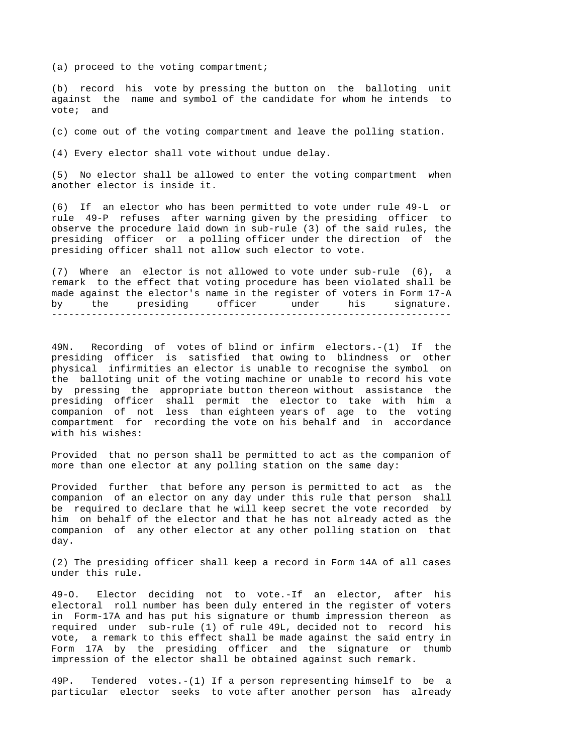(a) proceed to the voting compartment;

(b) record his vote by pressing the button on the balloting unit against the name and symbol of the candidate for whom he intends vote; and

(c) come out of the voting compartment and leave the polling station.

(4) Every elector shall vote without undue delay.

(5) No elector shall be allowed to enter the voting compartment when another elector is inside it.

(6) If an elector who has been permitted to vote under rule 49-L or rule 49-P refuses after warning given by the presiding officer to observe the procedure laid down in sub-rule (3) of the said rules, the presiding officer or a polling officer under the direction of the presiding officer shall not allow such elector to vote.

(7) Where an elector is not allowed to vote under sub-rule (6), a remark to the effect that voting procedure has been violated shall be made against the elector's name in the register of voters in Form 17-A by the presiding officer under his signature. ----------------------------------------------------------------------

49N. Recording of votes of blind or infirm electors.-(1) If the presiding officer is satisfied that owing to blindness or other physical infirmities an elector is unable to recognise the symbol on the balloting unit of the voting machine or unable to record his vote by pressing the appropriate button thereon without assistance the presiding officer shall permit the elector to take with him a companion of not less than eighteen years of age to the voting compartment for recording the vote on his behalf and in accordance with his wishes:

Provided that no person shall be permitted to act as the companion of more than one elector at any polling station on the same day:

Provided further that before any person is permitted to act as the companion of an elector on any day under this rule that person shall be required to declare that he will keep secret the vote recorded by him on behalf of the elector and that he has not already acted as the companion of any other elector at any other polling station on that day.

(2) The presiding officer shall keep a record in Form 14A of all cases under this rule.

49-O. Elector deciding not to vote.-If an elector, after his electoral roll number has been duly entered in the register of voters in Form-17A and has put his signature or thumb impression thereon as required under sub-rule (1) of rule 49L, decided not to record his vote, a remark to this effect shall be made against the said entry in Form 17A by the presiding officer and the signature or thumb impression of the elector shall be obtained against such remark.

49P. Tendered votes.-(1) If a person representing himself to be a particular elector seeks to vote after another person has already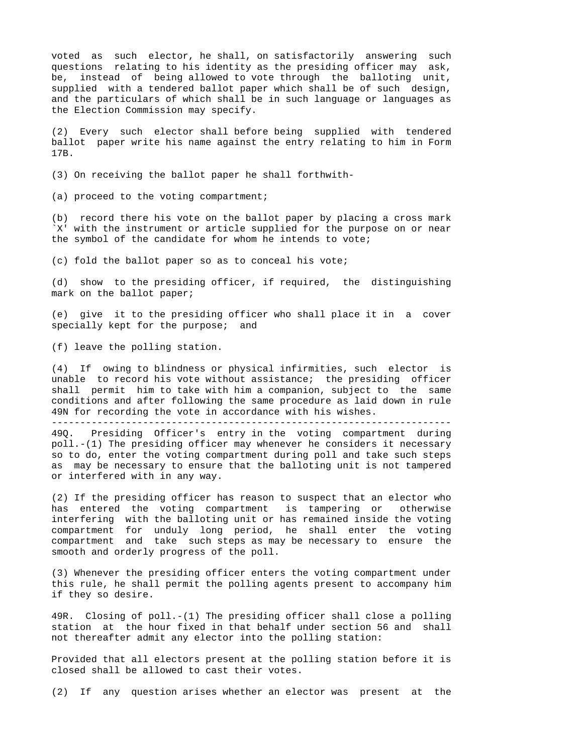voted as such elector, he shall, on satisfactorily answering such questions relating to his identity as the presiding officer may ask, be, instead of being allowed to vote through the balloting unit, supplied with a tendered ballot paper which shall be of such design, and the particulars of which shall be in such language or languages as the Election Commission may specify.

(2) Every such elector shall before being supplied with tendered ballot paper write his name against the entry relating to him in Form 17B.

(3) On receiving the ballot paper he shall forthwith-

(a) proceed to the voting compartment;

(b) record there his vote on the ballot paper by placing a cross mark `X' with the instrument or article supplied for the purpose on or near the symbol of the candidate for whom he intends to vote;

(c) fold the ballot paper so as to conceal his vote;

(d) show to the presiding officer, if required, the distinguishing mark on the ballot paper;

(e) give it to the presiding officer who shall place it in a cover specially kept for the purpose; and

(f) leave the polling station.

(4) If owing to blindness or physical infirmities, such elector is unable to record his vote without assistance; the presiding officer shall permit him to take with him a companion, subject to the same conditions and after following the same procedure as laid down in rule 49N for recording the vote in accordance with his wishes. ----------------------------------------------------------------------

49Q. Presiding Officer's entry in the voting compartment during poll.-(1) The presiding officer may whenever he considers it necessary so to do, enter the voting compartment during poll and take such steps as may be necessary to ensure that the balloting unit is not tampered or interfered with in any way.

(2) If the presiding officer has reason to suspect that an elector who has entered the voting compartment is tampering or otherwise interfering with the balloting unit or has remained inside the voting compartment for unduly long period, he shall enter the voting compartment and take such steps as may be necessary to ensure the smooth and orderly progress of the poll.

(3) Whenever the presiding officer enters the voting compartment under this rule, he shall permit the polling agents present to accompany him if they so desire.

49R. Closing of poll.-(1) The presiding officer shall close a polling station at the hour fixed in that behalf under section 56 and shall not thereafter admit any elector into the polling station:

Provided that all electors present at the polling station before it is closed shall be allowed to cast their votes.

(2) If any question arises whether an elector was present at the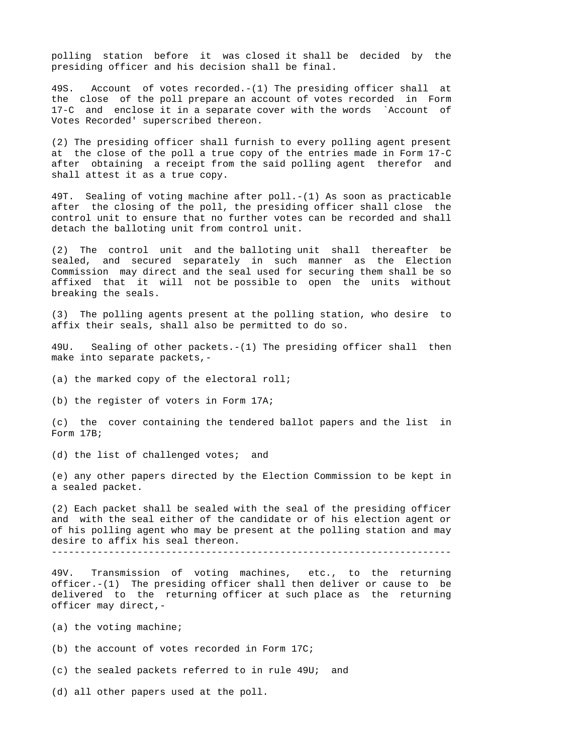polling station before it was closed it shall be decided by the presiding officer and his decision shall be final.

49S. Account of votes recorded.-(1) The presiding officer shall at the close of the poll prepare an account of votes recorded in Form 17-C and enclose it in a separate cover with the words `Account of Votes Recorded' superscribed thereon.

(2) The presiding officer shall furnish to every polling agent present at the close of the poll a true copy of the entries made in Form 17-C after obtaining a receipt from the said polling agent therefor and shall attest it as a true copy.

49T. Sealing of voting machine after poll.-(1) As soon as practicable after the closing of the poll, the presiding officer shall close the control unit to ensure that no further votes can be recorded and shall detach the balloting unit from control unit.

(2) The control unit and the balloting unit shall thereafter be sealed, and secured separately in such manner as the Election Commission may direct and the seal used for securing them shall be so affixed that it will not be possible to open the units without breaking the seals.

(3) The polling agents present at the polling station, who desire to affix their seals, shall also be permitted to do so.

49U. Sealing of other packets.-(1) The presiding officer shall then make into separate packets,-

(a) the marked copy of the electoral roll;

(b) the register of voters in Form 17A;

(c) the cover containing the tendered ballot papers and the list in Form 17B;

(d) the list of challenged votes; and

(e) any other papers directed by the Election Commission to be kept in a sealed packet.

(2) Each packet shall be sealed with the seal of the presiding officer and with the seal either of the candidate or of his election agent or of his polling agent who may be present at the polling station and may desire to affix his seal thereon. ----------------------------------------------------------------------

49V. Transmission of voting machines, etc., to the returning officer.-(1) The presiding officer shall then deliver or cause to be delivered to the returning officer at such place as the returning officer may direct,-

(a) the voting machine;

(b) the account of votes recorded in Form 17C;

(c) the sealed packets referred to in rule 49U; and

(d) all other papers used at the poll.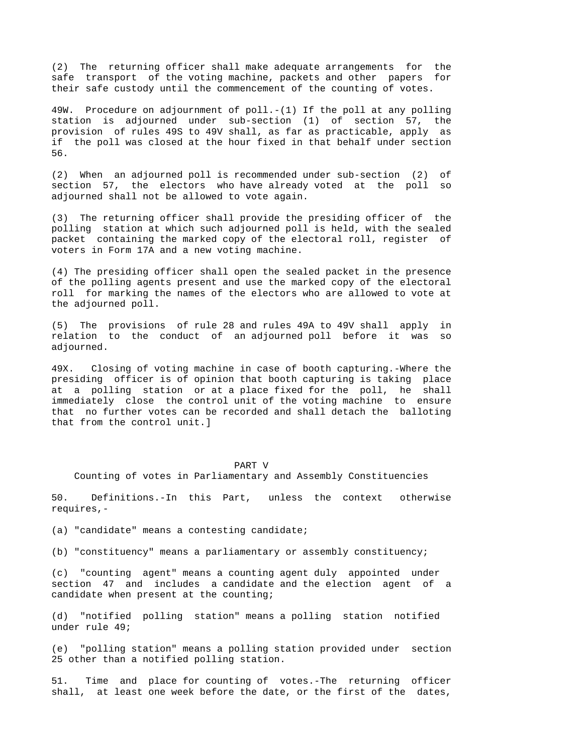(2) The returning officer shall make adequate arrangements for the safe transport of the voting machine, packets and other papers for their safe custody until the commencement of the counting of votes.

49W. Procedure on adjournment of poll.-(1) If the poll at any polling station is adjourned under sub-section (1) of section 57, the provision of rules 49S to 49V shall, as far as practicable, apply as if the poll was closed at the hour fixed in that behalf under section 56.

(2) When an adjourned poll is recommended under sub-section (2) of section 57, the electors who have already voted at the poll so adjourned shall not be allowed to vote again.

(3) The returning officer shall provide the presiding officer of the polling station at which such adjourned poll is held, with the sealed packet containing the marked copy of the electoral roll, register of voters in Form 17A and a new voting machine.

(4) The presiding officer shall open the sealed packet in the presence of the polling agents present and use the marked copy of the electoral roll for marking the names of the electors who are allowed to vote at the adjourned poll.

(5) The provisions of rule 28 and rules 49A to 49V shall apply in relation to the conduct of an adjourned poll before it was so adjourned.

49X. Closing of voting machine in case of booth capturing.-Where the presiding officer is of opinion that booth capturing is taking place at a polling station or at a place fixed for the poll, he shall immediately close the control unit of the voting machine to ensure that no further votes can be recorded and shall detach the balloting that from the control unit.]

### PART V

Counting of votes in Parliamentary and Assembly Constituencies

50. Definitions.-In this Part, unless the context otherwise requires,-

(a) "candidate" means a contesting candidate;

(b) "constituency" means a parliamentary or assembly constituency;

(c) "counting agent" means a counting agent duly appointed under section 47 and includes a candidate and the election agent of a candidate when present at the counting;

(d) "notified polling station" means a polling station notified under rule 49;

(e) "polling station" means a polling station provided under section 25 other than a notified polling station.

51. Time and place for counting of votes.-The returning officer shall, at least one week before the date, or the first of the dates,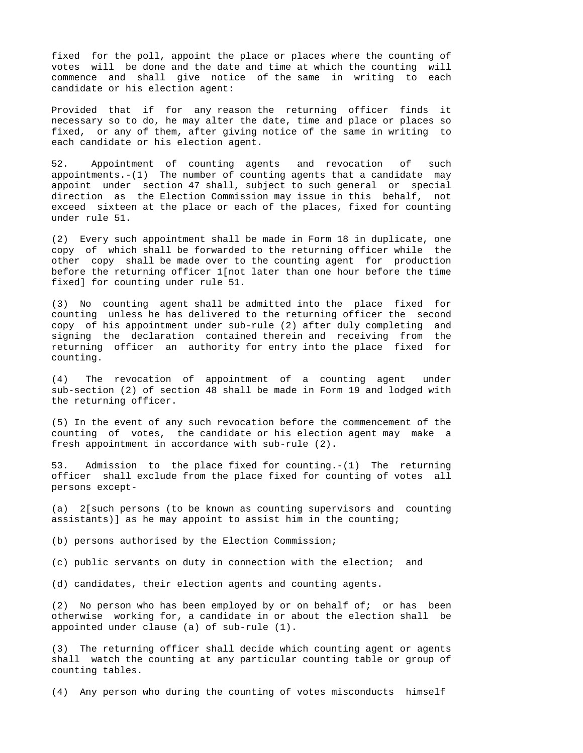fixed for the poll, appoint the place or places where the counting of votes will be done and the date and time at which the counting will commence and shall give notice of the same in writing to each candidate or his election agent:

Provided that if for any reason the returning officer finds it necessary so to do, he may alter the date, time and place or places so fixed, or any of them, after giving notice of the same in writing to each candidate or his election agent.

52. Appointment of counting agents and revocation of such appointments. $-(1)$  The number of counting agents that a candidate may appoint under section 47 shall, subject to such general or special direction as the Election Commission may issue in this behalf, not exceed sixteen at the place or each of the places, fixed for counting under rule 51.

(2) Every such appointment shall be made in Form 18 in duplicate, one copy of which shall be forwarded to the returning officer while the other copy shall be made over to the counting agent for production before the returning officer 1[not later than one hour before the time fixed] for counting under rule 51.

(3) No counting agent shall be admitted into the place fixed for counting unless he has delivered to the returning officer the second copy of his appointment under sub-rule (2) after duly completing and signing the declaration contained therein and receiving from the returning officer an authority for entry into the place fixed for counting.

(4) The revocation of appointment of a counting agent under sub-section (2) of section 48 shall be made in Form 19 and lodged with the returning officer.

(5) In the event of any such revocation before the commencement of the counting of votes, the candidate or his election agent may make a fresh appointment in accordance with sub-rule (2).

53. Admission to the place fixed for counting.-(1) The returning officer shall exclude from the place fixed for counting of votes all persons except-

(a) 2[such persons (to be known as counting supervisors and counting assistants)] as he may appoint to assist him in the counting;

(b) persons authorised by the Election Commission;

(c) public servants on duty in connection with the election; and

(d) candidates, their election agents and counting agents.

(2) No person who has been employed by or on behalf of; or has been otherwise working for, a candidate in or about the election shall be appointed under clause (a) of sub-rule (1).

(3) The returning officer shall decide which counting agent or agents shall watch the counting at any particular counting table or group of counting tables.

(4) Any person who during the counting of votes misconducts himself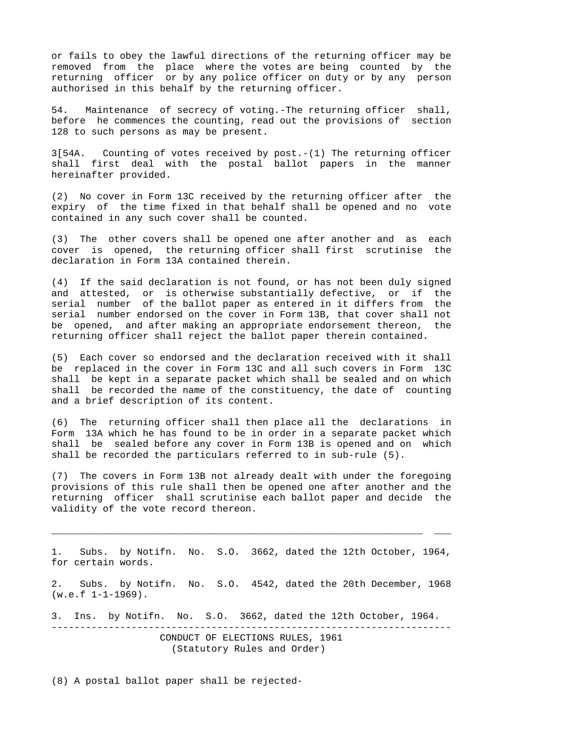or fails to obey the lawful directions of the returning officer may be removed from the place where the votes are being counted by the returning officer or by any police officer on duty or by any person authorised in this behalf by the returning officer.

54. Maintenance of secrecy of voting.-The returning officer shall, before he commences the counting, read out the provisions of section 128 to such persons as may be present.

3[54A. Counting of votes received by post.-(1) The returning officer shall first deal with the postal ballot papers in the manner hereinafter provided.

(2) No cover in Form 13C received by the returning officer after the expiry of the time fixed in that behalf shall be opened and no vote contained in any such cover shall be counted.

(3) The other covers shall be opened one after another and as each cover is opened, the returning officer shall first scrutinise the declaration in Form 13A contained therein.

(4) If the said declaration is not found, or has not been duly signed and attested, or is otherwise substantially defective, or if the serial number of the ballot paper as entered in it differs from the serial number endorsed on the cover in Form 13B, that cover shall not be opened, and after making an appropriate endorsement thereon, the returning officer shall reject the ballot paper therein contained.

(5) Each cover so endorsed and the declaration received with it shall be replaced in the cover in Form 13C and all such covers in Form 13C shall be kept in a separate packet which shall be sealed and on which shall be recorded the name of the constituency, the date of counting and a brief description of its content.

(6) The returning officer shall then place all the declarations in Form 13A which he has found to be in order in a separate packet which shall be sealed before any cover in Form 13B is opened and on which shall be recorded the particulars referred to in sub-rule (5).

(7) The covers in Form 13B not already dealt with under the foregoing provisions of this rule shall then be opened one after another and the returning officer shall scrutinise each ballot paper and decide the validity of the vote record thereon.

1. Subs. by Notifn. No. S.O. 3662, dated the 12th October, 1964, for certain words.

\_\_\_\_\_\_\_\_\_\_\_\_\_\_\_\_\_\_\_\_\_\_\_\_\_\_\_\_\_\_\_\_\_\_\_\_\_\_\_\_\_\_\_\_\_\_\_\_\_\_\_\_\_\_\_\_\_\_\_\_\_\_\_\_\_ \_\_\_

2. Subs. by Notifn. No. S.O. 4542, dated the 20th December, 1968  $(w.e.f 1-1-1969)$ .

3. Ins. by Notifn. No. S.O. 3662, dated the 12th October, 1964.

---------------------------------------------------------------------- CONDUCT OF ELECTIONS RULES, 1961 (Statutory Rules and Order)

(8) A postal ballot paper shall be rejected-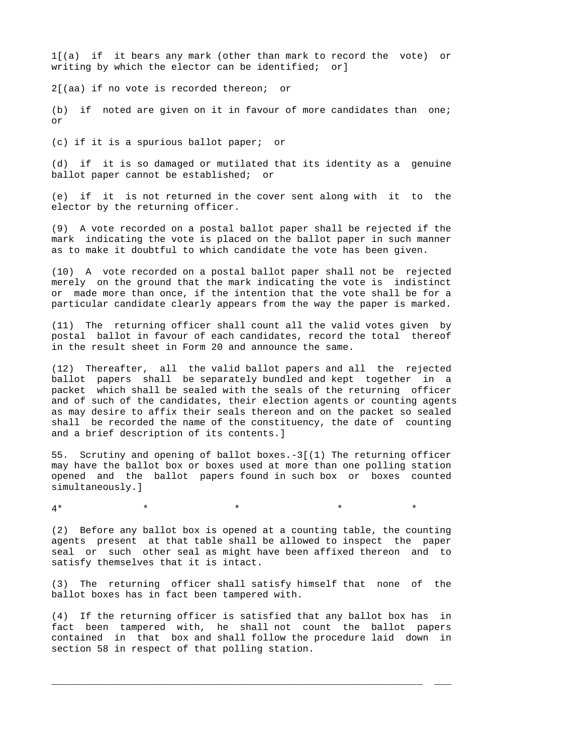1[(a) if it bears any mark (other than mark to record the vote) or writing by which the elector can be identified; or]

2[(aa) if no vote is recorded thereon; or

(b) if noted are given on it in favour of more candidates than one; or

(c) if it is a spurious ballot paper; or

(d) if it is so damaged or mutilated that its identity as a genuine ballot paper cannot be established; or

(e) if it is not returned in the cover sent along with it to the elector by the returning officer.

(9) A vote recorded on a postal ballot paper shall be rejected if the mark indicating the vote is placed on the ballot paper in such manner as to make it doubtful to which candidate the vote has been given.

(10) A vote recorded on a postal ballot paper shall not be rejected merely on the ground that the mark indicating the vote is indistinct or made more than once, if the intention that the vote shall be for a particular candidate clearly appears from the way the paper is marked.

(11) The returning officer shall count all the valid votes given by postal ballot in favour of each candidates, record the total thereof in the result sheet in Form 20 and announce the same.

(12) Thereafter, all the valid ballot papers and all the rejected ballot papers shall be separately bundled and kept together in a packet which shall be sealed with the seals of the returning officer and of such of the candidates, their election agents or counting agents as may desire to affix their seals thereon and on the packet so sealed shall be recorded the name of the constituency, the date of counting and a brief description of its contents.]

55. Scrutiny and opening of ballot boxes.-3[(1) The returning officer may have the ballot box or boxes used at more than one polling station opened and the ballot papers found in such box or boxes counted simultaneously.]

 $4*$  \* \* \* \* \* \* \*

(2) Before any ballot box is opened at a counting table, the counting agents present at that table shall be allowed to inspect the paper seal or such other seal as might have been affixed thereon and to satisfy themselves that it is intact.

(3) The returning officer shall satisfy himself that none of the ballot boxes has in fact been tampered with.

(4) If the returning officer is satisfied that any ballot box has in fact been tampered with, he shall not count the ballot papers contained in that box and shall follow the procedure laid down in section 58 in respect of that polling station.

\_\_\_\_\_\_\_\_\_\_\_\_\_\_\_\_\_\_\_\_\_\_\_\_\_\_\_\_\_\_\_\_\_\_\_\_\_\_\_\_\_\_\_\_\_\_\_\_\_\_\_\_\_\_\_\_\_\_\_\_\_\_\_\_\_ \_\_\_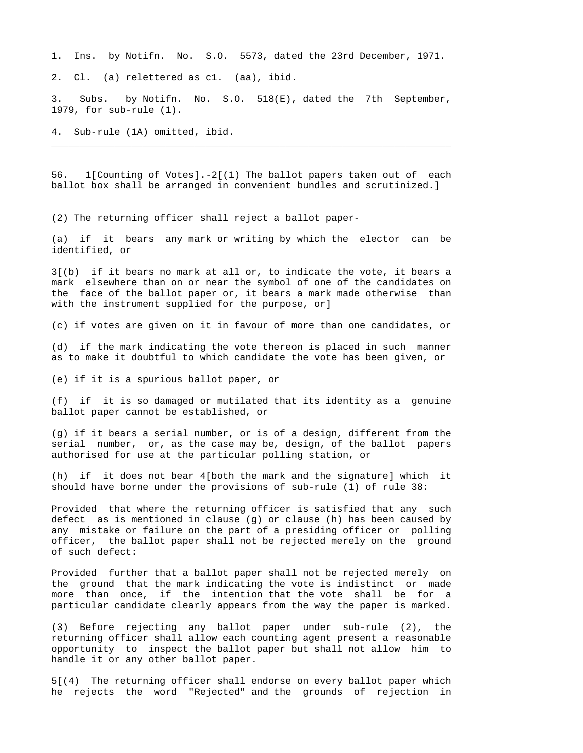1. Ins. by Notifn. No. S.O. 5573, dated the 23rd December, 1971.

2. Cl. (a) relettered as c1. (aa), ibid.

3. Subs. by Notifn. No. S.O. 518(E), dated the 7th September, 1979, for sub-rule (1).

\_\_\_\_\_\_\_\_\_\_\_\_\_\_\_\_\_\_\_\_\_\_\_\_\_\_\_\_\_\_\_\_\_\_\_\_\_\_\_\_\_\_\_\_\_\_\_\_\_\_\_\_\_\_\_\_\_\_\_\_\_\_\_\_\_\_\_\_\_\_

4. Sub-rule (1A) omitted, ibid.

56. 1[Counting of Votes].-2[(1) The ballot papers taken out of each ballot box shall be arranged in convenient bundles and scrutinized.]

(2) The returning officer shall reject a ballot paper-

(a) if it bears any mark or writing by which the elector can be identified, or

3[(b) if it bears no mark at all or, to indicate the vote, it bears a mark elsewhere than on or near the symbol of one of the candidates on the face of the ballot paper or, it bears a mark made otherwise than with the instrument supplied for the purpose, or]

(c) if votes are given on it in favour of more than one candidates, or

(d) if the mark indicating the vote thereon is placed in such manner as to make it doubtful to which candidate the vote has been given, or

(e) if it is a spurious ballot paper, or

(f) if it is so damaged or mutilated that its identity as a genuine ballot paper cannot be established, or

(g) if it bears a serial number, or is of a design, different from the serial number, or, as the case may be, design, of the ballot papers authorised for use at the particular polling station, or

(h) if it does not bear 4[both the mark and the signature] which it should have borne under the provisions of sub-rule (1) of rule 38:

Provided that where the returning officer is satisfied that any such defect as is mentioned in clause (g) or clause (h) has been caused by any mistake or failure on the part of a presiding officer or polling officer, the ballot paper shall not be rejected merely on the ground of such defect:

Provided further that a ballot paper shall not be rejected merely on the ground that the mark indicating the vote is indistinct or made more than once, if the intention that the vote shall be for a particular candidate clearly appears from the way the paper is marked.

(3) Before rejecting any ballot paper under sub-rule (2), the returning officer shall allow each counting agent present a reasonable opportunity to inspect the ballot paper but shall not allow him to handle it or any other ballot paper.

5[(4) The returning officer shall endorse on every ballot paper which he rejects the word "Rejected" and the grounds of rejection in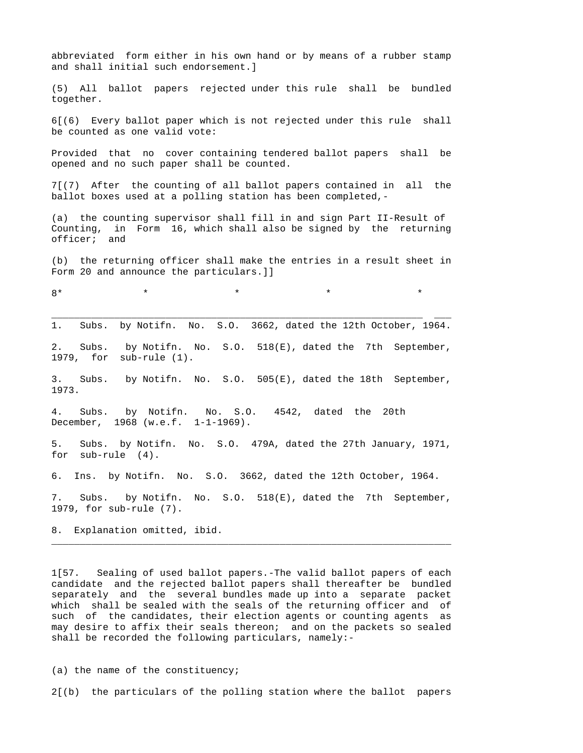abbreviated form either in his own hand or by means of a rubber stamp and shall initial such endorsement.]

(5) All ballot papers rejected under this rule shall be bundled together.

6[(6) Every ballot paper which is not rejected under this rule shall be counted as one valid vote:

Provided that no cover containing tendered ballot papers shall be opened and no such paper shall be counted.

7[(7) After the counting of all ballot papers contained in all the ballot boxes used at a polling station has been completed,-

(a) the counting supervisor shall fill in and sign Part II-Result of Counting, in Form 16, which shall also be signed by the returning officer; and

(b) the returning officer shall make the entries in a result sheet in Form 20 and announce the particulars.]]

8\* \* \* \* \*

\_\_\_\_\_\_\_\_\_\_\_\_\_\_\_\_\_\_\_\_\_\_\_\_\_\_\_\_\_\_\_\_\_\_\_\_\_\_\_\_\_\_\_\_\_\_\_\_\_\_\_\_\_\_\_\_\_\_\_\_\_\_\_\_\_ \_\_\_ 1. Subs. by Notifn. No. S.O. 3662, dated the 12th October, 1964.

2. Subs. by Notifn. No. S.O. 518(E), dated the 7th September, 1979, for sub-rule (1).

3. Subs. by Notifn. No. S.O. 505(E), dated the 18th September, 1973.

4. Subs. by Notifn. No. S.O. 4542, dated the 20th December, 1968 (w.e.f. 1-1-1969).

5. Subs. by Notifn. No. S.O. 479A, dated the 27th January, 1971, for sub-rule (4).

6. Ins. by Notifn. No. S.O. 3662, dated the 12th October, 1964.

7. Subs. by Notifn. No. S.O. 518(E), dated the 7th September, 1979, for sub-rule (7).

\_\_\_\_\_\_\_\_\_\_\_\_\_\_\_\_\_\_\_\_\_\_\_\_\_\_\_\_\_\_\_\_\_\_\_\_\_\_\_\_\_\_\_\_\_\_\_\_\_\_\_\_\_\_\_\_\_\_\_\_\_\_\_\_\_\_\_\_\_\_

8. Explanation omitted, ibid.

1[57. Sealing of used ballot papers.-The valid ballot papers of each candidate and the rejected ballot papers shall thereafter be bundled separately and the several bundles made up into a separate packet which shall be sealed with the seals of the returning officer and of such of the candidates, their election agents or counting agents as may desire to affix their seals thereon; and on the packets so sealed shall be recorded the following particulars, namely:-

(a) the name of the constituency;

2[(b) the particulars of the polling station where the ballot papers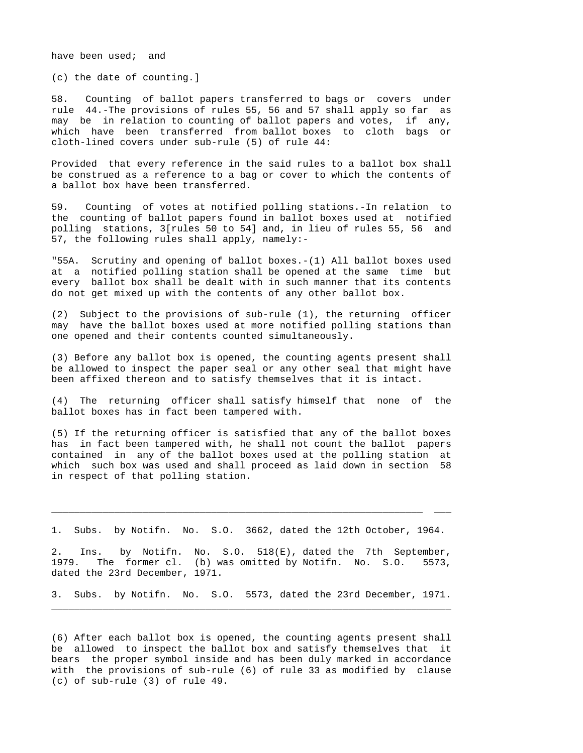have been used; and

(c) the date of counting.]

58. Counting of ballot papers transferred to bags or covers under rule 44.-The provisions of rules 55, 56 and 57 shall apply so far as may be in relation to counting of ballot papers and votes, if any, which have been transferred from ballot boxes to cloth bags or cloth-lined covers under sub-rule (5) of rule 44:

Provided that every reference in the said rules to a ballot box shall be construed as a reference to a bag or cover to which the contents of a ballot box have been transferred.

59. Counting of votes at notified polling stations.-In relation to the counting of ballot papers found in ballot boxes used at notified polling stations, 3[rules 50 to 54] and, in lieu of rules 55, 56 and 57, the following rules shall apply, namely:-

"55A. Scrutiny and opening of ballot boxes.-(1) All ballot boxes used at a notified polling station shall be opened at the same time but every ballot box shall be dealt with in such manner that its contents do not get mixed up with the contents of any other ballot box.

(2) Subject to the provisions of sub-rule (1), the returning officer may have the ballot boxes used at more notified polling stations than one opened and their contents counted simultaneously.

(3) Before any ballot box is opened, the counting agents present shall be allowed to inspect the paper seal or any other seal that might have been affixed thereon and to satisfy themselves that it is intact.

(4) The returning officer shall satisfy himself that none of the ballot boxes has in fact been tampered with.

(5) If the returning officer is satisfied that any of the ballot boxes has in fact been tampered with, he shall not count the ballot papers contained in any of the ballot boxes used at the polling station at which such box was used and shall proceed as laid down in section 58 in respect of that polling station.

1. Subs. by Notifn. No. S.O. 3662, dated the 12th October, 1964.

\_\_\_\_\_\_\_\_\_\_\_\_\_\_\_\_\_\_\_\_\_\_\_\_\_\_\_\_\_\_\_\_\_\_\_\_\_\_\_\_\_\_\_\_\_\_\_\_\_\_\_\_\_\_\_\_\_\_\_\_\_\_\_\_\_ \_\_\_

2. Ins. by Notifn. No. S.O. 518(E), dated the 7th September, 1979. The former cl. (b) was omitted by Notifn. No. S.O. 5573, dated the 23rd December, 1971.

3. Subs. by Notifn. No. S.O. 5573, dated the 23rd December, 1971. \_\_\_\_\_\_\_\_\_\_\_\_\_\_\_\_\_\_\_\_\_\_\_\_\_\_\_\_\_\_\_\_\_\_\_\_\_\_\_\_\_\_\_\_\_\_\_\_\_\_\_\_\_\_\_\_\_\_\_\_\_\_\_\_\_\_\_\_\_\_

(6) After each ballot box is opened, the counting agents present shall be allowed to inspect the ballot box and satisfy themselves that it bears the proper symbol inside and has been duly marked in accordance with the provisions of sub-rule (6) of rule 33 as modified by clause (c) of sub-rule (3) of rule 49.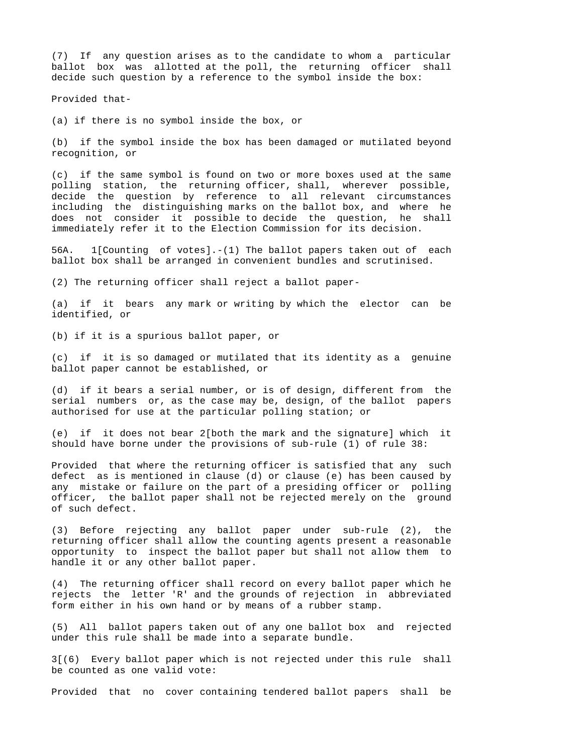(7) If any question arises as to the candidate to whom a particular ballot box was allotted at the poll, the returning officer shall decide such question by a reference to the symbol inside the box:

Provided that-

(a) if there is no symbol inside the box, or

(b) if the symbol inside the box has been damaged or mutilated beyond recognition, or

(c) if the same symbol is found on two or more boxes used at the same polling station, the returning officer, shall, wherever possible, decide the question by reference to all relevant circumstances including the distinguishing marks on the ballot box, and where he does not consider it possible to decide the question, he shall immediately refer it to the Election Commission for its decision.

56A. 1[Counting of votes].-(1) The ballot papers taken out of each ballot box shall be arranged in convenient bundles and scrutinised.

(2) The returning officer shall reject a ballot paper-

(a) if it bears any mark or writing by which the elector can be identified, or

(b) if it is a spurious ballot paper, or

(c) if it is so damaged or mutilated that its identity as a genuine ballot paper cannot be established, or

(d) if it bears a serial number, or is of design, different from the serial numbers or, as the case may be, design, of the ballot papers authorised for use at the particular polling station; or

(e) if it does not bear 2[both the mark and the signature] which it should have borne under the provisions of sub-rule (1) of rule 38:

Provided that where the returning officer is satisfied that any such defect as is mentioned in clause (d) or clause (e) has been caused by any mistake or failure on the part of a presiding officer or polling officer, the ballot paper shall not be rejected merely on the ground of such defect.

(3) Before rejecting any ballot paper under sub-rule (2), the returning officer shall allow the counting agents present a reasonable opportunity to inspect the ballot paper but shall not allow them to handle it or any other ballot paper.

(4) The returning officer shall record on every ballot paper which he rejects the letter 'R' and the grounds of rejection in abbreviated form either in his own hand or by means of a rubber stamp.

(5) All ballot papers taken out of any one ballot box and rejected under this rule shall be made into a separate bundle.

3[(6) Every ballot paper which is not rejected under this rule shall be counted as one valid vote:

Provided that no cover containing tendered ballot papers shall be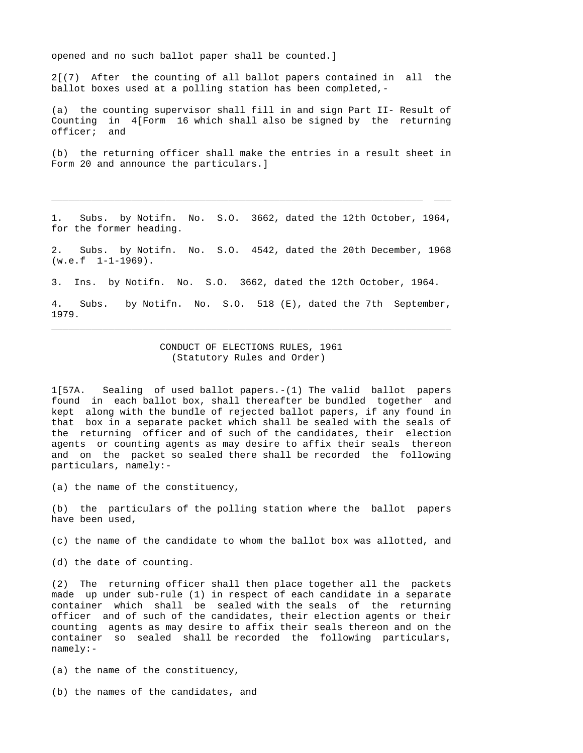opened and no such ballot paper shall be counted.]

2[(7) After the counting of all ballot papers contained in all the ballot boxes used at a polling station has been completed,-

(a) the counting supervisor shall fill in and sign Part II- Result of Counting in 4[Form 16 which shall also be signed by the returning officer; and

(b) the returning officer shall make the entries in a result sheet in Form 20 and announce the particulars.]

Subs. by Notifn. No. S.O. 3662, dated the 12th October, 1964, for the former heading.

\_\_\_\_\_\_\_\_\_\_\_\_\_\_\_\_\_\_\_\_\_\_\_\_\_\_\_\_\_\_\_\_\_\_\_\_\_\_\_\_\_\_\_\_\_\_\_\_\_\_\_\_\_\_\_\_\_\_\_\_\_\_\_\_\_ \_\_\_

2. Subs. by Notifn. No. S.O. 4542, dated the 20th December, 1968  $(w.e.f 1-1-1969)$ .

3. Ins. by Notifn. No. S.O. 3662, dated the 12th October, 1964.

4. Subs. by Notifn. No. S.O. 518 (E), dated the 7th September, 1979. \_\_\_\_\_\_\_\_\_\_\_\_\_\_\_\_\_\_\_\_\_\_\_\_\_\_\_\_\_\_\_\_\_\_\_\_\_\_\_\_\_\_\_\_\_\_\_\_\_\_\_\_\_\_\_\_\_\_\_\_\_\_\_\_\_\_\_\_\_\_

> CONDUCT OF ELECTIONS RULES, 1961 (Statutory Rules and Order)

1[57A. Sealing of used ballot papers.-(1) The valid ballot papers found in each ballot box, shall thereafter be bundled together and kept along with the bundle of rejected ballot papers, if any found in that box in a separate packet which shall be sealed with the seals of the returning officer and of such of the candidates, their election agents or counting agents as may desire to affix their seals thereon and on the packet so sealed there shall be recorded the following particulars, namely:-

(a) the name of the constituency,

(b) the particulars of the polling station where the ballot papers have been used,

(c) the name of the candidate to whom the ballot box was allotted, and

(d) the date of counting.

(2) The returning officer shall then place together all the packets made up under sub-rule (1) in respect of each candidate in a separate container which shall be sealed with the seals of the returning officer and of such of the candidates, their election agents or their counting agents as may desire to affix their seals thereon and on the container so sealed shall be recorded the following particulars, namely:-

(a) the name of the constituency,

(b) the names of the candidates, and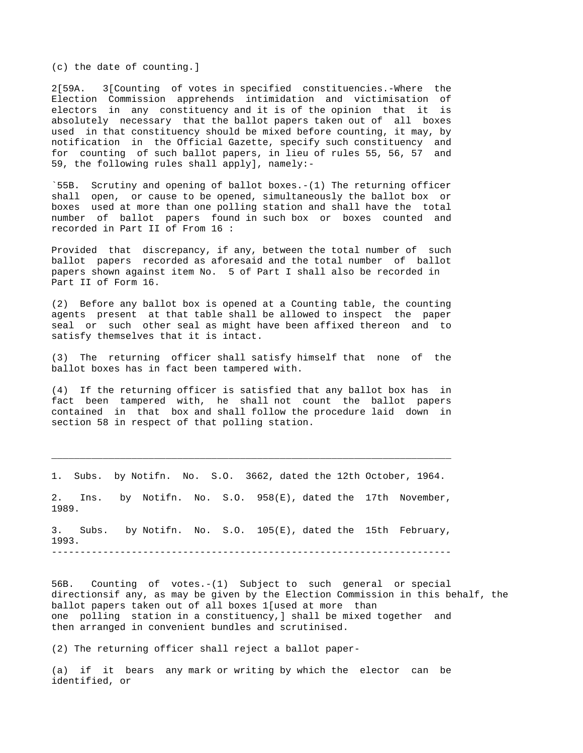(c) the date of counting.]

2[59A. 3[Counting of votes in specified constituencies.-Where the Election Commission apprehends intimidation and victimisation of electors in any constituency and it is of the opinion that it is absolutely necessary that the ballot papers taken out of all boxes used in that constituency should be mixed before counting, it may, by notification in the Official Gazette, specify such constituency and for counting of such ballot papers, in lieu of rules 55, 56, 57 and 59, the following rules shall apply], namely:-

`55B. Scrutiny and opening of ballot boxes.-(1) The returning officer shall open, or cause to be opened, simultaneously the ballot box or boxes used at more than one polling station and shall have the total number of ballot papers found in such box or boxes counted and recorded in Part II of From 16 :

Provided that discrepancy, if any, between the total number of such ballot papers recorded as aforesaid and the total number of ballot papers shown against item No. 5 of Part I shall also be recorded in Part II of Form 16.

(2) Before any ballot box is opened at a Counting table, the counting agents present at that table shall be allowed to inspect the paper seal or such other seal as might have been affixed thereon and to satisfy themselves that it is intact.

(3) The returning officer shall satisfy himself that none of the ballot boxes has in fact been tampered with.

(4) If the returning officer is satisfied that any ballot box has in fact been tampered with, he shall not count the ballot papers contained in that box and shall follow the procedure laid down in section 58 in respect of that polling station.

1. Subs. by Notifn. No. S.O. 3662, dated the 12th October, 1964.

\_\_\_\_\_\_\_\_\_\_\_\_\_\_\_\_\_\_\_\_\_\_\_\_\_\_\_\_\_\_\_\_\_\_\_\_\_\_\_\_\_\_\_\_\_\_\_\_\_\_\_\_\_\_\_\_\_\_\_\_\_\_\_\_\_\_\_\_\_\_

2. Ins. by Notifn. No. S.O. 958(E), dated the 17th November, 1989.

3. Subs. by Notifn. No. S.O. 105(E), dated the 15th February, 1993. ----------------------------------------------------------------------

56B. Counting of votes.-(1) Subject to such general or special directionsif any, as may be given by the Election Commission in this behalf, the ballot papers taken out of all boxes 1[used at more than one polling station in a constituency,] shall be mixed together and then arranged in convenient bundles and scrutinised.

(2) The returning officer shall reject a ballot paper-

(a) if it bears any mark or writing by which the elector can be identified, or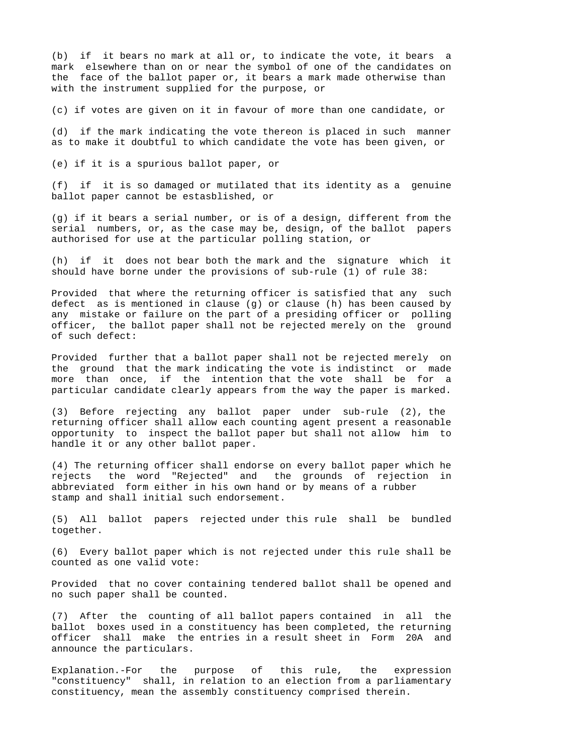(b) if it bears no mark at all or, to indicate the vote, it bears a mark elsewhere than on or near the symbol of one of the candidates on the face of the ballot paper or, it bears a mark made otherwise than with the instrument supplied for the purpose, or

(c) if votes are given on it in favour of more than one candidate, or

(d) if the mark indicating the vote thereon is placed in such manner as to make it doubtful to which candidate the vote has been given, or

(e) if it is a spurious ballot paper, or

(f) if it is so damaged or mutilated that its identity as a genuine ballot paper cannot be estasblished, or

(g) if it bears a serial number, or is of a design, different from the serial numbers, or, as the case may be, design, of the ballot papers authorised for use at the particular polling station, or

(h) if it does not bear both the mark and the signature which it should have borne under the provisions of sub-rule (1) of rule 38:

Provided that where the returning officer is satisfied that any such defect as is mentioned in clause (g) or clause (h) has been caused by any mistake or failure on the part of a presiding officer or polling officer, the ballot paper shall not be rejected merely on the ground of such defect:

Provided further that a ballot paper shall not be rejected merely on the ground that the mark indicating the vote is indistinct or made more than once, if the intention that the vote shall be for a particular candidate clearly appears from the way the paper is marked.

(3) Before rejecting any ballot paper under sub-rule (2), the returning officer shall allow each counting agent present a reasonable opportunity to inspect the ballot paper but shall not allow him to handle it or any other ballot paper.

(4) The returning officer shall endorse on every ballot paper which he rejects the word "Rejected" and the grounds of rejection in abbreviated form either in his own hand or by means of a rubber stamp and shall initial such endorsement.

(5) All ballot papers rejected under this rule shall be bundled together.

(6) Every ballot paper which is not rejected under this rule shall be counted as one valid vote:

Provided that no cover containing tendered ballot shall be opened and no such paper shall be counted.

(7) After the counting of all ballot papers contained in all the ballot boxes used in a constituency has been completed, the returning officer shall make the entries in a result sheet in Form 20A and announce the particulars.

Explanation.-For the purpose of this rule, the expression "constituency" shall, in relation to an election from a parliamentary constituency, mean the assembly constituency comprised therein.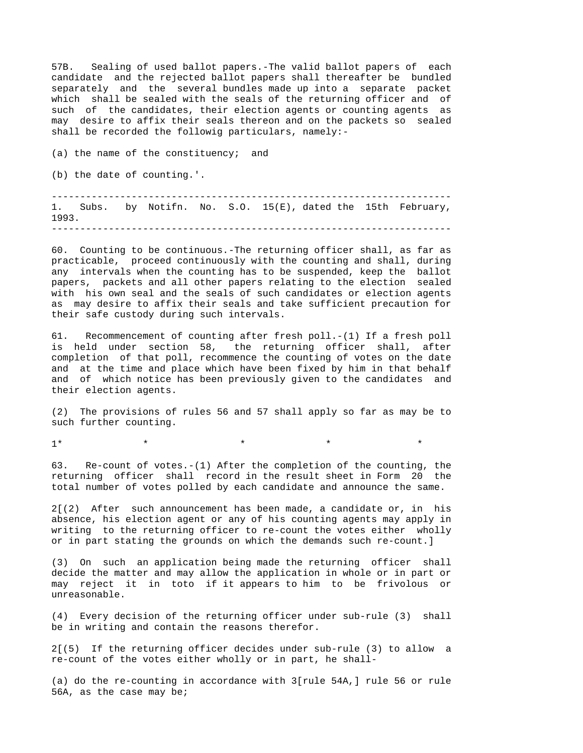57B. Sealing of used ballot papers.-The valid ballot papers of each candidate and the rejected ballot papers shall thereafter be bundled separately and the several bundles made up into a separate packet which shall be sealed with the seals of the returning officer and of such of the candidates, their election agents or counting agents as may desire to affix their seals thereon and on the packets so sealed shall be recorded the followig particulars, namely:-

(a) the name of the constituency; and (b) the date of counting.'. ----------------------------------------------------------------------

1. Subs. by Notifn. No. S.O. 15(E), dated the 15th February, 1993. ----------------------------------------------------------------------

60. Counting to be continuous.-The returning officer shall, as far as practicable, proceed continuously with the counting and shall, during any intervals when the counting has to be suspended, keep the ballot papers, packets and all other papers relating to the election sealed with his own seal and the seals of such candidates or election agents as may desire to affix their seals and take sufficient precaution for their safe custody during such intervals.

61. Recommencement of counting after fresh poll.-(1) If a fresh poll is held under section 58, the returning officer shall, after completion of that poll, recommence the counting of votes on the date and at the time and place which have been fixed by him in that behalf and of which notice has been previously given to the candidates and their election agents.

(2) The provisions of rules 56 and 57 shall apply so far as may be to such further counting.

 $1$ \* \* \* \* \* \* \* \*

63. Re-count of votes.-(1) After the completion of the counting, the returning officer shall record in the result sheet in Form 20 the total number of votes polled by each candidate and announce the same.

2[(2) After such announcement has been made, a candidate or, in his absence, his election agent or any of his counting agents may apply in writing to the returning officer to re-count the votes either wholly or in part stating the grounds on which the demands such re-count.]

(3) On such an application being made the returning officer shall decide the matter and may allow the application in whole or in part or may reject it in toto if it appears to him to be frivolous or unreasonable.

(4) Every decision of the returning officer under sub-rule (3) shall be in writing and contain the reasons therefor.

2[(5) If the returning officer decides under sub-rule (3) to allow a re-count of the votes either wholly or in part, he shall-

(a) do the re-counting in accordance with 3[rule 54A,] rule 56 or rule 56A, as the case may be;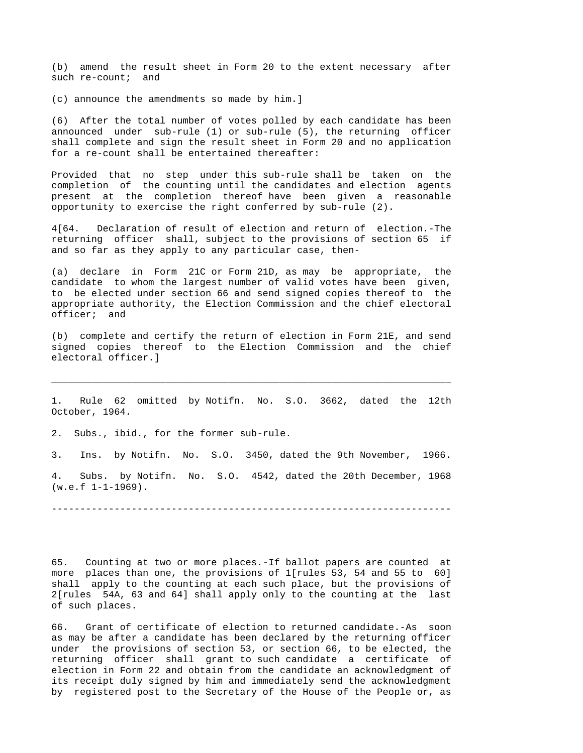(b) amend the result sheet in Form 20 to the extent necessary after such re-count; and

(c) announce the amendments so made by him.]

(6) After the total number of votes polled by each candidate has been announced under sub-rule (1) or sub-rule (5), the returning officer shall complete and sign the result sheet in Form 20 and no application for a re-count shall be entertained thereafter:

Provided that no step under this sub-rule shall be taken on the completion of the counting until the candidates and election agents present at the completion thereof have been given a reasonable opportunity to exercise the right conferred by sub-rule (2).

4[64. Declaration of result of election and return of election.-The returning officer shall, subject to the provisions of section 65 if and so far as they apply to any particular case, then-

(a) declare in Form 21C or Form 21D, as may be appropriate, the candidate to whom the largest number of valid votes have been given, to be elected under section 66 and send signed copies thereof to the appropriate authority, the Election Commission and the chief electoral officer; and

(b) complete and certify the return of election in Form 21E, and send signed copies thereof to the Election Commission and the chief electoral officer.]

1. Rule 62 omitted by Notifn. No. S.O. 3662, dated the 12th October, 1964.

\_\_\_\_\_\_\_\_\_\_\_\_\_\_\_\_\_\_\_\_\_\_\_\_\_\_\_\_\_\_\_\_\_\_\_\_\_\_\_\_\_\_\_\_\_\_\_\_\_\_\_\_\_\_\_\_\_\_\_\_\_\_\_\_\_\_\_\_\_\_

2. Subs., ibid., for the former sub-rule.

3. Ins. by Notifn. No. S.O. 3450, dated the 9th November, 1966.

4. Subs. by Notifn. No. S.O. 4542, dated the 20th December, 1968  $(w.e.f 1-1-1969)$ .

----------------------------------------------------------------------

65. Counting at two or more places.-If ballot papers are counted at more places than one, the provisions of 1[rules 53, 54 and 55 to 60] shall apply to the counting at each such place, but the provisions of 2[rules 54A, 63 and 64] shall apply only to the counting at the last of such places.

66. Grant of certificate of election to returned candidate.-As soon as may be after a candidate has been declared by the returning officer under the provisions of section 53, or section 66, to be elected, the returning officer shall grant to such candidate a certificate of election in Form 22 and obtain from the candidate an acknowledgment of its receipt duly signed by him and immediately send the acknowledgment by registered post to the Secretary of the House of the People or, as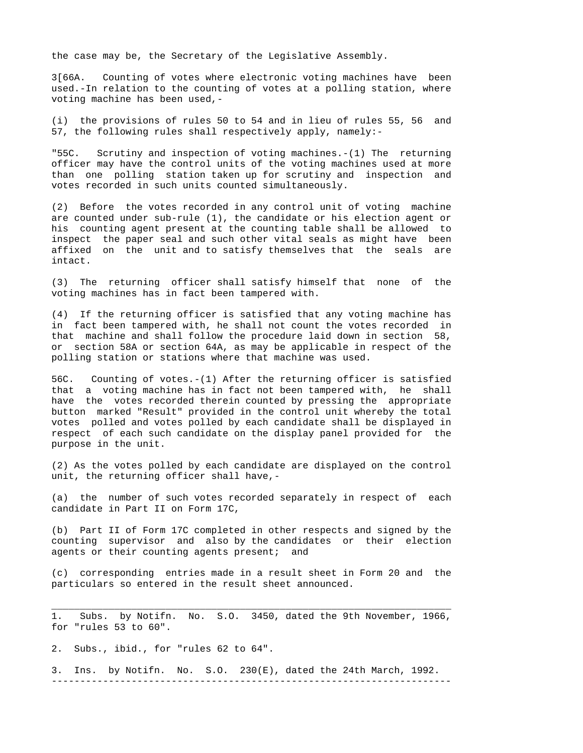the case may be, the Secretary of the Legislative Assembly.

3[66A. Counting of votes where electronic voting machines have been used.-In relation to the counting of votes at a polling station, where voting machine has been used,-

(i) the provisions of rules 50 to 54 and in lieu of rules 55, 56 and 57, the following rules shall respectively apply, namely:-

"55C. Scrutiny and inspection of voting machines.-(1) The returning officer may have the control units of the voting machines used at more than one polling station taken up for scrutiny and inspection and votes recorded in such units counted simultaneously.

(2) Before the votes recorded in any control unit of voting machine are counted under sub-rule (1), the candidate or his election agent or his counting agent present at the counting table shall be allowed to inspect the paper seal and such other vital seals as might have been affixed on the unit and to satisfy themselves that the seals are intact.

(3) The returning officer shall satisfy himself that none of the voting machines has in fact been tampered with.

(4) If the returning officer is satisfied that any voting machine has in fact been tampered with, he shall not count the votes recorded in that machine and shall follow the procedure laid down in section 58, or section 58A or section 64A, as may be applicable in respect of the polling station or stations where that machine was used.

56C. Counting of votes.-(1) After the returning officer is satisfied that a voting machine has in fact not been tampered with, he shall have the votes recorded therein counted by pressing the appropriate button marked "Result" provided in the control unit whereby the total votes polled and votes polled by each candidate shall be displayed in respect of each such candidate on the display panel provided for the purpose in the unit.

(2) As the votes polled by each candidate are displayed on the control unit, the returning officer shall have,-

(a) the number of such votes recorded separately in respect of each candidate in Part II on Form 17C,

(b) Part II of Form 17C completed in other respects and signed by the counting supervisor and also by the candidates or their election agents or their counting agents present; and

(c) corresponding entries made in a result sheet in Form 20 and the particulars so entered in the result sheet announced.

\_\_\_\_\_\_\_\_\_\_\_\_\_\_\_\_\_\_\_\_\_\_\_\_\_\_\_\_\_\_\_\_\_\_\_\_\_\_\_\_\_\_\_\_\_\_\_\_\_\_\_\_\_\_\_\_\_\_\_\_\_\_\_\_\_\_\_\_\_\_ 1. Subs. by Notifn. No. S.O. 3450, dated the 9th November, 1966, for "rules 53 to 60".

2. Subs., ibid., for "rules 62 to 64".

3. Ins. by Notifn. No. S.O. 230(E), dated the 24th March, 1992. ----------------------------------------------------------------------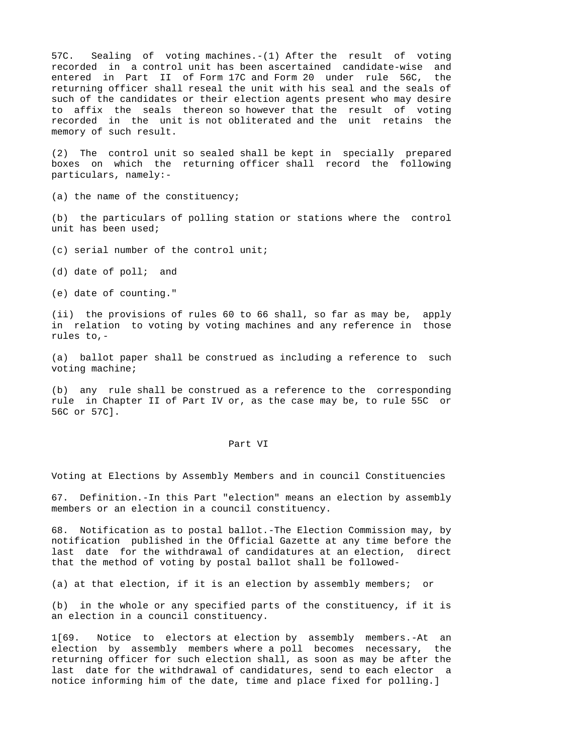57C. Sealing of voting machines.-(1) After the result of voting recorded in a control unit has been ascertained candidate-wise and entered in Part II of Form 17C and Form 20 under rule 56C, the returning officer shall reseal the unit with his seal and the seals of such of the candidates or their election agents present who may desire to affix the seals thereon so however that the result of voting recorded in the unit is not obliterated and the unit retains the memory of such result.

(2) The control unit so sealed shall be kept in specially prepared boxes on which the returning officer shall record the following particulars, namely:-

(a) the name of the constituency;

(b) the particulars of polling station or stations where the control unit has been used;

(c) serial number of the control unit;

(d) date of poll; and

(e) date of counting."

(ii) the provisions of rules 60 to 66 shall, so far as may be, apply in relation to voting by voting machines and any reference in those rules to,-

(a) ballot paper shall be construed as including a reference to such voting machine;

(b) any rule shall be construed as a reference to the corresponding rule in Chapter II of Part IV or, as the case may be, to rule 55C or 56C or 57C].

### Part VI

Voting at Elections by Assembly Members and in council Constituencies

67. Definition.-In this Part "election" means an election by assembly members or an election in a council constituency.

68. Notification as to postal ballot.-The Election Commission may, by notification published in the Official Gazette at any time before the last date for the withdrawal of candidatures at an election, direct that the method of voting by postal ballot shall be followed-

(a) at that election, if it is an election by assembly members; or

(b) in the whole or any specified parts of the constituency, if it is an election in a council constituency.

1[69. Notice to electors at election by assembly members.-At an election by assembly members where a poll becomes necessary, the returning officer for such election shall, as soon as may be after the last date for the withdrawal of candidatures, send to each elector a notice informing him of the date, time and place fixed for polling.]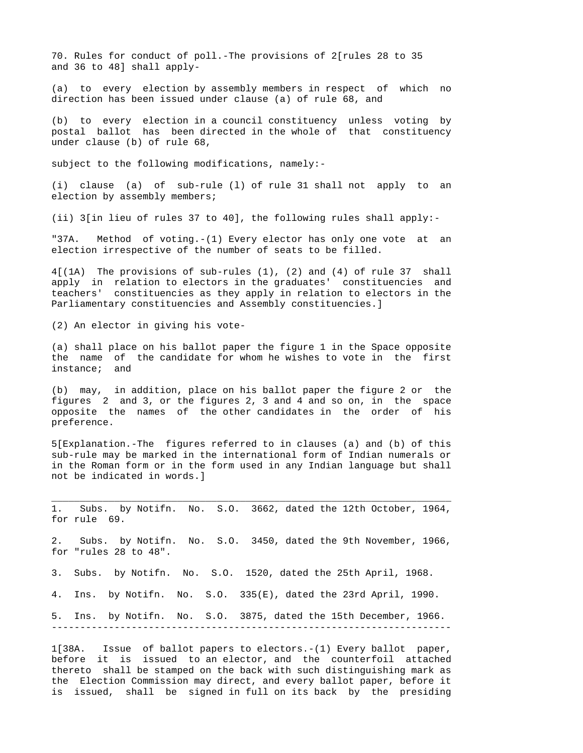70. Rules for conduct of poll.-The provisions of 2[rules 28 to 35 and 36 to 48] shall apply-

(a) to every election by assembly members in respect of which no direction has been issued under clause (a) of rule 68, and

(b) to every election in a council constituency unless voting by postal ballot has been directed in the whole of that constituency under clause (b) of rule 68,

subject to the following modifications, namely:-

(i) clause (a) of sub-rule (l) of rule 31 shall not apply to an election by assembly members;

(ii) 3[in lieu of rules 37 to 40], the following rules shall apply:-

"37A. Method of voting.-(1) Every elector has only one vote at an election irrespective of the number of seats to be filled.

4[(1A) The provisions of sub-rules (1), (2) and (4) of rule 37 shall apply in relation to electors in the graduates' constituencies and teachers' constituencies as they apply in relation to electors in the Parliamentary constituencies and Assembly constituencies.]

(2) An elector in giving his vote-

(a) shall place on his ballot paper the figure 1 in the Space opposite the name of the candidate for whom he wishes to vote in the first instance; and

(b) may, in addition, place on his ballot paper the figure 2 or the figures 2 and 3, or the figures 2, 3 and 4 and so on, in the space opposite the names of the other candidates in the order of his preference.

5[Explanation.-The figures referred to in clauses (a) and (b) of this sub-rule may be marked in the international form of Indian numerals or in the Roman form or in the form used in any Indian language but shall not be indicated in words.]

\_\_\_\_\_\_\_\_\_\_\_\_\_\_\_\_\_\_\_\_\_\_\_\_\_\_\_\_\_\_\_\_\_\_\_\_\_\_\_\_\_\_\_\_\_\_\_\_\_\_\_\_\_\_\_\_\_\_\_\_\_\_\_\_\_\_\_\_\_\_ 1. Subs. by Notifn. No. S.O. 3662, dated the 12th October, 1964, for rule 69.

2. Subs. by Notifn. No. S.O. 3450, dated the 9th November, 1966, for "rules 28 to 48".

3. Subs. by Notifn. No. S.O. 1520, dated the 25th April, 1968.

4. Ins. by Notifn. No. S.O. 335(E), dated the 23rd April, 1990.

5. Ins. by Notifn. No. S.O. 3875, dated the 15th December, 1966. ----------------------------------------------------------------------

1[38A. Issue of ballot papers to electors.-(1) Every ballot paper, before it is issued to an elector, and the counterfoil attached thereto shall be stamped on the back with such distinguishing mark as the Election Commission may direct, and every ballot paper, before it is issued, shall be signed in full on its back by the presiding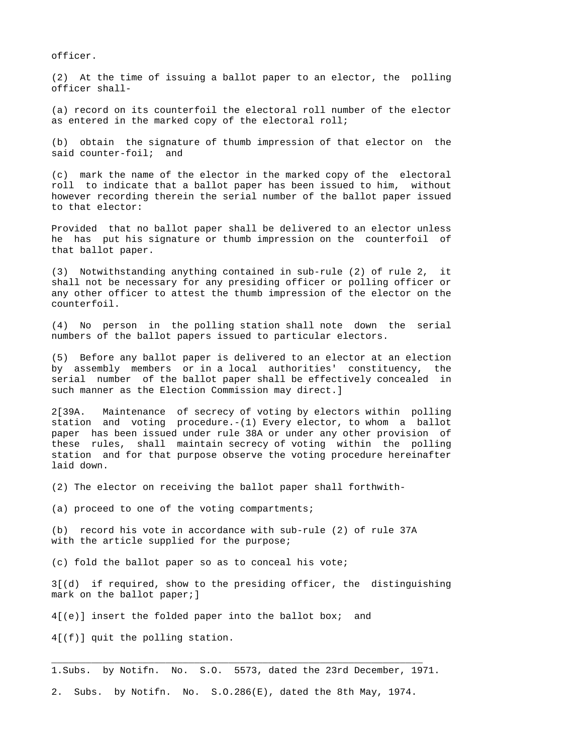officer.

(2) At the time of issuing a ballot paper to an elector, the polling officer shall-

(a) record on its counterfoil the electoral roll number of the elector as entered in the marked copy of the electoral roll;

(b) obtain the signature of thumb impression of that elector on the said counter-foil; and

(c) mark the name of the elector in the marked copy of the electoral roll to indicate that a ballot paper has been issued to him, without however recording therein the serial number of the ballot paper issued to that elector:

Provided that no ballot paper shall be delivered to an elector unless he has put his signature or thumb impression on the counterfoil of that ballot paper.

(3) Notwithstanding anything contained in sub-rule (2) of rule 2, it shall not be necessary for any presiding officer or polling officer or any other officer to attest the thumb impression of the elector on the counterfoil.

(4) No person in the polling station shall note down the serial numbers of the ballot papers issued to particular electors.

(5) Before any ballot paper is delivered to an elector at an election by assembly members or in a local authorities' constituency, the serial number of the ballot paper shall be effectively concealed in such manner as the Election Commission may direct.]

2[39A. Maintenance of secrecy of voting by electors within polling station and voting procedure.-(1) Every elector, to whom a ballot paper has been issued under rule 38A or under any other provision of these rules, shall maintain secrecy of voting within the polling station and for that purpose observe the voting procedure hereinafter laid down.

(2) The elector on receiving the ballot paper shall forthwith-

(a) proceed to one of the voting compartments;

(b) record his vote in accordance with sub-rule (2) of rule 37A with the article supplied for the purpose;

(c) fold the ballot paper so as to conceal his vote;

3[(d) if required, show to the presiding officer, the distinguishing mark on the ballot paper;]

4[(e)] insert the folded paper into the ballot box; and

4[(f)] quit the polling station.

1.Subs. by Notifn. No. S.O. 5573, dated the 23rd December, 1971.

\_\_\_\_\_\_\_\_\_\_\_\_\_\_\_\_\_\_\_\_\_\_\_\_\_\_\_\_\_\_\_\_\_\_\_\_\_\_\_\_\_\_\_\_\_\_\_\_\_\_\_\_\_\_\_\_\_\_\_\_\_\_\_\_\_

2. Subs. by Notifn. No. S.O.286(E), dated the 8th May, 1974.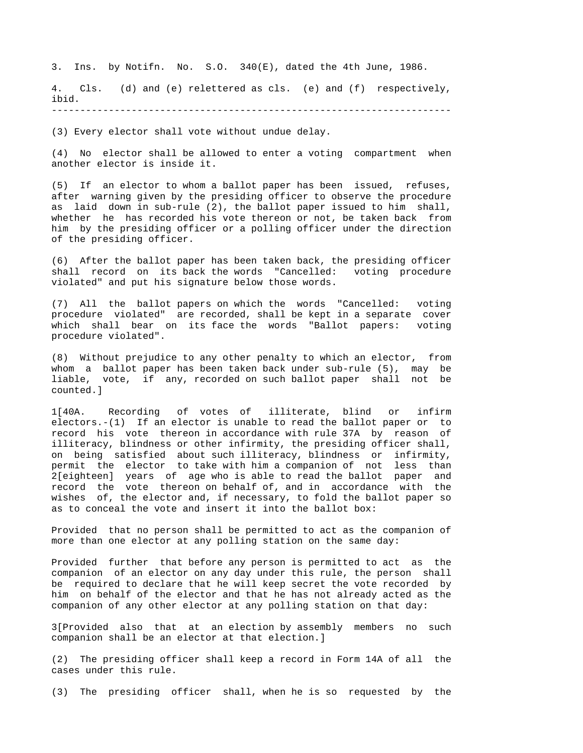3. Ins. by Notifn. No. S.O. 340(E), dated the 4th June, 1986.

4. Cls. (d) and (e) relettered as cls. (e) and (f) respectively, ibid.

----------------------------------------------------------------------

(3) Every elector shall vote without undue delay.

(4) No elector shall be allowed to enter a voting compartment when another elector is inside it.

(5) If an elector to whom a ballot paper has been issued, refuses, after warning given by the presiding officer to observe the procedure as laid down in sub-rule (2), the ballot paper issued to him shall, whether he has recorded his vote thereon or not, be taken back from him by the presiding officer or a polling officer under the direction of the presiding officer.

(6) After the ballot paper has been taken back, the presiding officer shall record on its back the words "Cancelled: voting procedure violated" and put his signature below those words.

(7) All the ballot papers on which the words "Cancelled: voting procedure violated" are recorded, shall be kept in a separate cover which shall bear on its face the words "Ballot papers: voting procedure violated".

(8) Without prejudice to any other penalty to which an elector, from whom a ballot paper has been taken back under sub-rule (5), may be liable, vote, if any, recorded on such ballot paper shall not be counted.]

1[40A. Recording of votes of illiterate, blind or infirm electors.-(1) If an elector is unable to read the ballot paper or to record his vote thereon in accordance with rule 37A by reason of illiteracy, blindness or other infirmity, the presiding officer shall, on being satisfied about such illiteracy, blindness or infirmity, permit the elector to take with him a companion of not less than 2[eighteen] years of age who is able to read the ballot paper and record the vote thereon on behalf of, and in accordance with the wishes of, the elector and, if necessary, to fold the ballot paper so as to conceal the vote and insert it into the ballot box:

Provided that no person shall be permitted to act as the companion of more than one elector at any polling station on the same day:

Provided further that before any person is permitted to act as the companion of an elector on any day under this rule, the person shall be required to declare that he will keep secret the vote recorded by him on behalf of the elector and that he has not already acted as the companion of any other elector at any polling station on that day:

3[Provided also that at an election by assembly members no such companion shall be an elector at that election.]

(2) The presiding officer shall keep a record in Form 14A of all the cases under this rule.

(3) The presiding officer shall, when he is so requested by the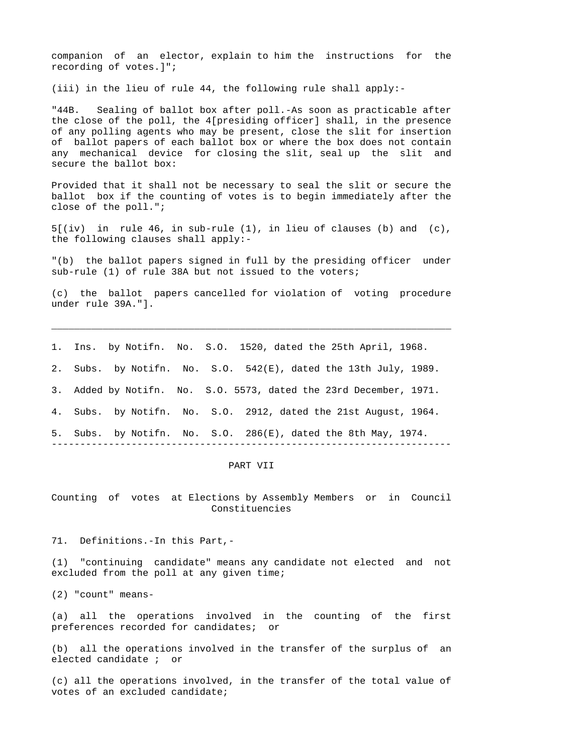companion of an elector, explain to him the instructions for the recording of votes.]";

(iii) in the lieu of rule 44, the following rule shall apply:-

"44B. Sealing of ballot box after poll.-As soon as practicable after the close of the poll, the 4[presiding officer] shall, in the presence of any polling agents who may be present, close the slit for insertion of ballot papers of each ballot box or where the box does not contain any mechanical device for closing the slit, seal up the slit and secure the ballot box:

Provided that it shall not be necessary to seal the slit or secure the ballot box if the counting of votes is to begin immediately after the close of the poll.";

5[(iv) in rule 46, in sub-rule (1), in lieu of clauses (b) and (c), the following clauses shall apply:-

"(b) the ballot papers signed in full by the presiding officer under sub-rule (1) of rule 38A but not issued to the voters;

(c) the ballot papers cancelled for violation of voting procedure under rule 39A."].

\_\_\_\_\_\_\_\_\_\_\_\_\_\_\_\_\_\_\_\_\_\_\_\_\_\_\_\_\_\_\_\_\_\_\_\_\_\_\_\_\_\_\_\_\_\_\_\_\_\_\_\_\_\_\_\_\_\_\_\_\_\_\_\_\_\_\_\_\_\_

1. Ins. by Notifn. No. S.O. 1520, dated the 25th April, 1968.

2. Subs. by Notifn. No. S.O. 542(E), dated the 13th July, 1989.

3. Added by Notifn. No. S.O. 5573, dated the 23rd December, 1971.

4. Subs. by Notifn. No. S.O. 2912, dated the 21st August, 1964.

5. Subs. by Notifn. No. S.O. 286(E), dated the 8th May, 1974.

----------------------------------------------------------------------

## PART VII

Counting of votes at Elections by Assembly Members or in Council Constituencies

71. Definitions.-In this Part,-

(1) "continuing candidate" means any candidate not elected and not excluded from the poll at any given time;

(2) "count" means-

(a) all the operations involved in the counting of the first preferences recorded for candidates; or

(b) all the operations involved in the transfer of the surplus of an elected candidate ; or

(c) all the operations involved, in the transfer of the total value of votes of an excluded candidate;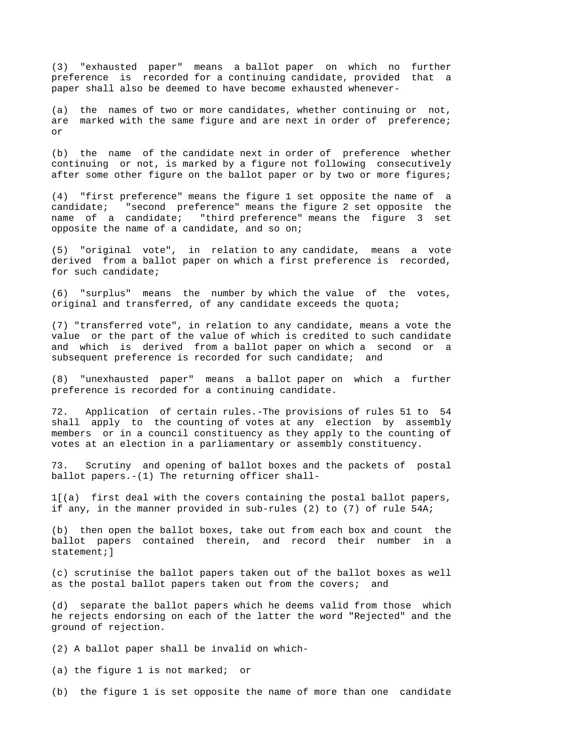(3) "exhausted paper" means a ballot paper on which no further preference is recorded for a continuing candidate, provided that a paper shall also be deemed to have become exhausted whenever-

(a) the names of two or more candidates, whether continuing or not, are marked with the same figure and are next in order of preference; or

(b) the name of the candidate next in order of preference whether continuing or not, is marked by a figure not following consecutively after some other figure on the ballot paper or by two or more figures;

(4) "first preference" means the figure 1 set opposite the name of a candidate; "second preference" means the figure 2 set opposite the name of a candidate; "third preference" means the figure 3 set opposite the name of a candidate, and so on;

(5) "original vote", in relation to any candidate, means a vote derived from a ballot paper on which a first preference is recorded, for such candidate;

(6) "surplus" means the number by which the value of the votes, original and transferred, of any candidate exceeds the quota;

(7) "transferred vote", in relation to any candidate, means a vote the value or the part of the value of which is credited to such candidate and which is derived from a ballot paper on which a second or a subsequent preference is recorded for such candidate; and

(8) "unexhausted paper" means a ballot paper on which a further preference is recorded for a continuing candidate.

72. Application of certain rules.-The provisions of rules 51 to 54 shall apply to the counting of votes at any election by assembly members or in a council constituency as they apply to the counting of votes at an election in a parliamentary or assembly constituency.

73. Scrutiny and opening of ballot boxes and the packets of postal ballot papers.-(1) The returning officer shall-

1[(a) first deal with the covers containing the postal ballot papers, if any, in the manner provided in sub-rules (2) to (7) of rule 54A;

(b) then open the ballot boxes, take out from each box and count the ballot papers contained therein, and record their number in a statement; 1

(c) scrutinise the ballot papers taken out of the ballot boxes as well as the postal ballot papers taken out from the covers; and

(d) separate the ballot papers which he deems valid from those which he rejects endorsing on each of the latter the word "Rejected" and the ground of rejection.

(2) A ballot paper shall be invalid on which-

(a) the figure 1 is not marked; or

(b) the figure 1 is set opposite the name of more than one candidate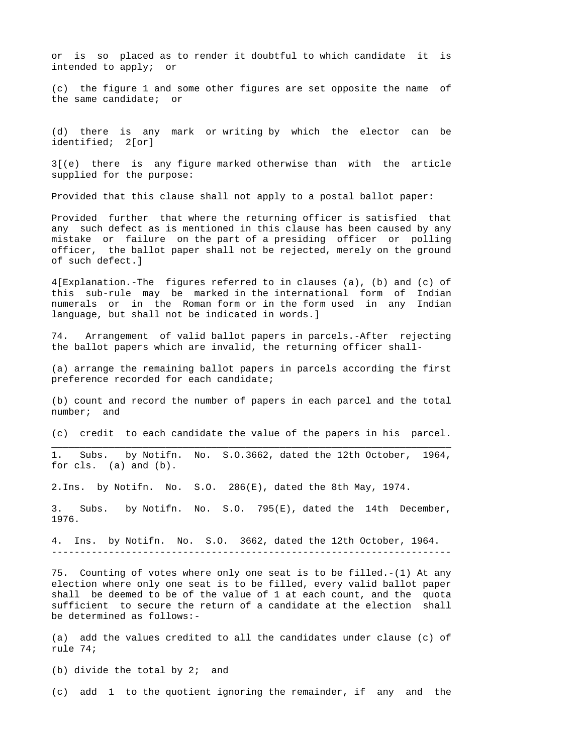or is so placed as to render it doubtful to which candidate it is intended to apply; or

(c) the figure 1 and some other figures are set opposite the name of the same candidate; or

(d) there is any mark or writing by which the elector can be identified; 2[or]

3[(e) there is any figure marked otherwise than with the article supplied for the purpose:

Provided that this clause shall not apply to a postal ballot paper:

Provided further that where the returning officer is satisfied that any such defect as is mentioned in this clause has been caused by any mistake or failure on the part of a presiding officer or polling officer, the ballot paper shall not be rejected, merely on the ground of such defect.]

4[Explanation.-The figures referred to in clauses (a), (b) and (c) of this sub-rule may be marked in the international form of Indian numerals or in the Roman form or in the form used in any Indian language, but shall not be indicated in words.]

74. Arrangement of valid ballot papers in parcels.-After rejecting the ballot papers which are invalid, the returning officer shall-

(a) arrange the remaining ballot papers in parcels according the first preference recorded for each candidate;

(b) count and record the number of papers in each parcel and the total number; and

(c) credit to each candidate the value of the papers in his parcel. \_\_\_\_\_\_\_\_\_\_\_\_\_\_\_\_\_\_\_\_\_\_\_\_\_\_\_\_\_\_\_\_\_\_\_\_\_\_\_\_\_\_\_\_\_\_\_\_\_\_\_\_\_\_\_\_\_\_\_\_\_\_\_\_\_\_\_\_\_\_

1. Subs. by Notifn. No. S.O.3662, dated the 12th October, 1964, for cls. (a) and (b).

2.Ins. by Notifn. No. S.O. 286(E), dated the 8th May, 1974.

3. Subs. by Notifn. No. S.O. 795(E), dated the 14th December, 1976.

4. Ins. by Notifn. No. S.O. 3662, dated the 12th October, 1964. ----------------------------------------------------------------------

75. Counting of votes where only one seat is to be filled.-(1) At any election where only one seat is to be filled, every valid ballot paper shall be deemed to be of the value of 1 at each count, and the quota sufficient to secure the return of a candidate at the election shall be determined as follows:-

(a) add the values credited to all the candidates under clause (c) of rule 74;

(b) divide the total by 2; and

(c) add 1 to the quotient ignoring the remainder, if any and the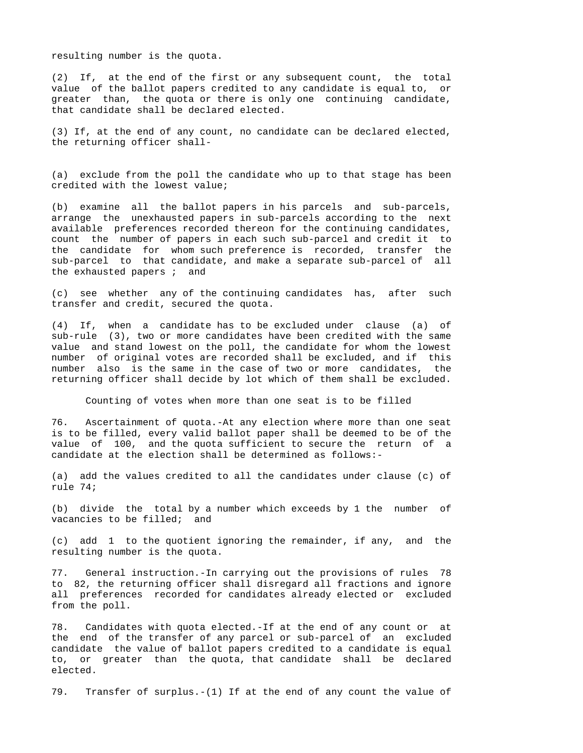resulting number is the quota.

(2) If, at the end of the first or any subsequent count, the total value of the ballot papers credited to any candidate is equal to, or greater than, the quota or there is only one continuing candidate, that candidate shall be declared elected.

(3) If, at the end of any count, no candidate can be declared elected, the returning officer shall-

(a) exclude from the poll the candidate who up to that stage has been credited with the lowest value;

(b) examine all the ballot papers in his parcels and sub-parcels, arrange the unexhausted papers in sub-parcels according to the next available preferences recorded thereon for the continuing candidates, count the number of papers in each such sub-parcel and credit it to the candidate for whom such preference is recorded, transfer the sub-parcel to that candidate, and make a separate sub-parcel of all the exhausted papers ; and

(c) see whether any of the continuing candidates has, after such transfer and credit, secured the quota.

(4) If, when a candidate has to be excluded under clause (a) of sub-rule (3), two or more candidates have been credited with the same value and stand lowest on the poll, the candidate for whom the lowest number of original votes are recorded shall be excluded, and if this number also is the same in the case of two or more candidates, the returning officer shall decide by lot which of them shall be excluded.

Counting of votes when more than one seat is to be filled

76. Ascertainment of quota.-At any election where more than one seat is to be filled, every valid ballot paper shall be deemed to be of the value of 100, and the quota sufficient to secure the return of a candidate at the election shall be determined as follows:-

(a) add the values credited to all the candidates under clause (c) of rule 74;

(b) divide the total by a number which exceeds by 1 the number of vacancies to be filled; and

(c) add 1 to the quotient ignoring the remainder, if any, and the resulting number is the quota.

77. General instruction.-In carrying out the provisions of rules 78 to 82, the returning officer shall disregard all fractions and ignore all preferences recorded for candidates already elected or excluded from the poll.

78. Candidates with quota elected.-If at the end of any count or at the end of the transfer of any parcel or sub-parcel of an excluded candidate the value of ballot papers credited to a candidate is equal to, or greater than the quota, that candidate shall be declared elected.

79. Transfer of surplus.-(1) If at the end of any count the value of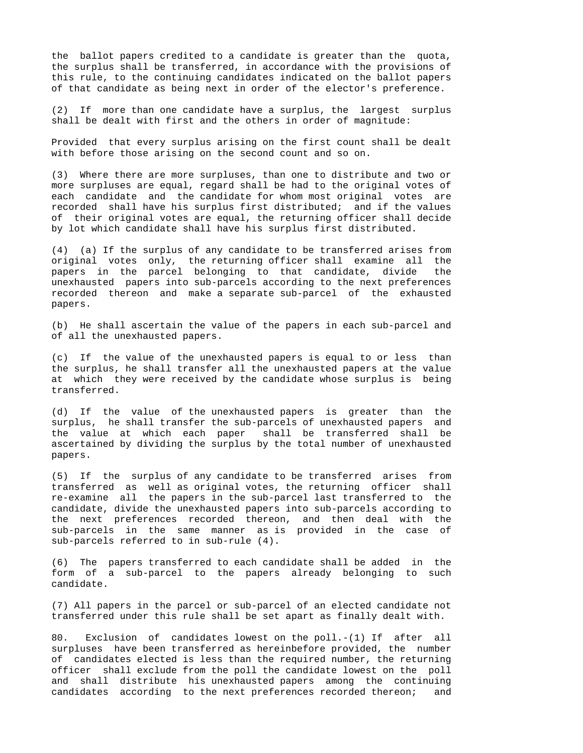the ballot papers credited to a candidate is greater than the quota, the surplus shall be transferred, in accordance with the provisions of this rule, to the continuing candidates indicated on the ballot papers of that candidate as being next in order of the elector's preference.

(2) If more than one candidate have a surplus, the largest surplus shall be dealt with first and the others in order of magnitude:

Provided that every surplus arising on the first count shall be dealt with before those arising on the second count and so on.

(3) Where there are more surpluses, than one to distribute and two or more surpluses are equal, regard shall be had to the original votes of each candidate and the candidate for whom most original votes are recorded shall have his surplus first distributed; and if the values of their original votes are equal, the returning officer shall decide by lot which candidate shall have his surplus first distributed.

(4) (a) If the surplus of any candidate to be transferred arises from original votes only, the returning officer shall examine all the papers in the parcel belonging to that candidate, divide the unexhausted papers into sub-parcels according to the next preferences recorded thereon and make a separate sub-parcel of the exhausted papers.

(b) He shall ascertain the value of the papers in each sub-parcel and of all the unexhausted papers.

(c) If the value of the unexhausted papers is equal to or less than the surplus, he shall transfer all the unexhausted papers at the value at which they were received by the candidate whose surplus is being transferred.

(d) If the value of the unexhausted papers is greater than the surplus, he shall transfer the sub-parcels of unexhausted papers and the value at which each paper shall be transferred shall be ascertained by dividing the surplus by the total number of unexhausted papers.

(5) If the surplus of any candidate to be transferred arises from transferred as well as original votes, the returning officer shall re-examine all the papers in the sub-parcel last transferred to the candidate, divide the unexhausted papers into sub-parcels according to the next preferences recorded thereon, and then deal with the sub-parcels in the same manner as is provided in the case of sub-parcels referred to in sub-rule (4).

(6) The papers transferred to each candidate shall be added in the form of a sub-parcel to the papers already belonging to such candidate.

(7) All papers in the parcel or sub-parcel of an elected candidate not transferred under this rule shall be set apart as finally dealt with.

80. Exclusion of candidates lowest on the poll.-(1) If after all surpluses have been transferred as hereinbefore provided, the number of candidates elected is less than the required number, the returning officer shall exclude from the poll the candidate lowest on the poll and shall distribute his unexhausted papers among the continuing candidates according to the next preferences recorded thereon; and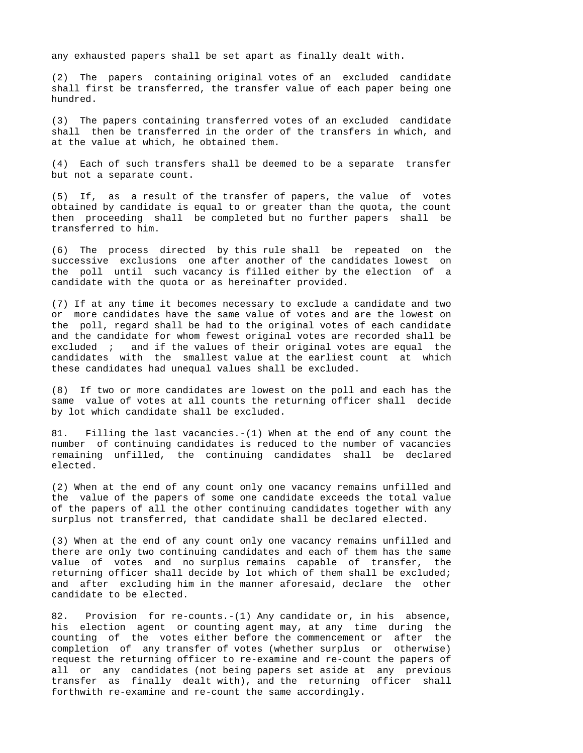any exhausted papers shall be set apart as finally dealt with.

(2) The papers containing original votes of an excluded candidate shall first be transferred, the transfer value of each paper being one hundred.

(3) The papers containing transferred votes of an excluded candidate shall then be transferred in the order of the transfers in which, and at the value at which, he obtained them.

(4) Each of such transfers shall be deemed to be a separate transfer but not a separate count.

(5) If, as a result of the transfer of papers, the value of votes obtained by candidate is equal to or greater than the quota, the count then proceeding shall be completed but no further papers shall be transferred to him.

(6) The process directed by this rule shall be repeated on the successive exclusions one after another of the candidates lowest on the poll until such vacancy is filled either by the election of a candidate with the quota or as hereinafter provided.

(7) If at any time it becomes necessary to exclude a candidate and two or more candidates have the same value of votes and are the lowest on the poll, regard shall be had to the original votes of each candidate and the candidate for whom fewest original votes are recorded shall be excluded ; and if the values of their original votes are equal the candidates with the smallest value at the earliest count at which these candidates had unequal values shall be excluded.

(8) If two or more candidates are lowest on the poll and each has the same value of votes at all counts the returning officer shall decide by lot which candidate shall be excluded.

81. Filling the last vacancies.-(1) When at the end of any count the number of continuing candidates is reduced to the number of vacancies remaining unfilled, the continuing candidates shall be declared elected.

(2) When at the end of any count only one vacancy remains unfilled and the value of the papers of some one candidate exceeds the total value of the papers of all the other continuing candidates together with any surplus not transferred, that candidate shall be declared elected.

(3) When at the end of any count only one vacancy remains unfilled and there are only two continuing candidates and each of them has the same value of votes and no surplus remains capable of transfer, the returning officer shall decide by lot which of them shall be excluded; and after excluding him in the manner aforesaid, declare the other candidate to be elected.

82. Provision for re-counts.-(1) Any candidate or, in his absence, his election agent or counting agent may, at any time during the counting of the votes either before the commencement or after the completion of any transfer of votes (whether surplus or otherwise) request the returning officer to re-examine and re-count the papers of all or any candidates (not being papers set aside at any previous transfer as finally dealt with), and the returning officer shall forthwith re-examine and re-count the same accordingly.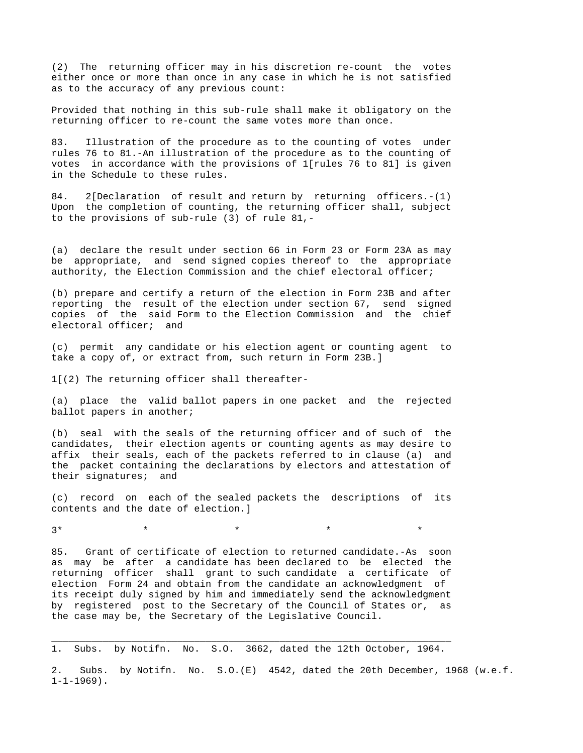(2) The returning officer may in his discretion re-count the votes either once or more than once in any case in which he is not satisfied as to the accuracy of any previous count:

Provided that nothing in this sub-rule shall make it obligatory on the returning officer to re-count the same votes more than once.

83. Illustration of the procedure as to the counting of votes under rules 76 to 81.-An illustration of the procedure as to the counting of votes in accordance with the provisions of 1[rules 76 to 81] is given in the Schedule to these rules.

84. 2[Declaration of result and return by returning officers.-(1) Upon the completion of counting, the returning officer shall, subject to the provisions of sub-rule (3) of rule 81,-

(a) declare the result under section 66 in Form 23 or Form 23A as may be appropriate, and send signed copies thereof to the appropriate authority, the Election Commission and the chief electoral officer;

(b) prepare and certify a return of the election in Form 23B and after reporting the result of the election under section 67, send signed copies of the said Form to the Election Commission and the chief electoral officer; and

(c) permit any candidate or his election agent or counting agent to take a copy of, or extract from, such return in Form 23B.]

1[(2) The returning officer shall thereafter-

(a) place the valid ballot papers in one packet and the rejected ballot papers in another;

(b) seal with the seals of the returning officer and of such of the candidates, their election agents or counting agents as may desire to affix their seals, each of the packets referred to in clause (a) and the packet containing the declarations by electors and attestation of their signatures; and

(c) record on each of the sealed packets the descriptions of its contents and the date of election.]

 $3*$  \* \* \* \* \* \* \*

85. Grant of certificate of election to returned candidate.-As soon as may be after a candidate has been declared to be elected the returning officer shall grant to such candidate a certificate of election Form 24 and obtain from the candidate an acknowledgment of its receipt duly signed by him and immediately send the acknowledgment by registered post to the Secretary of the Council of States or, as the case may be, the Secretary of the Legislative Council.

\_\_\_\_\_\_\_\_\_\_\_\_\_\_\_\_\_\_\_\_\_\_\_\_\_\_\_\_\_\_\_\_\_\_\_\_\_\_\_\_\_\_\_\_\_\_\_\_\_\_\_\_\_\_\_\_\_\_\_\_\_\_\_\_\_\_\_\_\_\_ 1. Subs. by Notifn. No. S.O. 3662, dated the 12th October, 1964.

2. Subs. by Notifn. No. S.O.(E) 4542, dated the 20th December, 1968 (w.e.f.  $1 - 1 - 1969$ .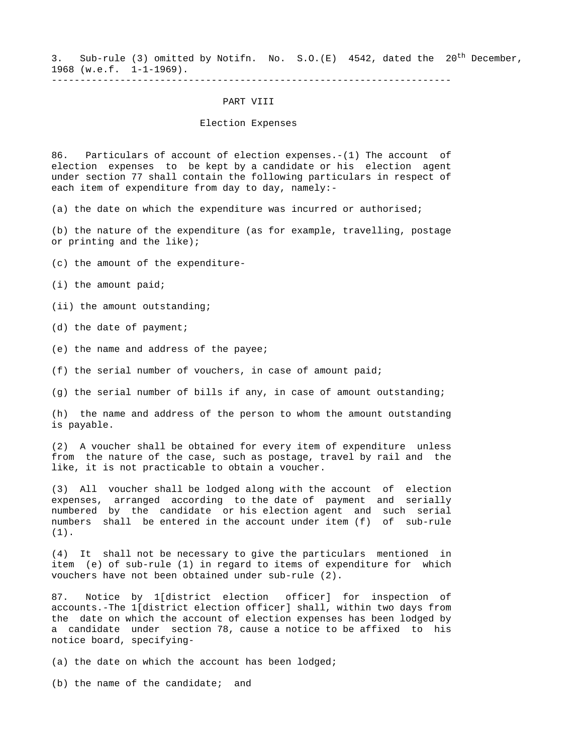3. Sub-rule (3) omitted by Notifn. No. S.O.(E) 4542, dated the 20<sup>th</sup> December, 1968 (w.e.f. 1-1-1969).

----------------------------------------------------------------------

### PART VIII

### Election Expenses

86. Particulars of account of election expenses.-(1) The account of election expenses to be kept by a candidate or his election agent under section 77 shall contain the following particulars in respect of each item of expenditure from day to day, namely:-

(a) the date on which the expenditure was incurred or authorised;

(b) the nature of the expenditure (as for example, travelling, postage or printing and the like);

(c) the amount of the expenditure-

(i) the amount paid;

(ii) the amount outstanding;

(d) the date of payment;

(e) the name and address of the payee;

(f) the serial number of vouchers, in case of amount paid;

(g) the serial number of bills if any, in case of amount outstanding;

(h) the name and address of the person to whom the amount outstanding is payable.

(2) A voucher shall be obtained for every item of expenditure unless from the nature of the case, such as postage, travel by rail and the like, it is not practicable to obtain a voucher.

(3) All voucher shall be lodged along with the account of election expenses, arranged according to the date of payment and serially numbered by the candidate or his election agent and such serial numbers shall be entered in the account under item (f) of sub-rule (1).

(4) It shall not be necessary to give the particulars mentioned in item (e) of sub-rule (1) in regard to items of expenditure for which vouchers have not been obtained under sub-rule (2).

87. Notice by 1[district election officer] for inspection of accounts.-The 1[district election officer] shall, within two days from the date on which the account of election expenses has been lodged by a candidate under section 78, cause a notice to be affixed to his notice board, specifying-

(a) the date on which the account has been lodged;

(b) the name of the candidate; and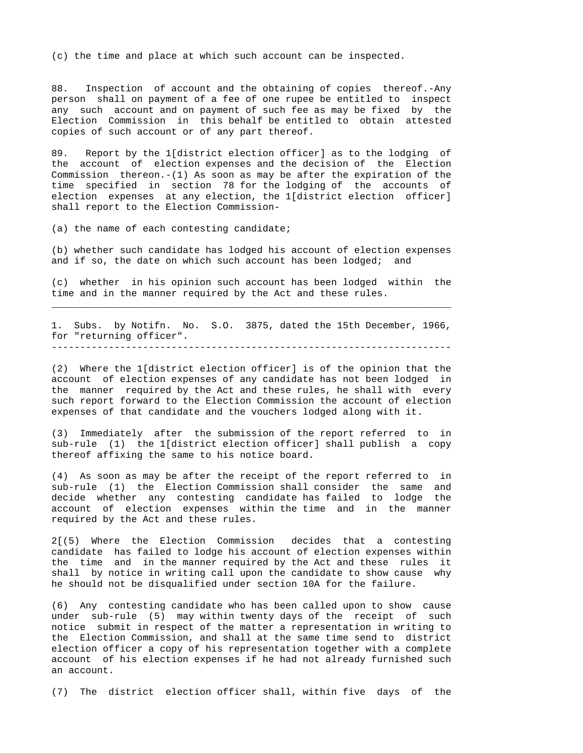(c) the time and place at which such account can be inspected.

88. Inspection of account and the obtaining of copies thereof.-Any person shall on payment of a fee of one rupee be entitled to inspect any such account and on payment of such fee as may be fixed by the Election Commission in this behalf be entitled to obtain attested copies of such account or of any part thereof.

89. Report by the 1[district election officer] as to the lodging of the account of election expenses and the decision of the Election Commission thereon. $-(1)$  As soon as may be after the expiration of the time specified in section 78 for the lodging of the accounts of election expenses at any election, the 1[district election officer] shall report to the Election Commission-

(a) the name of each contesting candidate;

(b) whether such candidate has lodged his account of election expenses and if so, the date on which such account has been lodged; and

(c) whether in his opinion such account has been lodged within the time and in the manner required by the Act and these rules. \_\_\_\_\_\_\_\_\_\_\_\_\_\_\_\_\_\_\_\_\_\_\_\_\_\_\_\_\_\_\_\_\_\_\_\_\_\_\_\_\_\_\_\_\_\_\_\_\_\_\_\_\_\_\_\_\_\_\_\_\_\_\_\_\_\_\_\_\_\_

1. Subs. by Notifn. No. S.O. 3875, dated the 15th December, 1966, for "returning officer".

----------------------------------------------------------------------

(2) Where the 1[district election officer] is of the opinion that the account of election expenses of any candidate has not been lodged in the manner required by the Act and these rules, he shall with every such report forward to the Election Commission the account of election expenses of that candidate and the vouchers lodged along with it.

(3) Immediately after the submission of the report referred to in sub-rule (1) the 1[district election officer] shall publish a copy thereof affixing the same to his notice board.

(4) As soon as may be after the receipt of the report referred to in sub-rule (1) the Election Commission shall consider the same and decide whether any contesting candidate has failed to lodge the account of election expenses within the time and in the manner required by the Act and these rules.

2[(5) Where the Election Commission decides that a contesting candidate has failed to lodge his account of election expenses within the time and in the manner required by the Act and these rules it shall by notice in writing call upon the candidate to show cause why he should not be disqualified under section 10A for the failure.

(6) Any contesting candidate who has been called upon to show cause under sub-rule (5) may within twenty days of the receipt of such notice submit in respect of the matter a representation in writing to the Election Commission, and shall at the same time send to district election officer a copy of his representation together with a complete account of his election expenses if he had not already furnished such an account.

(7) The district election officer shall, within five days of the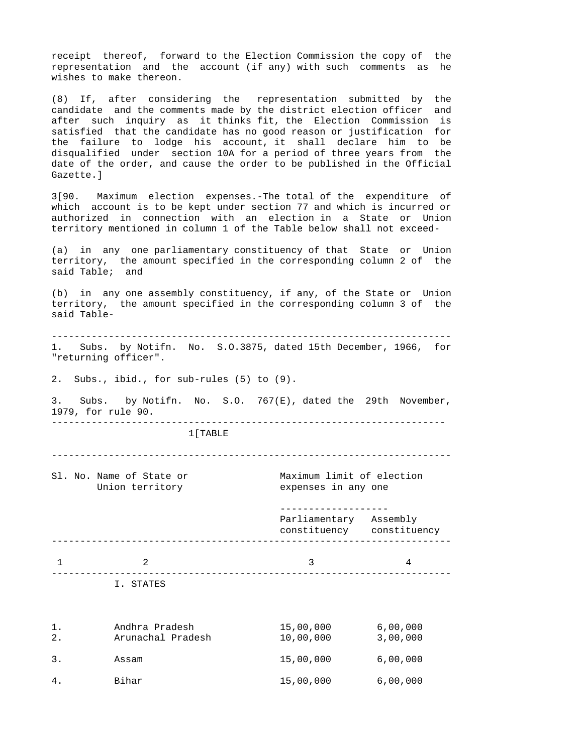receipt thereof, forward to the Election Commission the copy of the representation and the account (if any) with such comments as he wishes to make thereon.

(8) If, after considering the representation submitted by the candidate and the comments made by the district election officer and after such inquiry as it thinks fit, the Election Commission is satisfied that the candidate has no good reason or justification for the failure to lodge his account, it shall declare him to be disqualified under section 10A for a period of three years from the date of the order, and cause the order to be published in the Official Gazette.]

3[90. Maximum election expenses.-The total of the expenditure of which account is to be kept under section 77 and which is incurred or authorized in connection with an election in a State or Union territory mentioned in column 1 of the Table below shall not exceed-

(a) in any one parliamentary constituency of that State or Union territory, the amount specified in the corresponding column 2 of the said Table; and

(b) in any one assembly constituency, if any, of the State or Union territory, the amount specified in the corresponding column 3 of the said Table-

---------------------------------------------------------------------- 1. Subs. by Notifn. No. S.O.3875, dated 15th December, 1966, for "returning officer".

2. Subs., ibid., for sub-rules (5) to (9).

3. Subs. by Notifn. No. S.O. 767(E), dated the 29th November, 1979, for rule 90. ---------------------------------------------------------------------

1[TABLE

----------------------------------------------------------------------

|  | Sl. No. Name of State or<br>Union territory |                                                     | Maximum limit of election<br>expenses in any one |  |
|--|---------------------------------------------|-----------------------------------------------------|--------------------------------------------------|--|
|  |                                             | Parliamentary Assembly<br>constituency constituency |                                                  |  |
|  | $\mathcal{L}$                               | 3                                                   | 4                                                |  |
|  | I. STATES                                   |                                                     |                                                  |  |
|  |                                             |                                                     |                                                  |  |

| 1.<br>2. | Andhra Pradesh<br>Arunachal Pradesh | 15,00,000<br>10,00,000 | 6,00,000<br>3,00,000 |
|----------|-------------------------------------|------------------------|----------------------|
| 3.       | Assam                               | 15,00,000              | 6,00,000             |
| 4.       | Bihar                               | 15,00,000              | 6,00,000             |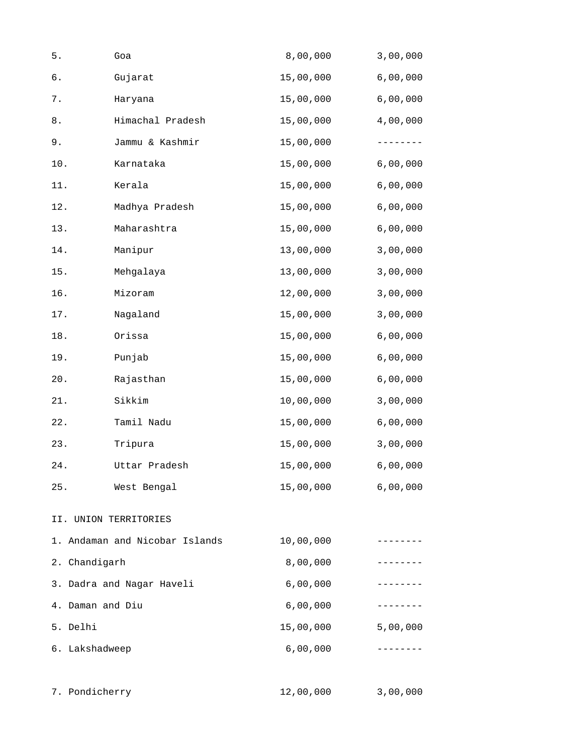| $5$ .                     | Goa                            | 8,00,000  | 3,00,000 |
|---------------------------|--------------------------------|-----------|----------|
| б.                        | Gujarat                        | 15,00,000 | 6,00,000 |
| $\,7$ .                   | Haryana                        | 15,00,000 | 6,00,000 |
| $\bf 8$ .                 | Himachal Pradesh               | 15,00,000 | 4,00,000 |
| $9$ .                     | Jammu & Kashmir                | 15,00,000 |          |
| 10.                       | Karnataka                      | 15,00,000 | 6,00,000 |
| 11.                       | Kerala                         | 15,00,000 | 6,00,000 |
| 12.                       | Madhya Pradesh                 | 15,00,000 | 6,00,000 |
| 13.                       | Maharashtra                    | 15,00,000 | 6,00,000 |
| 14.                       | Manipur                        | 13,00,000 | 3,00,000 |
| 15.                       | Mehgalaya                      | 13,00,000 | 3,00,000 |
| 16.                       | Mizoram                        | 12,00,000 | 3,00,000 |
| 17.                       | Nagaland                       | 15,00,000 | 3,00,000 |
| 18.                       | Orissa                         | 15,00,000 | 6,00,000 |
| 19.                       | Punjab                         | 15,00,000 | 6,00,000 |
| $20$ .                    | Rajasthan                      | 15,00,000 | 6,00,000 |
| 21.                       | Sikkim                         | 10,00,000 | 3,00,000 |
| 22.                       | Tamil Nadu                     | 15,00,000 | 6,00,000 |
| 23.                       | Tripura                        | 15,00,000 | 3,00,000 |
| 24.                       | Uttar Pradesh                  | 15,00,000 | 6,00,000 |
| 25.                       | West Bengal                    | 15,00,000 | 6,00,000 |
|                           | II. UNION TERRITORIES          |           |          |
|                           | 1. Andaman and Nicobar Islands | 10,00,000 |          |
| 2. Chandigarh             |                                | 8,00,000  |          |
| 3. Dadra and Nagar Haveli |                                | 6,00,000  | -------- |
| 4. Daman and Diu          |                                | 6,00,000  | -------- |
| 5. Delhi                  |                                | 15,00,000 | 5,00,000 |
| 6. Lakshadweep            |                                | 6,00,000  |          |
| 7. Pondicherry            |                                | 12,00,000 | 3,00,000 |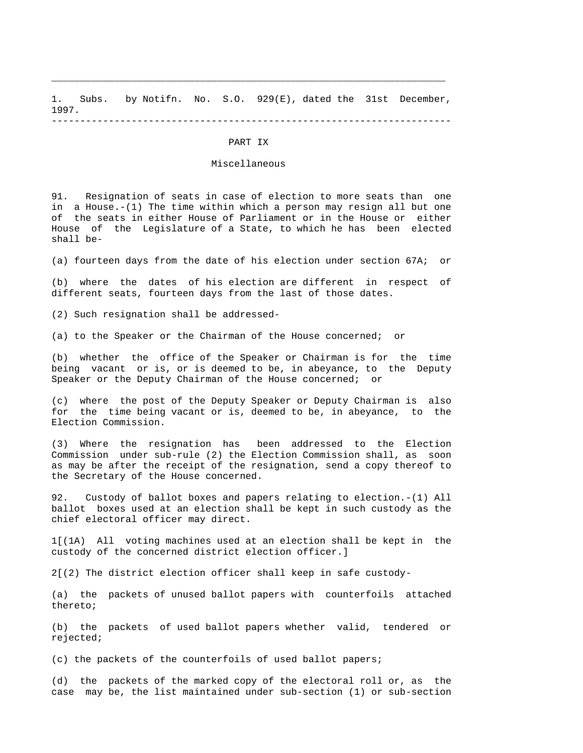1. Subs. by Notifn. No. S.O. 929(E), dated the 31st December, 1997. ----------------------------------------------------------------------

\_\_\_\_\_\_\_\_\_\_\_\_\_\_\_\_\_\_\_\_\_\_\_\_\_\_\_\_\_\_\_\_\_\_\_\_\_\_\_\_\_\_\_\_\_\_\_\_\_\_\_\_\_\_\_\_\_\_\_\_\_\_\_\_\_\_\_\_\_

#### PART IX

### Miscellaneous

91. Resignation of seats in case of election to more seats than one in a House.-(1) The time within which a person may resign all but one of the seats in either House of Parliament or in the House or either House of the Legislature of a State, to which he has been elected shall be-

(a) fourteen days from the date of his election under section 67A; or

(b) where the dates of his election are different in respect of different seats, fourteen days from the last of those dates.

(2) Such resignation shall be addressed-

(a) to the Speaker or the Chairman of the House concerned; or

(b) whether the office of the Speaker or Chairman is for the time being vacant or is, or is deemed to be, in abeyance, to the Deputy Speaker or the Deputy Chairman of the House concerned; or

(c) where the post of the Deputy Speaker or Deputy Chairman is also for the time being vacant or is, deemed to be, in abeyance, to the Election Commission.

(3) Where the resignation has been addressed to the Election Commission under sub-rule (2) the Election Commission shall, as soon as may be after the receipt of the resignation, send a copy thereof to the Secretary of the House concerned.

92. Custody of ballot boxes and papers relating to election.-(1) All ballot boxes used at an election shall be kept in such custody as the chief electoral officer may direct.

1[(1A) All voting machines used at an election shall be kept in the custody of the concerned district election officer.]

2[(2) The district election officer shall keep in safe custody-

(a) the packets of unused ballot papers with counterfoils attached thereto;

(b) the packets of used ballot papers whether valid, tendered or rejected;

(c) the packets of the counterfoils of used ballot papers;

(d) the packets of the marked copy of the electoral roll or, as the case may be, the list maintained under sub-section (1) or sub-section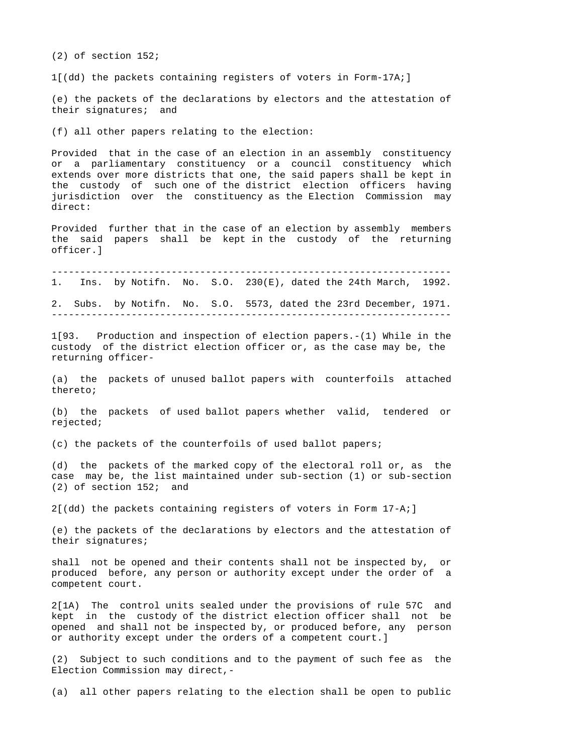(2) of section 152;

1[(dd) the packets containing registers of voters in Form-17A;]

(e) the packets of the declarations by electors and the attestation of their signatures; and

(f) all other papers relating to the election:

Provided that in the case of an election in an assembly constituency or a parliamentary constituency or a council constituency which extends over more districts that one, the said papers shall be kept in the custody of such one of the district election officers having jurisdiction over the constituency as the Election Commission may direct:

Provided further that in the case of an election by assembly members the said papers shall be kept in the custody of the returning officer.]

---------------------------------------------------------------------- 1. Ins. by Notifn. No. S.O. 230(E), dated the 24th March, 1992.

2. Subs. by Notifn. No. S.O. 5573, dated the 23rd December, 1971.

----------------------------------------------------------------------

1[93. Production and inspection of election papers.-(1) While in the custody of the district election officer or, as the case may be, the returning officer-

(a) the packets of unused ballot papers with counterfoils attached thereto;

(b) the packets of used ballot papers whether valid, tendered or rejected;

(c) the packets of the counterfoils of used ballot papers;

(d) the packets of the marked copy of the electoral roll or, as the case may be, the list maintained under sub-section (1) or sub-section (2) of section 152; and

2[(dd) the packets containing registers of voters in Form 17-A;]

(e) the packets of the declarations by electors and the attestation of their signatures;

shall not be opened and their contents shall not be inspected by, or produced before, any person or authority except under the order of a competent court.

2[1A) The control units sealed under the provisions of rule 57C and kept in the custody of the district election officer shall not be opened and shall not be inspected by, or produced before, any person or authority except under the orders of a competent court.]

(2) Subject to such conditions and to the payment of such fee as the Election Commission may direct,-

(a) all other papers relating to the election shall be open to public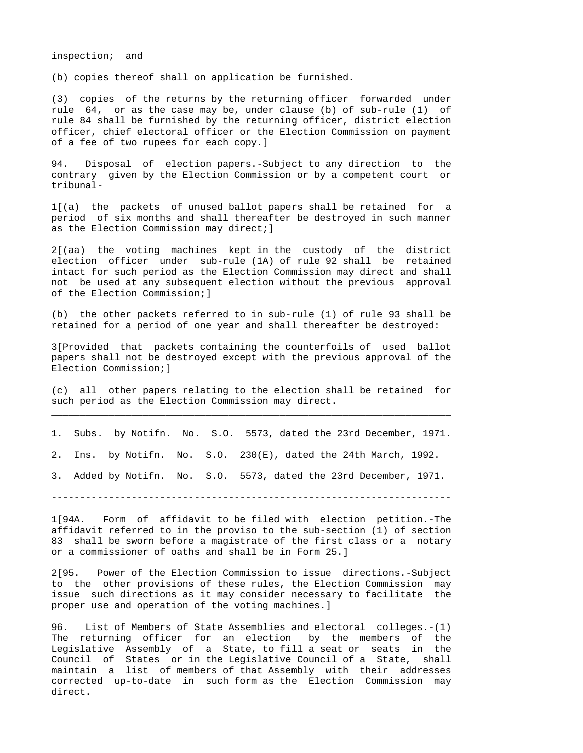inspection; and

(b) copies thereof shall on application be furnished.

(3) copies of the returns by the returning officer forwarded under rule 64, or as the case may be, under clause (b) of sub-rule (1) of rule 84 shall be furnished by the returning officer, district election officer, chief electoral officer or the Election Commission on payment of a fee of two rupees for each copy.]

94. Disposal of election papers.-Subject to any direction to the contrary given by the Election Commission or by a competent court or tribunal-

1[(a) the packets of unused ballot papers shall be retained for a period of six months and shall thereafter be destroyed in such manner as the Election Commission may direct;]

2[(aa) the voting machines kept in the custody of the district election officer under sub-rule (1A) of rule 92 shall be retained intact for such period as the Election Commission may direct and shall not be used at any subsequent election without the previous approval of the Election Commission;]

(b) the other packets referred to in sub-rule (1) of rule 93 shall be retained for a period of one year and shall thereafter be destroyed:

3[Provided that packets containing the counterfoils of used ballot papers shall not be destroyed except with the previous approval of the Election Commission;]

(c) all other papers relating to the election shall be retained for such period as the Election Commission may direct. \_\_\_\_\_\_\_\_\_\_\_\_\_\_\_\_\_\_\_\_\_\_\_\_\_\_\_\_\_\_\_\_\_\_\_\_\_\_\_\_\_\_\_\_\_\_\_\_\_\_\_\_\_\_\_\_\_\_\_\_\_\_\_\_\_\_\_\_\_\_

1. Subs. by Notifn. No. S.O. 5573, dated the 23rd December, 1971.

2. Ins. by Notifn. No. S.O. 230(E), dated the 24th March, 1992.

3. Added by Notifn. No. S.O. 5573, dated the 23rd December, 1971.

----------------------------------------------------------------------

1[94A. Form of affidavit to be filed with election petition.-The affidavit referred to in the proviso to the sub-section (1) of section 83 shall be sworn before a magistrate of the first class or a notary or a commissioner of oaths and shall be in Form 25.]

2[95. Power of the Election Commission to issue directions.-Subject to the other provisions of these rules, the Election Commission may issue such directions as it may consider necessary to facilitate the proper use and operation of the voting machines.]

96. List of Members of State Assemblies and electoral colleges.-(1) The returning officer for an election by the members of the Legislative Assembly of a State, to fill a seat or seats in the Council of States or in the Legislative Council of a State, shall maintain a list of members of that Assembly with their addresses corrected up-to-date in such form as the Election Commission may direct.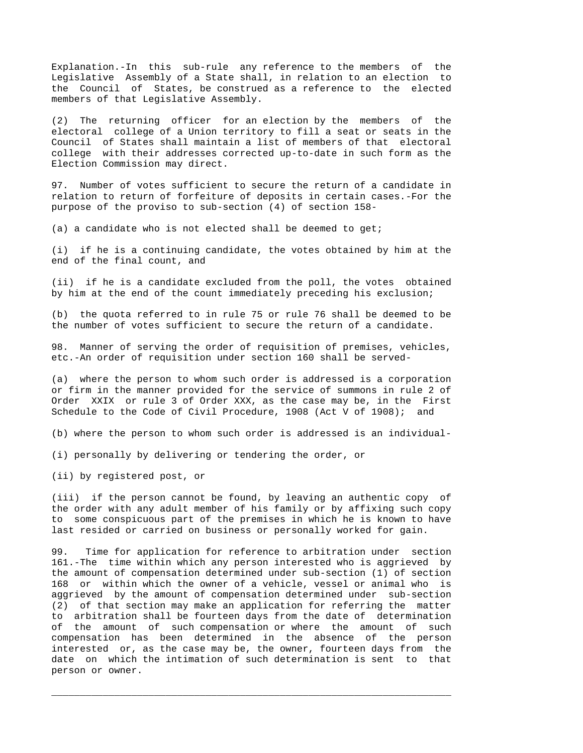Explanation.-In this sub-rule any reference to the members of the Legislative Assembly of a State shall, in relation to an election to the Council of States, be construed as a reference to the elected members of that Legislative Assembly.

(2) The returning officer for an election by the members of the electoral college of a Union territory to fill a seat or seats in the Council of States shall maintain a list of members of that electoral college with their addresses corrected up-to-date in such form as the Election Commission may direct.

97. Number of votes sufficient to secure the return of a candidate in relation to return of forfeiture of deposits in certain cases.-For the purpose of the proviso to sub-section (4) of section 158-

(a) a candidate who is not elected shall be deemed to get;

(i) if he is a continuing candidate, the votes obtained by him at the end of the final count, and

(ii) if he is a candidate excluded from the poll, the votes obtained by him at the end of the count immediately preceding his exclusion;

(b) the quota referred to in rule 75 or rule 76 shall be deemed to be the number of votes sufficient to secure the return of a candidate.

98. Manner of serving the order of requisition of premises, vehicles, etc.-An order of requisition under section 160 shall be served-

(a) where the person to whom such order is addressed is a corporation or firm in the manner provided for the service of summons in rule 2 of Order XXIX or rule 3 of Order XXX, as the case may be, in the First Schedule to the Code of Civil Procedure, 1908 (Act V of 1908); and

(b) where the person to whom such order is addressed is an individual-

(i) personally by delivering or tendering the order, or

(ii) by registered post, or

(iii) if the person cannot be found, by leaving an authentic copy of the order with any adult member of his family or by affixing such copy to some conspicuous part of the premises in which he is known to have last resided or carried on business or personally worked for gain.

99. Time for application for reference to arbitration under section 161.-The time within which any person interested who is aggrieved by the amount of compensation determined under sub-section (1) of section 168 or within which the owner of a vehicle, vessel or animal who is aggrieved by the amount of compensation determined under sub-section (2) of that section may make an application for referring the matter to arbitration shall be fourteen days from the date of determination of the amount of such compensation or where the amount of such compensation has been determined in the absence of the person interested or, as the case may be, the owner, fourteen days from the date on which the intimation of such determination is sent to that person or owner.

\_\_\_\_\_\_\_\_\_\_\_\_\_\_\_\_\_\_\_\_\_\_\_\_\_\_\_\_\_\_\_\_\_\_\_\_\_\_\_\_\_\_\_\_\_\_\_\_\_\_\_\_\_\_\_\_\_\_\_\_\_\_\_\_\_\_\_\_\_\_